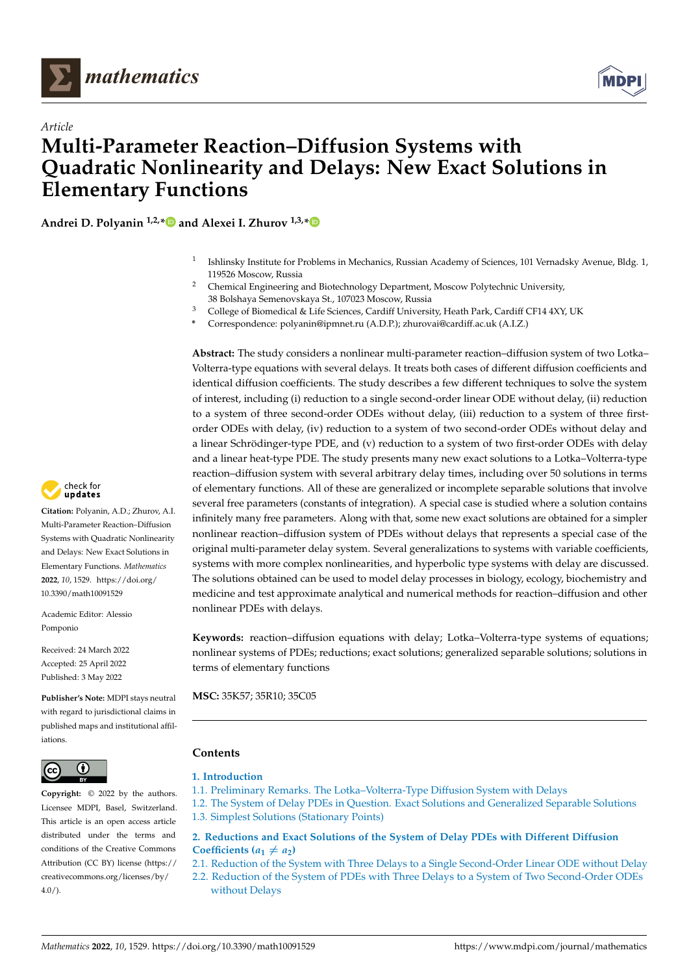<span id="page-0-0"></span>



# *Article* **Multi-Parameter Reaction–Diffusion Systems with Quadratic Nonlinearity and Delays: New Exact Solutions in Elementary Functions**

**Andrei D. Polyanin 1,2,[\\*](https://orcid.org/0000-0002-2610-0590) and Alexei I. Zhurov 1,3,[\\*](https://orcid.org/0000-0002-5594-0740)**

- 1 Ishlinsky Institute for Problems in Mechanics, Russian Academy of Sciences, 101 Vernadsky Avenue, Bldg. 1, 119526 Moscow, Russia
- <sup>2</sup> Chemical Engineering and Biotechnology Department, Moscow Polytechnic University, 38 Bolshaya Semenovskaya St., 107023 Moscow, Russia
- <sup>3</sup> College of Biomedical & Life Sciences, Cardiff University, Heath Park, Cardiff CF14 4XY, UK
- **\*** Correspondence: polyanin@ipmnet.ru (A.D.P.); zhurovai@cardiff.ac.uk (A.I.Z.)

**Abstract:** The study considers a nonlinear multi-parameter reaction–diffusion system of two Lotka– Volterra-type equations with several delays. It treats both cases of different diffusion coefficients and identical diffusion coefficients. The study describes a few different techniques to solve the system of interest, including (i) reduction to a single second-order linear ODE without delay, (ii) reduction to a system of three second-order ODEs without delay, (iii) reduction to a system of three firstorder ODEs with delay, (iv) reduction to a system of two second-order ODEs without delay and a linear Schrödinger-type PDE, and (v) reduction to a system of two first-order ODEs with delay and a linear heat-type PDE. The study presents many new exact solutions to a Lotka–Volterra-type reaction–diffusion system with several arbitrary delay times, including over 50 solutions in terms of elementary functions. All of these are generalized or incomplete separable solutions that involve several free parameters (constants of integration). A special case is studied where a solution contains infinitely many free parameters. Along with that, some new exact solutions are obtained for a simpler nonlinear reaction–diffusion system of PDEs without delays that represents a special case of the original multi-parameter delay system. Several generalizations to systems with variable coefficients, systems with more complex nonlinearities, and hyperbolic type systems with delay are discussed. The solutions obtained can be used to model delay processes in biology, ecology, biochemistry and medicine and test approximate analytical and numerical methods for reaction–diffusion and other nonlinear PDEs with delays.

**Keywords:** reaction–diffusion equations with delay; Lotka–Volterra-type systems of equations; nonlinear systems of PDEs; reductions; exact solutions; generalized separable solutions; solutions in terms of elementary functions

**MSC:** 35K57; 35R10; 35C05

## **Contents**

#### **[1. Introduction](#page-1-0)**

- [1.1. Preliminary Remarks. The Lotka–Volterra-Type Diffusion System with Delays](#page-1-1)
- [1.2. The System of Delay PDEs in Question. Exact Solutions and Generalized Separable Solutions](#page-2-0) [1.3. Simplest Solutions \(Stationary Points\)](#page-3-0)

## **[2. Reductions and Exact Solutions of the System of Delay PDEs with Different Diffusion](#page-4-0) Coefficients**  $(a_1 \neq a_2)$

[2.1. Reduction of the System with Three Delays to a Single Second-Order Linear ODE without Delay](#page-4-1)

[2.2. Reduction of the System of PDEs with Three Delays to a System of Two Second-Order ODEs](#page-5-0) [without Delays](#page-5-0)



**Citation:** Polyanin, A.D.; Zhurov, A.I. Multi-Parameter Reaction–Diffusion Systems with Quadratic Nonlinearity and Delays: New Exact Solutions in Elementary Functions. *Mathematics* **2022**, *10*, 1529. [https://doi.org/](https://doi.org/10.3390/math10091529) [10.3390/math10091529](https://doi.org/10.3390/math10091529)

Academic Editor: Alessio Pomponio

Received: 24 March 2022 Accepted: 25 April 2022 Published: 3 May 2022

**Publisher's Note:** MDPI stays neutral with regard to jurisdictional claims in published maps and institutional affiliations.



**Copyright:** © 2022 by the authors. Licensee MDPI, Basel, Switzerland. This article is an open access article distributed under the terms and conditions of the Creative Commons Attribution (CC BY) license [\(https://](https://creativecommons.org/licenses/by/4.0/) [creativecommons.org/licenses/by/](https://creativecommons.org/licenses/by/4.0/)  $4.0/$ ).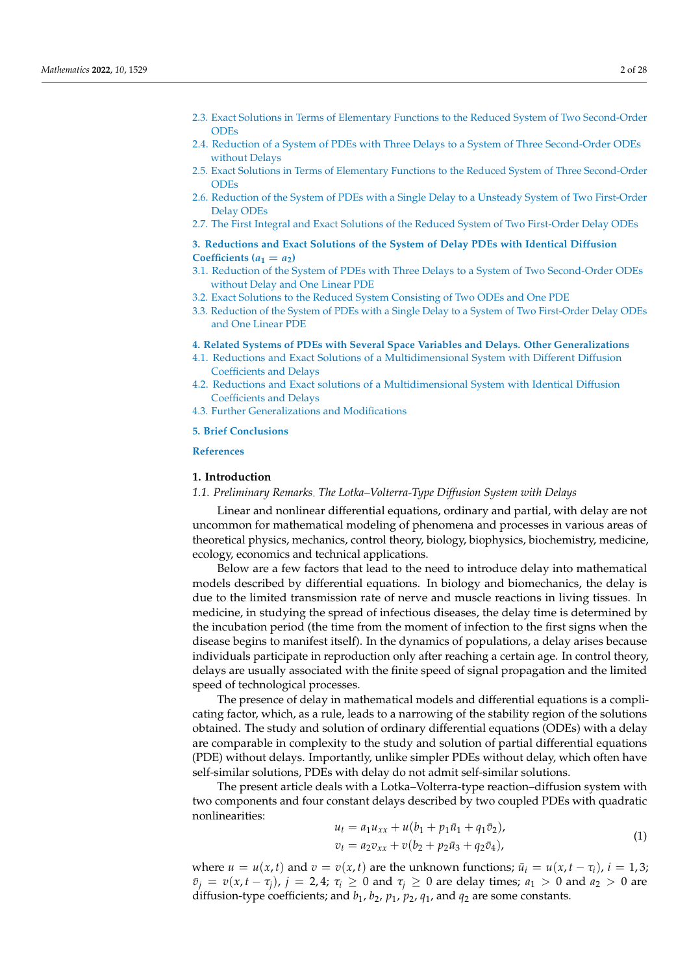- [2.3. Exact Solutions in Terms of Elementary Functions to the Reduced System of Two Second-Order](#page-8-0) [ODEs](#page-8-0)
- [2.4. Reduction of a System of PDEs with Three Delays to a System of Three Second-Order ODEs](#page-12-0) [without Delays](#page-12-0)
- [2.5. Exact Solutions in Terms of Elementary Functions to the Reduced System of Three Second-Order](#page-13-0) [ODEs](#page-13-0)
- [2.6. Reduction of the System of PDEs with a Single Delay to a Unsteady System of Two First-Order](#page-14-0) [Delay ODEs](#page-14-0)
- [2.7. The First Integral and Exact Solutions of the Reduced System of Two First-Order Delay ODEs](#page-15-0)

## **[3. Reductions and Exact Solutions of the System of Delay PDEs with Identical Diffusion](#page-17-0)** Coefficients  $(a_1 = a_2)$

- [3.1. Reduction of the System of PDEs with Three Delays to a System of Two Second-Order ODEs](#page-17-1) [without Delay and One Linear PDE](#page-17-1)
- [3.2. Exact Solutions to the Reduced System Consisting of Two ODEs and One PDE](#page-18-0)
- [3.3. Reduction of the System of PDEs with a Single Delay to a System of Two First-Order Delay ODEs](#page-20-0) [and One Linear PDE](#page-20-0)

#### **[4. Related Systems of PDEs with Several Space Variables and Delays. Other Generalizations](#page-21-0)**

- [4.1. Reductions and Exact Solutions of a Multidimensional System with Different Diffusion](#page-21-1) [Coefficients and Delays](#page-21-1)
- [4.2. Reductions and Exact solutions of a Multidimensional System with Identical Diffusion](#page-22-0) [Coefficients and Delays](#page-22-0)
- [4.3. Further Generalizations and Modifications](#page-23-0)

#### **[5. Brief Conclusions](#page-24-0)**

## <span id="page-1-0"></span>**[References](#page-0-0)**

## **1. Introduction**

#### <span id="page-1-1"></span>*1.1. Preliminary Remarks The Lotka–Volterra-Type Diffusion System with Delays*

Linear and nonlinear differential equations, ordinary and partial, with delay are not uncommon for mathematical modeling of phenomena and processes in various areas of theoretical physics, mechanics, control theory, biology, biophysics, biochemistry, medicine, ecology, economics and technical applications.

Below are a few factors that lead to the need to introduce delay into mathematical models described by differential equations. In biology and biomechanics, the delay is due to the limited transmission rate of nerve and muscle reactions in living tissues. In medicine, in studying the spread of infectious diseases, the delay time is determined by the incubation period (the time from the moment of infection to the first signs when the disease begins to manifest itself). In the dynamics of populations, a delay arises because individuals participate in reproduction only after reaching a certain age. In control theory, delays are usually associated with the finite speed of signal propagation and the limited speed of technological processes.

The presence of delay in mathematical models and differential equations is a complicating factor, which, as a rule, leads to a narrowing of the stability region of the solutions obtained. The study and solution of ordinary differential equations (ODEs) with a delay are comparable in complexity to the study and solution of partial differential equations (PDE) without delays. Importantly, unlike simpler PDEs without delay, which often have self-similar solutions, PDEs with delay do not admit self-similar solutions.

The present article deals with a Lotka–Volterra-type reaction–diffusion system with two components and four constant delays described by two coupled PDEs with quadratic nonlinearities: *u<sup>t</sup>* = *a*1*uxx* + *u*(*b*<sup>1</sup> + *p*1*u*¯<sup>1</sup> + *q*1*v*¯2),

<span id="page-1-2"></span>
$$
u_t = a_1 u_{xx} + u(b_1 + p_1 u_1 + q_1 v_2),
$$
  
\n
$$
v_t = a_2 v_{xx} + v(b_2 + p_2 u_3 + q_2 v_4),
$$
\n(1)

where  $u = u(x, t)$  and  $v = v(x, t)$  are the unknown functions;  $\bar{u}_i = u(x, t - \tau_i)$ ,  $i = 1, 3$ ;  $\bar{v}_i = v(x, t - \tau_i)$ ,  $j = 2, 4$ ;  $\tau_i \geq 0$  and  $\tau_i \geq 0$  are delay times;  $a_1 > 0$  and  $a_2 > 0$  are diffusion-type coefficients; and  $b_1$ ,  $b_2$ ,  $p_1$ ,  $p_2$ ,  $q_1$ , and  $q_2$  are some constants.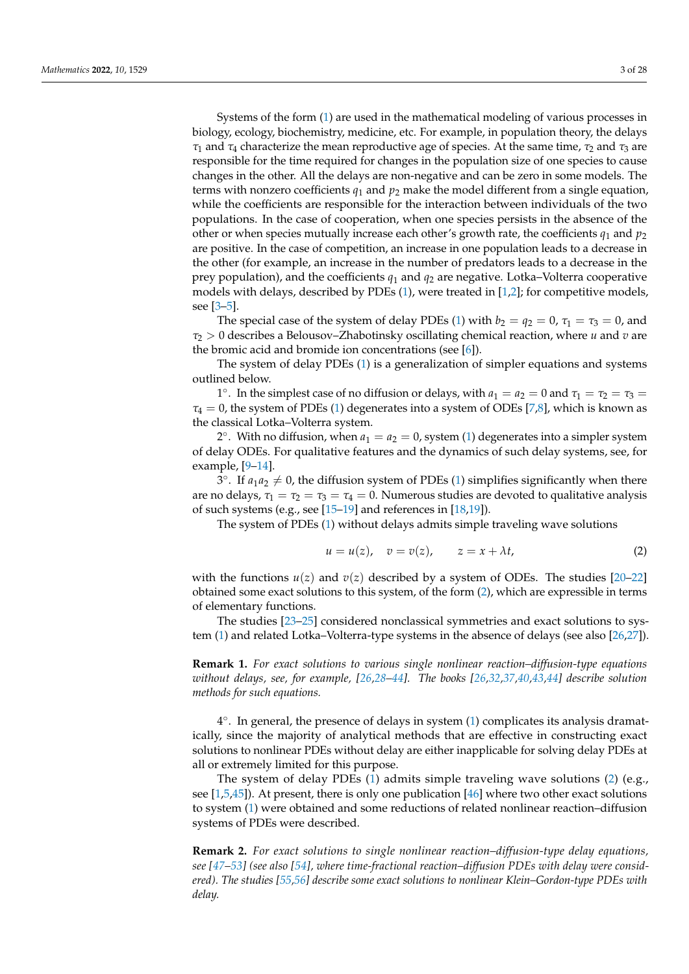Systems of the form [\(1\)](#page-1-2) are used in the mathematical modeling of various processes in biology, ecology, biochemistry, medicine, etc. For example, in population theory, the delays  $\tau_1$  and  $\tau_4$  characterize the mean reproductive age of species. At the same time,  $\tau_2$  and  $\tau_3$  are responsible for the time required for changes in the population size of one species to cause changes in the other. All the delays are non-negative and can be zero in some models. The terms with nonzero coefficients  $q_1$  and  $p_2$  make the model different from a single equation, while the coefficients are responsible for the interaction between individuals of the two populations. In the case of cooperation, when one species persists in the absence of the other or when species mutually increase each other's growth rate, the coefficients  $q_1$  and  $p_2$ are positive. In the case of competition, an increase in one population leads to a decrease in the other (for example, an increase in the number of predators leads to a decrease in the prey population), and the coefficients  $q_1$  and  $q_2$  are negative. Lotka–Volterra cooperative models with delays, described by PDEs  $(1)$ , were treated in  $[1,2]$  $[1,2]$ ; for competitive models, see [\[3–](#page-25-2)[5\]](#page-25-3).

The special case of the system of delay PDEs [\(1\)](#page-1-2) with  $b_2 = q_2 = 0$ ,  $\tau_1 = \tau_3 = 0$ , and  $\tau_2 > 0$  describes a Belousov–Zhabotinsky oscillating chemical reaction, where *u* and *v* are the bromic acid and bromide ion concentrations (see [\[6\]](#page-25-4)).

The system of delay PDEs [\(1\)](#page-1-2) is a generalization of simpler equations and systems outlined below.

<sup>1</sup>°. In the simplest case of no diffusion or delays, with  $a_1 = a_2 = 0$  and  $τ_1 = τ_2 = τ_3$ *τ*<sup>4</sup> = 0, the system of PDEs [\(1\)](#page-1-2) degenerates into a system of ODEs [\[7](#page-25-5)[,8\]](#page-25-6), which is known as the classical Lotka–Volterra system.

2°. With no diffusion, when  $a_1 = a_2 = 0$ , system [\(1\)](#page-1-2) degenerates into a simpler system of delay ODEs. For qualitative features and the dynamics of such delay systems, see, for example, [\[9](#page-25-7)[–14\]](#page-25-8).

 $3^{\circ}$ . If  $a_1a_2 \neq 0$ , the diffusion system of PDEs [\(1\)](#page-1-2) simplifies significantly when there are no delays,  $\tau_1 = \tau_2 = \tau_3 = \tau_4 = 0$ . Numerous studies are devoted to qualitative analysis of such systems (e.g., see [\[15](#page-25-9)[–19\]](#page-25-10) and references in [\[18,](#page-25-11)[19\]](#page-25-10)).

The system of PDEs [\(1\)](#page-1-2) without delays admits simple traveling wave solutions

<span id="page-2-1"></span>
$$
u = u(z), \quad v = v(z), \qquad z = x + \lambda t,
$$
\n<sup>(2)</sup>

with the functions  $u(z)$  and  $v(z)$  described by a system of ODEs. The studies  $[20-22]$  $[20-22]$ obtained some exact solutions to this system, of the form [\(2\)](#page-2-1), which are expressible in terms of elementary functions.

The studies [\[23–](#page-25-14)[25\]](#page-25-15) considered nonclassical symmetries and exact solutions to system [\(1\)](#page-1-2) and related Lotka–Volterra-type systems in the absence of delays (see also [\[26](#page-25-16)[,27\]](#page-26-0)).

**Remark 1.** *For exact solutions to various single nonlinear reaction–diffusion-type equations without delays, see, for example, [\[26,](#page-25-16)[28–](#page-26-1)[44\]](#page-26-2). The books [\[26,](#page-25-16)[32](#page-26-3)[,37,](#page-26-4)[40](#page-26-5)[,43,](#page-26-6)[44\]](#page-26-2) describe solution methods for such equations.*

4 ◦ . In general, the presence of delays in system [\(1\)](#page-1-2) complicates its analysis dramatically, since the majority of analytical methods that are effective in constructing exact solutions to nonlinear PDEs without delay are either inapplicable for solving delay PDEs at all or extremely limited for this purpose.

The system of delay PDEs [\(1\)](#page-1-2) admits simple traveling wave solutions [\(2\)](#page-2-1) (e.g., see [\[1](#page-25-0)[,5](#page-25-3)[,45\]](#page-26-7)). At present, there is only one publication [\[46\]](#page-26-8) where two other exact solutions to system [\(1\)](#page-1-2) were obtained and some reductions of related nonlinear reaction–diffusion systems of PDEs were described.

<span id="page-2-0"></span>**Remark 2.** *For exact solutions to single nonlinear reaction–diffusion-type delay equations, see [\[47](#page-26-9)[–53\]](#page-26-10) (see also [\[54\]](#page-26-11), where time-fractional reaction–diffusion PDEs with delay were considered). The studies [\[55](#page-26-12)[,56\]](#page-26-13) describe some exact solutions to nonlinear Klein–Gordon-type PDEs with delay.*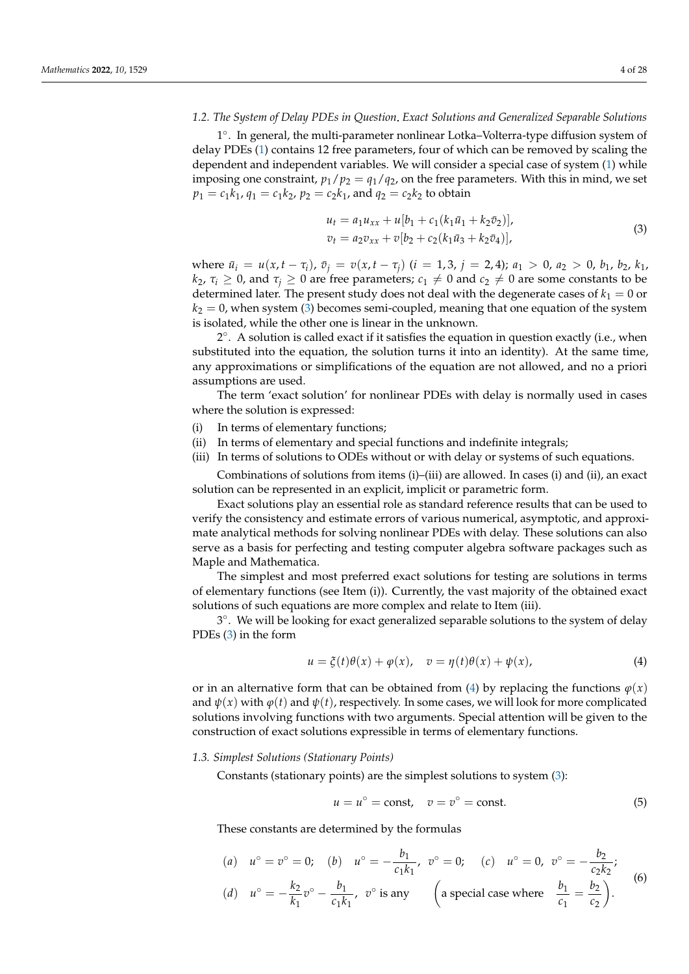#### *1.2. The System of Delay PDEs in Question Exact Solutions and Generalized Separable Solutions*

1 ◦ . In general, the multi-parameter nonlinear Lotka–Volterra-type diffusion system of delay PDEs [\(1\)](#page-1-2) contains 12 free parameters, four of which can be removed by scaling the dependent and independent variables. We will consider a special case of system [\(1\)](#page-1-2) while imposing one constraint,  $p_1/p_2 = q_1/q_2$ , on the free parameters. With this in mind, we set  $p_1 = c_1 k_1$ ,  $q_1 = c_1 k_2$ ,  $p_2 = c_2 k_1$ , and  $q_2 = c_2 k_2$  to obtain

<span id="page-3-1"></span>
$$
u_t = a_1 u_{xx} + u[b_1 + c_1(k_1 \bar{u}_1 + k_2 \bar{v}_2)],
$$
  
\n
$$
v_t = a_2 v_{xx} + v[b_2 + c_2(k_1 \bar{u}_3 + k_2 \bar{v}_4)],
$$
\n(3)

where  $\bar{u}_i = u(x, t - \tau_i)$ ,  $\bar{v}_i = v(x, t - \tau_i)$   $(i = 1, 3, j = 2, 4)$ ;  $a_1 > 0$ ,  $a_2 > 0$ ,  $b_1$ ,  $b_2$ ,  $k_1$ , *k*<sub>2</sub>, *τ*<sub>*i*</sub>  $\ge$  0, and *τ*<sub>*i*</sub>  $\ge$  0 are free parameters; *c*<sub>1</sub>  $\neq$  0 and *c*<sub>2</sub>  $\neq$  0 are some constants to be determined later. The present study does not deal with the degenerate cases of  $k_1 = 0$  or  $k_2 = 0$ , when system [\(3\)](#page-3-1) becomes semi-coupled, meaning that one equation of the system is isolated, while the other one is linear in the unknown.

2 ◦ . A solution is called exact if it satisfies the equation in question exactly (i.e., when substituted into the equation, the solution turns it into an identity). At the same time, any approximations or simplifications of the equation are not allowed, and no a priori assumptions are used.

The term 'exact solution' for nonlinear PDEs with delay is normally used in cases where the solution is expressed:

- (i) In terms of elementary functions;
- (ii) In terms of elementary and special functions and indefinite integrals;
- (iii) In terms of solutions to ODEs without or with delay or systems of such equations.

Combinations of solutions from items (i)–(iii) are allowed. In cases (i) and (ii), an exact solution can be represented in an explicit, implicit or parametric form.

Exact solutions play an essential role as standard reference results that can be used to verify the consistency and estimate errors of various numerical, asymptotic, and approximate analytical methods for solving nonlinear PDEs with delay. These solutions can also serve as a basis for perfecting and testing computer algebra software packages such as Maple and Mathematica.

The simplest and most preferred exact solutions for testing are solutions in terms of elementary functions (see Item (i)). Currently, the vast majority of the obtained exact solutions of such equations are more complex and relate to Item (iii).

3 ◦ . We will be looking for exact generalized separable solutions to the system of delay PDEs [\(3\)](#page-3-1) in the form

<span id="page-3-2"></span>
$$
u = \xi(t)\theta(x) + \varphi(x), \quad v = \eta(t)\theta(x) + \psi(x), \tag{4}
$$

or in an alternative form that can be obtained from [\(4\)](#page-3-2) by replacing the functions  $\varphi(x)$ and  $\psi(x)$  with  $\varphi(t)$  and  $\psi(t)$ , respectively. In some cases, we will look for more complicated solutions involving functions with two arguments. Special attention will be given to the construction of exact solutions expressible in terms of elementary functions.

#### <span id="page-3-0"></span>*1.3. Simplest Solutions (Stationary Points)*

Constants (stationary points) are the simplest solutions to system [\(3\)](#page-3-1):

<span id="page-3-4"></span>
$$
u = u^{\circ} = \text{const}, \quad v = v^{\circ} = \text{const.}
$$
 (5)

These constants are determined by the formulas

<span id="page-3-3"></span>(a) 
$$
u^{\circ} = v^{\circ} = 0
$$
; (b)  $u^{\circ} = -\frac{b_1}{c_1 k_1}$ ,  $v^{\circ} = 0$ ; (c)  $u^{\circ} = 0$ ,  $v^{\circ} = -\frac{b_2}{c_2 k_2}$ ;  
\n(d)  $u^{\circ} = -\frac{k_2}{k_1} v^{\circ} - \frac{b_1}{c_1 k_1}$ ,  $v^{\circ}$  is any  $\left(\text{a special case where } \frac{b_1}{c_1} = \frac{b_2}{c_2}\right)$ . (6)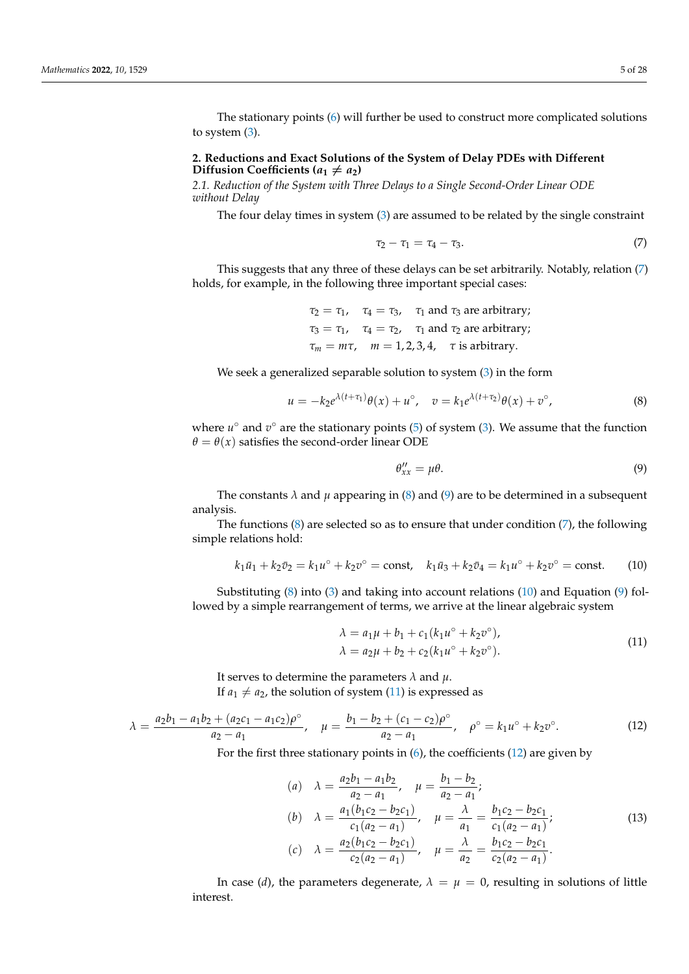The stationary points [\(6\)](#page-3-3) will further be used to construct more complicated solutions to system [\(3\)](#page-3-1).

## <span id="page-4-0"></span>**2. Reductions and Exact Solutions of the System of Delay PDEs with Different Diffusion Coefficients (** $a_1 \neq a_2$ **)**

<span id="page-4-1"></span>*2.1. Reduction of the System with Three Delays to a Single Second-Order Linear ODE without Delay*

The four delay times in system [\(3\)](#page-3-1) are assumed to be related by the single constraint

<span id="page-4-2"></span>
$$
\tau_2 - \tau_1 = \tau_4 - \tau_3. \tag{7}
$$

This suggests that any three of these delays can be set arbitrarily. Notably, relation [\(7\)](#page-4-2) holds, for example, in the following three important special cases:

> $\tau_2 = \tau_1$ ,  $\tau_4 = \tau_3$ ,  $\tau_1$  and  $\tau_3$  are arbitrary;  $\tau_3 = \tau_1$ ,  $\tau_4 = \tau_2$ ,  $\tau_1$  and  $\tau_2$  are arbitrary;  $\tau_m = m\tau$ ,  $m = 1, 2, 3, 4$ ,  $\tau$  is arbitrary.

We seek a generalized separable solution to system [\(3\)](#page-3-1) in the form

$$
u = -k_2 e^{\lambda(t+\tau_1)} \theta(x) + u^{\circ}, \quad v = k_1 e^{\lambda(t+\tau_2)} \theta(x) + v^{\circ}, \tag{8}
$$

where  $u^{\circ}$  and  $v^{\circ}$  are the stationary points [\(5\)](#page-3-4) of system [\(3\)](#page-3-1). We assume that the function  $\theta = \theta(x)$  satisfies the second-order linear ODE

<span id="page-4-4"></span><span id="page-4-3"></span>
$$
\theta_{xx}^{\prime\prime} = \mu \theta. \tag{9}
$$

The constants  $\lambda$  and  $\mu$  appearing in [\(8\)](#page-4-3) and [\(9\)](#page-4-4) are to be determined in a subsequent analysis.

The functions  $(8)$  are selected so as to ensure that under condition  $(7)$ , the following simple relations hold:

<span id="page-4-5"></span>
$$
k_1\bar{u}_1 + k_2\bar{v}_2 = k_1u^{\circ} + k_2v^{\circ} = \text{const}, \quad k_1\bar{u}_3 + k_2\bar{v}_4 = k_1u^{\circ} + k_2v^{\circ} = \text{const.}
$$
 (10)

Substituting [\(8\)](#page-4-3) into [\(3\)](#page-3-1) and taking into account relations [\(10\)](#page-4-5) and Equation [\(9\)](#page-4-4) followed by a simple rearrangement of terms, we arrive at the linear algebraic system

<span id="page-4-6"></span>
$$
\lambda = a_1 \mu + b_1 + c_1 (k_1 u^{\circ} + k_2 v^{\circ}), \n\lambda = a_2 \mu + b_2 + c_2 (k_1 u^{\circ} + k_2 v^{\circ}).
$$
\n(11)

It serves to determine the parameters *λ* and *µ*. If  $a_1 \neq a_2$ , the solution of system [\(11\)](#page-4-6) is expressed as

<span id="page-4-7"></span>
$$
\lambda = \frac{a_2 b_1 - a_1 b_2 + (a_2 c_1 - a_1 c_2) \rho^{\circ}}{a_2 - a_1}, \quad \mu = \frac{b_1 - b_2 + (c_1 - c_2) \rho^{\circ}}{a_2 - a_1}, \quad \rho^{\circ} = k_1 u^{\circ} + k_2 v^{\circ}.
$$
 (12)

For the first three stationary points in [\(6\)](#page-3-3), the coefficients [\(12\)](#page-4-7) are given by

<span id="page-4-8"></span>(a) 
$$
\lambda = \frac{a_2 b_1 - a_1 b_2}{a_2 - a_1}, \quad \mu = \frac{b_1 - b_2}{a_2 - a_1};
$$
  
\n(b)  $\lambda = \frac{a_1 (b_1 c_2 - b_2 c_1)}{c_1 (a_2 - a_1)}, \quad \mu = \frac{\lambda}{a_1} = \frac{b_1 c_2 - b_2 c_1}{c_1 (a_2 - a_1)};$   
\n(c)  $\lambda = \frac{a_2 (b_1 c_2 - b_2 c_1)}{c_2 (a_2 - a_1)}, \quad \mu = \frac{\lambda}{a_2} = \frac{b_1 c_2 - b_2 c_1}{c_2 (a_2 - a_1)}.$  (13)

In case (*d*), the parameters degenerate,  $\lambda = \mu = 0$ , resulting in solutions of little interest.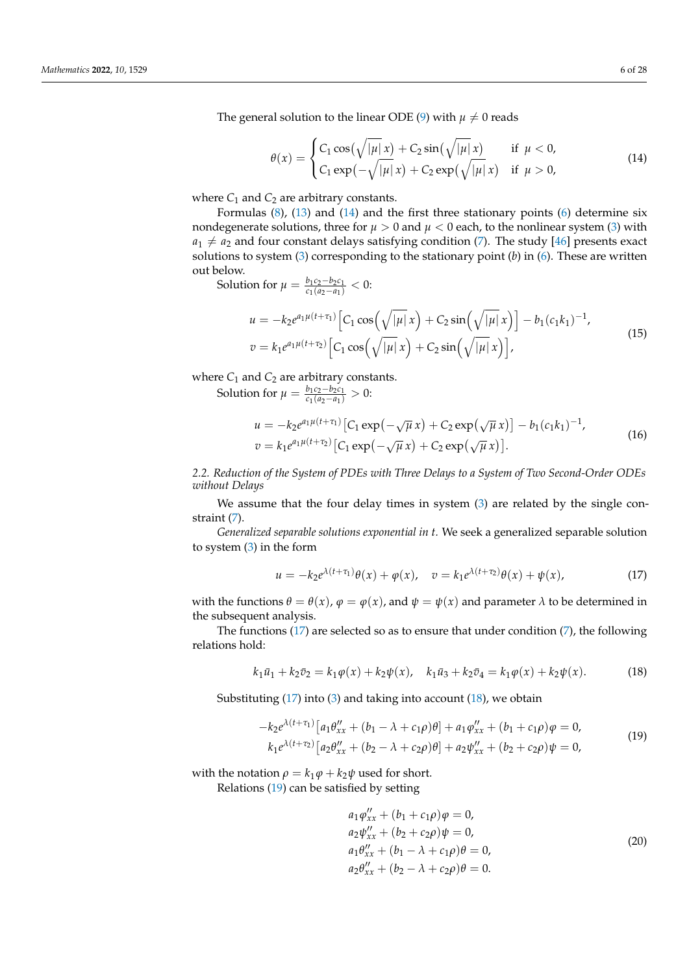The general solution to the linear ODE [\(9\)](#page-4-4) with  $\mu \neq 0$  reads

<span id="page-5-1"></span>
$$
\theta(x) = \begin{cases} C_1 \cos(\sqrt{|\mu|} x) + C_2 \sin(\sqrt{|\mu|} x) & \text{if } \mu < 0, \\ C_1 \exp(-\sqrt{|\mu|} x) + C_2 \exp(\sqrt{|\mu|} x) & \text{if } \mu > 0, \end{cases}
$$
(14)

where  $C_1$  and  $C_2$  are arbitrary constants.

Formulas  $(8)$ ,  $(13)$  and  $(14)$  and the first three stationary points  $(6)$  determine six nondegenerate solutions, three for  $\mu > 0$  and  $\mu < 0$  each, to the nonlinear system [\(3\)](#page-3-1) with  $a_1 \neq a_2$  and four constant delays satisfying condition [\(7\)](#page-4-2). The study [\[46\]](#page-26-8) presents exact solutions to system [\(3\)](#page-3-1) corresponding to the stationary point (*b*) in [\(6\)](#page-3-3). These are written out below.

Solution for  $\mu = \frac{b_1c_2 - b_2c_1}{c_1(a_2 - a_1)}$  $\frac{b_1c_2 - b_2c_1}{c_1(a_2 - a_1)} < 0$ :

<span id="page-5-6"></span>
$$
u = -k_2 e^{a_1 \mu(t + \tau_1)} \Big[ C_1 \cos\left(\sqrt{|\mu|} x\right) + C_2 \sin\left(\sqrt{|\mu|} x\right) \Big] - b_1 (c_1 k_1)^{-1},
$$
  

$$
v = k_1 e^{a_1 \mu(t + \tau_2)} \Big[ C_1 \cos\left(\sqrt{|\mu|} x\right) + C_2 \sin\left(\sqrt{|\mu|} x\right) \Big],
$$
 (15)

where  $C_1$  and  $C_2$  are arbitrary constants.

Solution for  $\mu = \frac{b_1c_2 - b_2c_1}{c_1(a_2 - a_1)}$  $\frac{b_1c_2 - b_2c_1}{c_1(a_2 - a_1)} > 0$ :

<span id="page-5-7"></span>
$$
u = -k_2 e^{a_1 \mu(t + \tau_1)} \left[ C_1 \exp(-\sqrt{\mu} x) + C_2 \exp(\sqrt{\mu} x) \right] - b_1 (c_1 k_1)^{-1},
$$
  
\n
$$
v = k_1 e^{a_1 \mu(t + \tau_2)} \left[ C_1 \exp(-\sqrt{\mu} x) + C_2 \exp(\sqrt{\mu} x) \right].
$$
\n(16)

<span id="page-5-0"></span>*2.2. Reduction of the System of PDEs with Three Delays to a System of Two Second-Order ODEs without Delays*

We assume that the four delay times in system [\(3\)](#page-3-1) are related by the single constraint [\(7\)](#page-4-2).

*Generalized separable solutions exponential in t.* We seek a generalized separable solution to system [\(3\)](#page-3-1) in the form

<span id="page-5-2"></span>
$$
u = -k_2 e^{\lambda(t+\tau_1)} \theta(x) + \varphi(x), \quad v = k_1 e^{\lambda(t+\tau_2)} \theta(x) + \psi(x), \tag{17}
$$

with the functions  $\theta = \theta(x)$ ,  $\varphi = \varphi(x)$ , and  $\psi = \psi(x)$  and parameter  $\lambda$  to be determined in the subsequent analysis.

The functions  $(17)$  are selected so as to ensure that under condition  $(7)$ , the following relations hold:

<span id="page-5-3"></span>
$$
k_1\bar{u}_1 + k_2\bar{v}_2 = k_1\varphi(x) + k_2\psi(x), \quad k_1\bar{u}_3 + k_2\bar{v}_4 = k_1\varphi(x) + k_2\psi(x). \tag{18}
$$

Substituting  $(17)$  into  $(3)$  and taking into account  $(18)$ , we obtain

<span id="page-5-4"></span>
$$
-k_2 e^{\lambda(t+\tau_1)} \left[ a_1 \theta_{xx}'' + (b_1 - \lambda + c_1 \rho) \theta \right] + a_1 \phi_{xx}'' + (b_1 + c_1 \rho) \varphi = 0,
$$
  
\n
$$
k_1 e^{\lambda(t+\tau_2)} \left[ a_2 \theta_{xx}'' + (b_2 - \lambda + c_2 \rho) \theta \right] + a_2 \psi_{xx}'' + (b_2 + c_2 \rho) \psi = 0,
$$
\n(19)

with the notation  $\rho = k_1 \varphi + k_2 \psi$  used for short.

Relations [\(19\)](#page-5-4) can be satisfied by setting

<span id="page-5-5"></span>
$$
a_1 \varphi_{xx}'' + (b_1 + c_1 \rho) \varphi = 0,
$$
  
\n
$$
a_2 \psi_{xx}'' + (b_2 + c_2 \rho) \psi = 0,
$$
  
\n
$$
a_1 \theta_{xx}'' + (b_1 - \lambda + c_1 \rho) \theta = 0,
$$
  
\n
$$
a_2 \theta_{xx}'' + (b_2 - \lambda + c_2 \rho) \theta = 0.
$$
\n(20)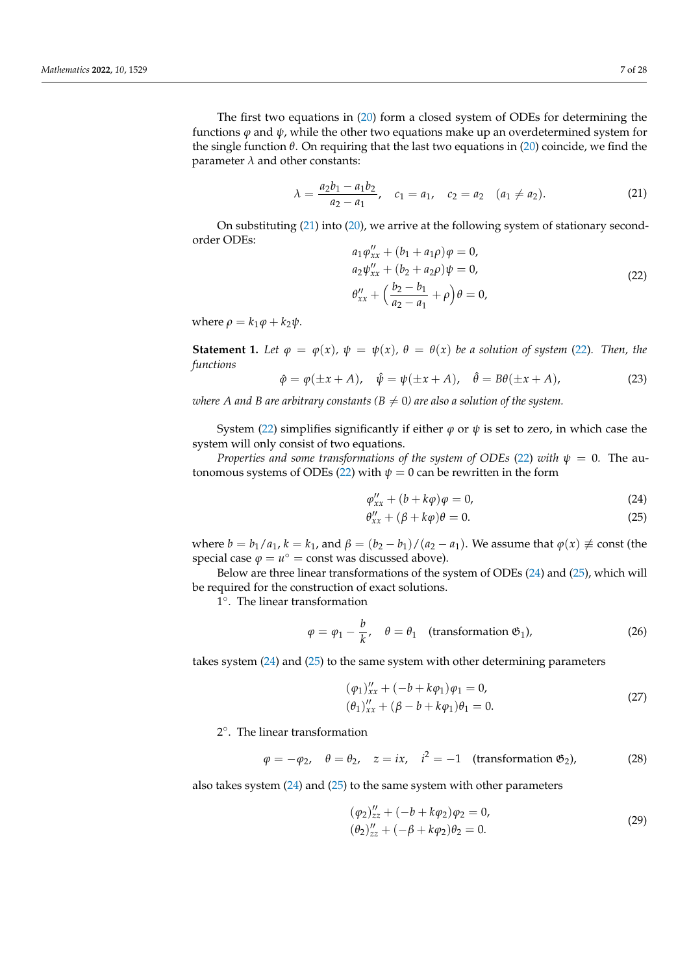The first two equations in [\(20\)](#page-5-5) form a closed system of ODEs for determining the functions  $\varphi$  and  $\psi$ , while the other two equations make up an overdetermined system for the single function  $\theta$ . On requiring that the last two equations in [\(20\)](#page-5-5) coincide, we find the parameter  $\lambda$  and other constants:

<span id="page-6-0"></span>
$$
\lambda = \frac{a_2 b_1 - a_1 b_2}{a_2 - a_1}, \quad c_1 = a_1, \quad c_2 = a_2 \quad (a_1 \neq a_2). \tag{21}
$$

On substituting [\(21\)](#page-6-0) into [\(20\)](#page-5-5), we arrive at the following system of stationary secondorder ODEs:

<span id="page-6-1"></span>
$$
a_1 \varphi_{xx}'' + (b_1 + a_1 \rho) \varphi = 0,
$$
  
\n
$$
a_2 \psi_{xx}'' + (b_2 + a_2 \rho) \psi = 0,
$$
  
\n
$$
\theta_{xx}'' + \left(\frac{b_2 - b_1}{a_2 - a_1} + \rho\right) \theta = 0,
$$
\n(22)

where  $\rho = k_1 \varphi + k_2 \psi$ .

**Statement 1.** *Let*  $\varphi = \varphi(x)$ *,*  $\psi = \psi(x)$ *,*  $\theta = \theta(x)$  *be a solution of system* [\(22\)](#page-6-1)*. Then, the functions*

<span id="page-6-4"></span>
$$
\hat{\varphi} = \varphi(\pm x + A), \quad \hat{\psi} = \psi(\pm x + A), \quad \hat{\theta} = B\theta(\pm x + A), \tag{23}
$$

*where A and B are arbitrary constants (B*  $\neq$  *0) are also a solution of the system.* 

System [\(22\)](#page-6-1) simplifies significantly if either  $\varphi$  or  $\psi$  is set to zero, in which case the system will only consist of two equations.

*Properties and some transformations of the system of ODEs* [\(22\)](#page-6-1) *with*  $\psi = 0$ . The au-tonomous systems of ODEs [\(22\)](#page-6-1) with  $\psi = 0$  can be rewritten in the form

<span id="page-6-2"></span>
$$
\varphi_{xx}^{\prime\prime} + (b + k\varphi)\varphi = 0,\tag{24}
$$

<span id="page-6-3"></span>
$$
\theta_{xx}^{\prime\prime} + (\beta + k\varphi)\theta = 0. \tag{25}
$$

where  $b = b_1/a_1$ ,  $k = k_1$ , and  $\beta = (b_2 - b_1)/(a_2 - a_1)$ . We assume that  $\varphi(x) \neq \text{const}$  (the special case  $\varphi = u^{\circ} = \text{const}$  was discussed above).

Below are three linear transformations of the system of ODEs [\(24\)](#page-6-2) and [\(25\)](#page-6-3), which will be required for the construction of exact solutions.

1 ◦ . The linear transformation

$$
\varphi = \varphi_1 - \frac{b}{k}, \quad \theta = \theta_1 \quad \text{(transformation } \mathfrak{G}_1\text{)}, \tag{26}
$$

takes system [\(24\)](#page-6-2) and [\(25\)](#page-6-3) to the same system with other determining parameters

$$
(\varphi_1)_{xx}'' + (-b + k\varphi_1)\varphi_1 = 0,
$$
  
\n
$$
(\theta_1)_{xx}'' + (\beta - b + k\varphi_1)\theta_1 = 0.
$$
\n(27)

2 ◦ . The linear transformation

$$
\varphi = -\varphi_2, \quad \theta = \theta_2, \quad z = ix, \quad i^2 = -1 \quad \text{(transformation } \mathfrak{G}_2\text{)}, \tag{28}
$$

also takes system [\(24\)](#page-6-2) and [\(25\)](#page-6-3) to the same system with other parameters

$$
(\varphi_2)_{zz}'' + (-b + k\varphi_2)\varphi_2 = 0,
$$
  
\n
$$
(\theta_2)_{zz}'' + (-\beta + k\varphi_2)\theta_2 = 0.
$$
\n(29)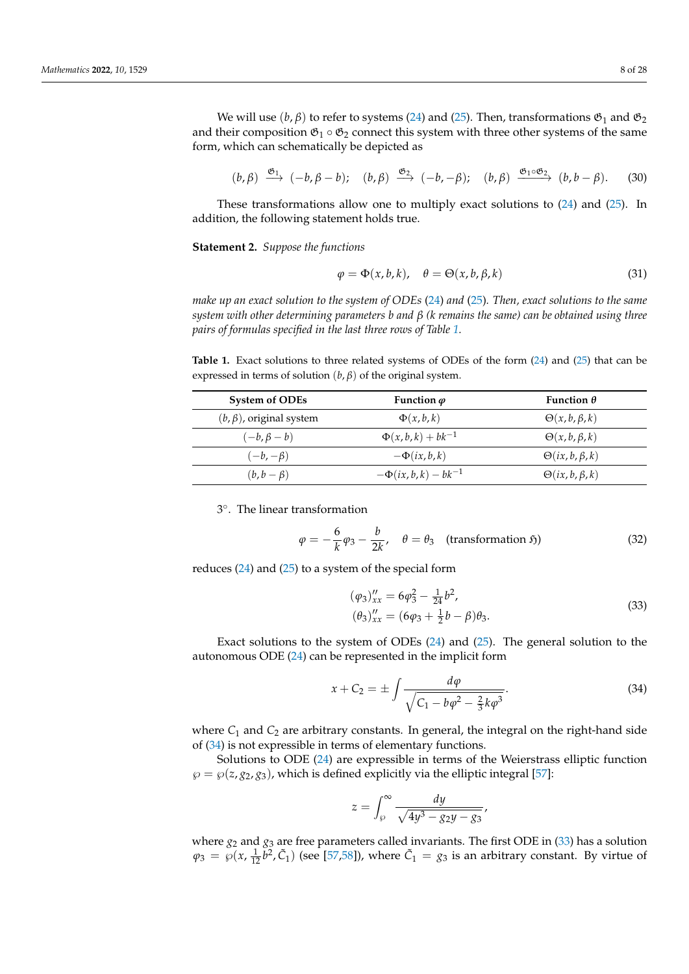We will use  $(b, \beta)$  to refer to systems [\(24\)](#page-6-2) and [\(25\)](#page-6-3). Then, transformations  $\mathfrak{G}_1$  and  $\mathfrak{G}_2$ and their composition  $\mathfrak{G}_1 \circ \mathfrak{G}_2$  connect this system with three other systems of the same form, which can schematically be depicted as

$$
(b, \beta) \xrightarrow{\mathfrak{G}_1} (-b, \beta - b); \quad (b, \beta) \xrightarrow{\mathfrak{G}_2} (-b, -\beta); \quad (b, \beta) \xrightarrow{\mathfrak{G}_1 \circ \mathfrak{G}_2} (b, b - \beta).
$$
 (30)

These transformations allow one to multiply exact solutions to [\(24\)](#page-6-2) and [\(25\)](#page-6-3). In addition, the following statement holds true.

**Statement 2.** *Suppose the functions*

$$
\varphi = \Phi(x, b, k), \quad \theta = \Theta(x, b, \beta, k) \tag{31}
$$

*make up an exact solution to the system of ODEs* [\(24\)](#page-6-2) *and* [\(25\)](#page-6-3)*. Then, exact solutions to the same system with other determining parameters b and β (k remains the same) can be obtained using three pairs of formulas specified in the last three rows of Table [1.](#page-7-0)*

<span id="page-7-0"></span>**Table 1.** Exact solutions to three related systems of ODEs of the form [\(24\)](#page-6-2) and [\(25\)](#page-6-3) that can be expressed in terms of solution  $(b, \beta)$  of the original system.

| <b>System of ODEs</b>          | Function $\varphi$        | Function $\theta$        |
|--------------------------------|---------------------------|--------------------------|
| $(b, \beta)$ , original system | $\Phi(x,b,k)$             | $\Theta(x, b, \beta, k)$ |
| $(-b, \beta - b)$              | $\Phi(x, b, k) + bk^{-1}$ | $\Theta(x, b, \beta, k)$ |
| $(-b,-\beta)$                  | $-\Phi(ix,b,k)$           | $\Theta(ix,b,\beta,k)$   |
| $(b, b - \beta)$               | $-\Phi(ix,b,k) - bk^{-1}$ | $\Theta(ix,b,\beta,k)$   |

3 ◦ . The linear transformation

$$
\varphi = -\frac{6}{k}\varphi_3 - \frac{b}{2k}, \quad \theta = \theta_3 \quad \text{(transformation 5)}
$$
 (32)

reduces  $(24)$  and  $(25)$  to a system of the special form

<span id="page-7-3"></span><span id="page-7-2"></span>
$$
(\varphi_3)_{xx}'' = 6\varphi_3^2 - \frac{1}{24}b^2,
$$
  

$$
(\theta_3)_{xx}'' = (6\varphi_3 + \frac{1}{2}b - \beta)\theta_3.
$$
 (33)

Exact solutions to the system of ODEs [\(24\)](#page-6-2) and [\(25\)](#page-6-3). The general solution to the autonomous ODE [\(24\)](#page-6-2) can be represented in the implicit form

<span id="page-7-1"></span>
$$
x + C_2 = \pm \int \frac{d\varphi}{\sqrt{C_1 - b\varphi^2 - \frac{2}{3}k\varphi^3}}.
$$
 (34)

where  $C_1$  and  $C_2$  are arbitrary constants. In general, the integral on the right-hand side of [\(34\)](#page-7-1) is not expressible in terms of elementary functions.

Solutions to ODE [\(24\)](#page-6-2) are expressible in terms of the Weierstrass elliptic function  $\wp = \wp(z, g_2, g_3)$ , which is defined explicitly via the elliptic integral [\[57\]](#page-26-14):

$$
z = \int_{\wp}^{\infty} \frac{dy}{\sqrt{4y^3 - g_2y - g_3}},
$$

where *g*<sup>2</sup> and *g*<sup>3</sup> are free parameters called invariants. The first ODE in [\(33\)](#page-7-2) has a solution  $\varphi_3 = \varphi(x, \frac{1}{12}b^2, \tilde{C}_1)$  (see [\[57](#page-26-14)[,58\]](#page-27-0)), where  $\tilde{C}_1 = g_3$  is an arbitrary constant. By virtue of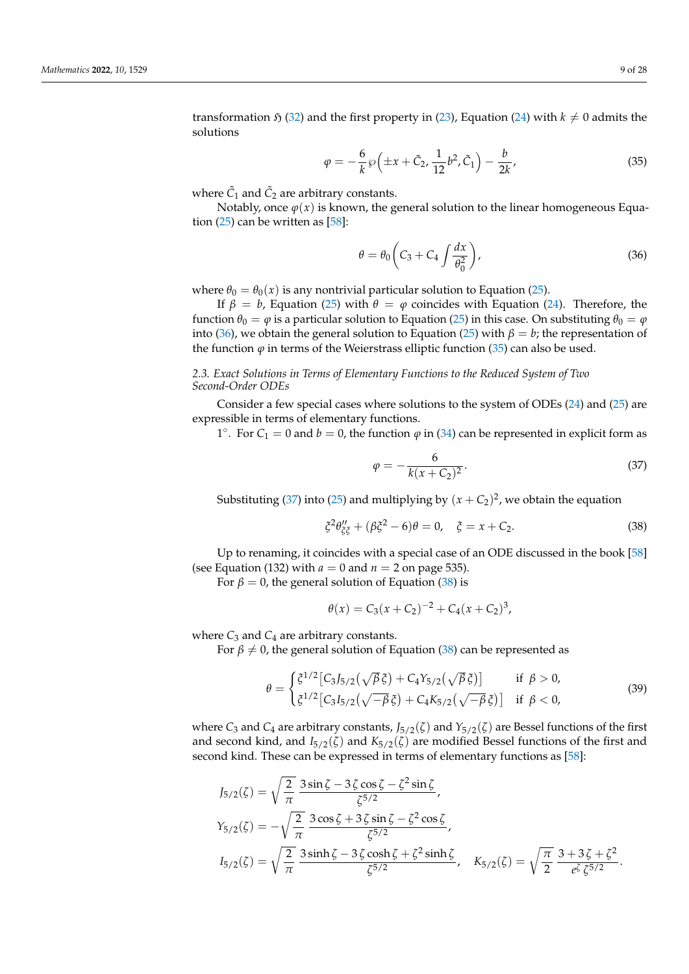transformation  $\mathfrak{H}$  [\(32\)](#page-7-3) and the first property in [\(23\)](#page-6-4), Equation [\(24\)](#page-6-2) with  $k \neq 0$  admits the solutions

$$
\varphi = -\frac{6}{k}\wp\left(\pm x + \tilde{C}_2, \frac{1}{12}b^2, \tilde{C}_1\right) - \frac{b}{2k},\tag{35}
$$

where  $\tilde{C}_1$  and  $\tilde{C}_2$  are arbitrary constants.

Notably, once  $\varphi(x)$  is known, the general solution to the linear homogeneous Equation  $(25)$  can be written as  $[58]$ :

<span id="page-8-2"></span><span id="page-8-1"></span>
$$
\theta = \theta_0 \left( C_3 + C_4 \int \frac{dx}{\theta_0^2} \right),\tag{36}
$$

where  $\theta_0 = \theta_0(x)$  is any nontrivial particular solution to Equation [\(25\)](#page-6-3).

If  $β = b$ , Equation [\(25\)](#page-6-3) with  $θ = φ$  coincides with Equation [\(24\)](#page-6-2). Therefore, the function  $\theta_0 = \varphi$  is a particular solution to Equation [\(25\)](#page-6-3) in this case. On substituting  $\theta_0 = \varphi$ into [\(36\)](#page-8-1), we obtain the general solution to Equation [\(25\)](#page-6-3) with  $\beta = b$ ; the representation of the function  $\varphi$  in terms of the Weierstrass elliptic function [\(35\)](#page-8-2) can also be used.

# <span id="page-8-0"></span>*2.3. Exact Solutions in Terms of Elementary Functions to the Reduced System of Two Second-Order ODEs*

Consider a few special cases where solutions to the system of ODEs [\(24\)](#page-6-2) and [\(25\)](#page-6-3) are expressible in terms of elementary functions.

1°. For  $C_1 = 0$  and  $b = 0$ , the function  $\varphi$  in [\(34\)](#page-7-1) can be represented in explicit form as

<span id="page-8-4"></span><span id="page-8-3"></span>
$$
\varphi = -\frac{6}{k(x + C_2)^2}.\tag{37}
$$

Substituting [\(37\)](#page-8-3) into [\(25\)](#page-6-3) and multiplying by  $(x + C_2)^2$ , we obtain the equation

$$
\xi^2 \theta''_{\xi\xi} + (\beta \xi^2 - 6)\theta = 0, \quad \xi = x + C_2.
$$
 (38)

Up to renaming, it coincides with a special case of an ODE discussed in the book [\[58\]](#page-27-0) (see Equation (132) with  $a = 0$  and  $n = 2$  on page 535).

For  $\beta = 0$ , the general solution of Equation [\(38\)](#page-8-4) is

$$
\theta(x) = C_3(x + C_2)^{-2} + C_4(x + C_2)^3,
$$

where  $C_3$  and  $C_4$  are arbitrary constants.

For  $\beta \neq 0$ , the general solution of Equation [\(38\)](#page-8-4) can be represented as

$$
\theta = \begin{cases} \xi^{1/2} \left[ C_3 J_{5/2}(\sqrt{\beta} \xi) + C_4 Y_{5/2}(\sqrt{\beta} \xi) \right] & \text{if } \beta > 0, \\ \xi^{1/2} \left[ C_3 I_{5/2}(\sqrt{-\beta} \xi) + C_4 K_{5/2}(\sqrt{-\beta} \xi) \right] & \text{if } \beta < 0, \end{cases}
$$
(39)

where  $C_3$  and  $C_4$  are arbitrary constants,  $J_{5/2}(\zeta)$  and  $Y_{5/2}(\zeta)$  are Bessel functions of the first and second kind, and  $I_{5/2}(\zeta)$  and  $K_{5/2}(\zeta)$  are modified Bessel functions of the first and second kind. These can be expressed in terms of elementary functions as [\[58\]](#page-27-0):

$$
J_{5/2}(\zeta) = \sqrt{\frac{2}{\pi}} \frac{3 \sin \zeta - 3 \zeta \cos \zeta - \zeta^2 \sin \zeta}{\zeta^{5/2}},
$$
  
\n
$$
Y_{5/2}(\zeta) = -\sqrt{\frac{2}{\pi}} \frac{3 \cos \zeta + 3 \zeta \sin \zeta - \zeta^2 \cos \zeta}{\zeta^{5/2}},
$$
  
\n
$$
I_{5/2}(\zeta) = \sqrt{\frac{2}{\pi}} \frac{3 \sinh \zeta - 3 \zeta \cosh \zeta + \zeta^2 \sinh \zeta}{\zeta^{5/2}}, \quad K_{5/2}(\zeta) = \sqrt{\frac{\pi}{2}} \frac{3 + 3 \zeta + \zeta^2}{e^{\zeta} \zeta^{5/2}}.
$$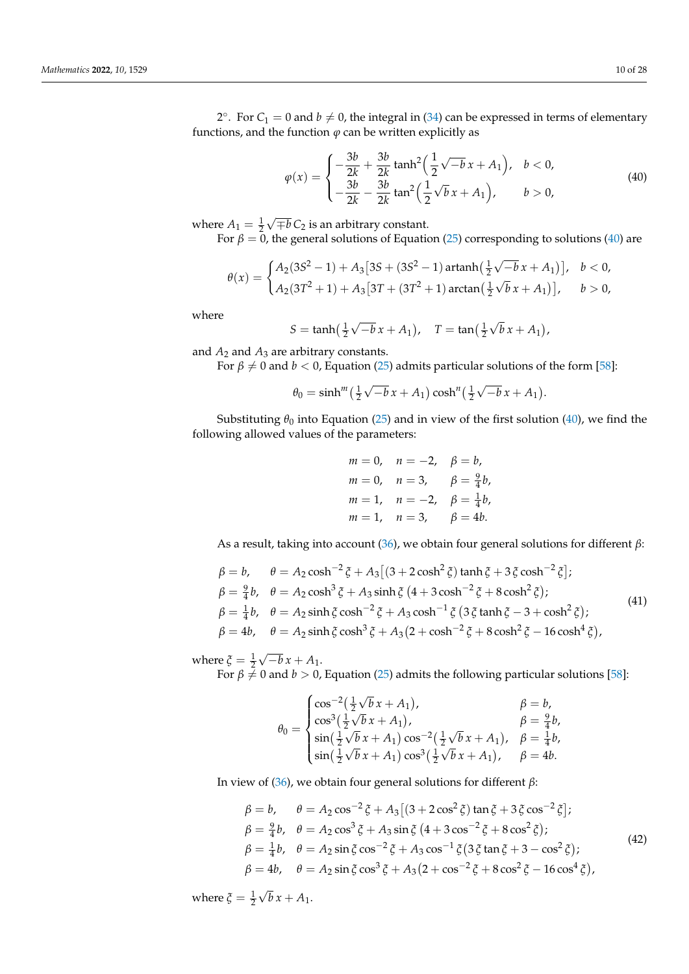2°. For  $C_1 = 0$  and  $b \neq 0$ , the integral in [\(34\)](#page-7-1) can be expressed in terms of elementary functions, and the function  $\varphi$  can be written explicitly as

<span id="page-9-0"></span>
$$
\varphi(x) = \begin{cases}\n-\frac{3b}{2k} + \frac{3b}{2k} \tanh^2\left(\frac{1}{2}\sqrt{-b}x + A_1\right), & b < 0, \\
-\frac{3b}{2k} - \frac{3b}{2k} \tan^2\left(\frac{1}{2}\sqrt{b}x + A_1\right), & b > 0,\n\end{cases}
$$
\n(40)

where  $A_1 = \frac{1}{2}$ √ ∓*b C*<sup>2</sup> is an arbitrary constant.

For  $\beta = 0$ , the general solutions of Equation [\(25\)](#page-6-3) corresponding to solutions [\(40\)](#page-9-0) are

$$
\theta(x) = \begin{cases} A_2(3S^2 - 1) + A_3[3S + (3S^2 - 1) \operatorname{artanh}(\frac{1}{2}\sqrt{-b} x + A_1)], & b < 0, \\ A_2(3T^2 + 1) + A_3[3T + (3T^2 + 1) \operatorname{arctan}(\frac{1}{2}\sqrt{b} x + A_1)], & b > 0, \end{cases}
$$

where

$$
S = \tanh(\frac{1}{2}\sqrt{-b}x + A_1), \quad T = \tan(\frac{1}{2}\sqrt{b}x + A_1),
$$

and  $A_2$  and  $A_3$  are arbitrary constants.

For  $\beta \neq 0$  and  $b < 0$ , Equation [\(25\)](#page-6-3) admits particular solutions of the form [\[58\]](#page-27-0):

$$
\theta_0 = \sinh^m\left(\frac{1}{2}\sqrt{-b}\,x + A_1\right)\cosh^n\left(\frac{1}{2}\sqrt{-b}\,x + A_1\right).
$$

Substituting  $\theta_0$  into Equation [\(25\)](#page-6-3) and in view of the first solution [\(40\)](#page-9-0), we find the following allowed values of the parameters:

$$
m = 0
$$
,  $n = -2$ ,  $\beta = b$ ,  
\n $m = 0$ ,  $n = 3$ ,  $\beta = \frac{9}{4}b$ ,  
\n $m = 1$ ,  $n = -2$ ,  $\beta = \frac{1}{4}b$ ,  
\n $m = 1$ ,  $n = 3$ ,  $\beta = 4b$ .

As a result, taking into account [\(36\)](#page-8-1), we obtain four general solutions for different *β*:

<span id="page-9-1"></span>
$$
\beta = b, \quad \theta = A_2 \cosh^{-2} \xi + A_3 \left[ (3 + 2 \cosh^2 \xi) \tanh \xi + 3 \xi \cosh^{-2} \xi \right]; \n\beta = \frac{9}{4} b, \quad \theta = A_2 \cosh^3 \xi + A_3 \sinh \xi \left( 4 + 3 \cosh^{-2} \xi + 8 \cosh^2 \xi \right); \n\beta = \frac{1}{4} b, \quad \theta = A_2 \sinh \xi \cosh^{-2} \xi + A_3 \cosh^{-1} \xi \left( 3 \xi \tanh \xi - 3 + \cosh^2 \xi \right); \n\beta = 4b, \quad \theta = A_2 \sinh \xi \cosh^3 \xi + A_3 (2 + \cosh^{-2} \xi + 8 \cosh^2 \xi - 16 \cosh^4 \xi),
$$
\n(41)

where  $\zeta = \frac{1}{2}$ √  $-b x + A_1.$ 

For  $\beta \neq 0$  and  $b > 0$ , Equation [\(25\)](#page-6-3) admits the following particular solutions [\[58\]](#page-27-0):

$$
\theta_0 = \begin{cases}\n\cos^{-2}(\frac{1}{2}\sqrt{b}x + A_1), & \beta = b, \\
\cos^3(\frac{1}{2}\sqrt{b}x + A_1), & \beta = \frac{9}{4}b, \\
\sin(\frac{1}{2}\sqrt{b}x + A_1)\cos^{-2}(\frac{1}{2}\sqrt{b}x + A_1), & \beta = \frac{1}{4}b, \\
\sin(\frac{1}{2}\sqrt{b}x + A_1)\cos^3(\frac{1}{2}\sqrt{b}x + A_1), & \beta = 4b.\n\end{cases}
$$

In view of [\(36\)](#page-8-1), we obtain four general solutions for different *β*:

$$
\beta = b, \quad \theta = A_2 \cos^{-2} \xi + A_3 \left[ (3 + 2 \cos^2 \xi) \tan \xi + 3 \xi \cos^{-2} \xi \right]; \n\beta = \frac{9}{4} b, \quad \theta = A_2 \cos^3 \xi + A_3 \sin \xi (4 + 3 \cos^{-2} \xi + 8 \cos^2 \xi); \n\beta = \frac{1}{4} b, \quad \theta = A_2 \sin \xi \cos^{-2} \xi + A_3 \cos^{-1} \xi (3 \xi \tan \xi + 3 - \cos^2 \xi); \n\beta = 4b, \quad \theta = A_2 \sin \xi \cos^3 \xi + A_3 (2 + \cos^{-2} \xi + 8 \cos^2 \xi - 16 \cos^4 \xi),
$$
\n(42)

where  $\zeta = \frac{1}{2}$ √  $b x + A_1.$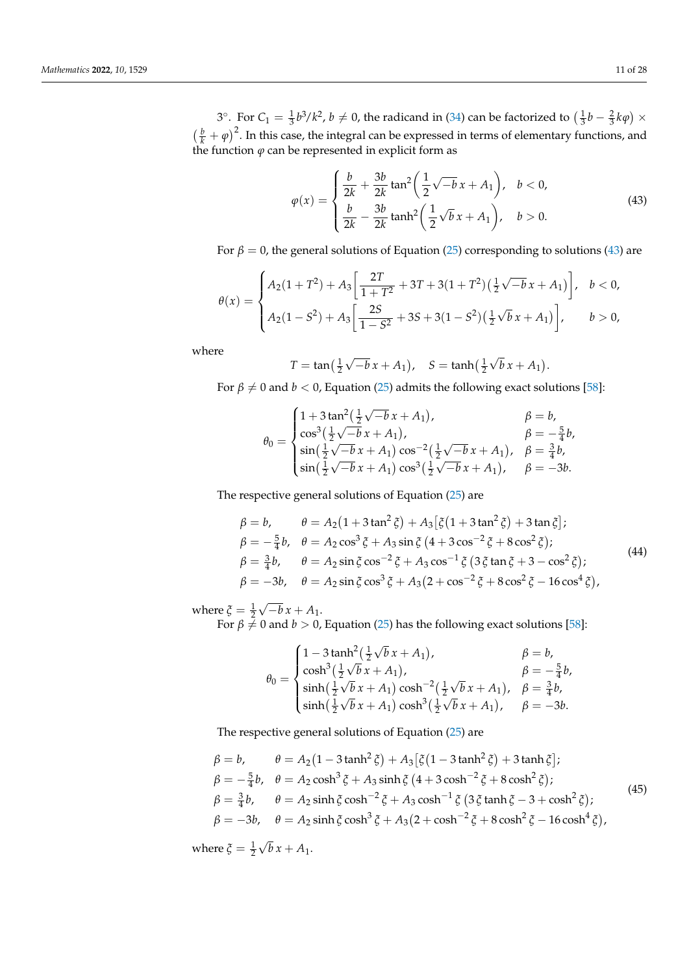3°. For  $C_1 = \frac{1}{3}b^3/k^2$ ,  $b \neq 0$ , the radicand in [\(34\)](#page-7-1) can be factorized to  $(\frac{1}{3}b - \frac{2}{3}k\varphi) \times$  $\left(\frac{b}{k} + \varphi\right)^2$ . In this case, the integral can be expressed in terms of elementary functions, and the function *ϕ* can be represented in explicit form as

<span id="page-10-0"></span>
$$
\varphi(x) = \begin{cases} \frac{b}{2k} + \frac{3b}{2k} \tan^2 \left( \frac{1}{2} \sqrt{-b} x + A_1 \right), & b < 0, \\ \frac{b}{2k} - \frac{3b}{2k} \tanh^2 \left( \frac{1}{2} \sqrt{b} x + A_1 \right), & b > 0. \end{cases}
$$
(43)

For  $\beta = 0$ , the general solutions of Equation [\(25\)](#page-6-3) corresponding to solutions [\(43\)](#page-10-0) are

$$
\theta(x) = \begin{cases} A_2(1+T^2) + A_3 \left[ \frac{2T}{1+T^2} + 3T + 3(1+T^2) \left( \frac{1}{2} \sqrt{-b} x + A_1 \right) \right], & b < 0, \\ A_2(1-S^2) + A_3 \left[ \frac{2S}{1-S^2} + 3S + 3(1-S^2) \left( \frac{1}{2} \sqrt{b} x + A_1 \right) \right], & b > 0, \end{cases}
$$

where

$$
T = \tan(\frac{1}{2}\sqrt{-b}x + A_1),
$$
  $S = \tanh(\frac{1}{2}\sqrt{b}x + A_1).$ 

For  $\beta \neq 0$  and  $b < 0$ , Equation [\(25\)](#page-6-3) admits the following exact solutions [\[58\]](#page-27-0):

$$
\theta_0 = \begin{cases}\n1 + 3 \tan^2(\frac{1}{2}\sqrt{-b} x + A_1), & \beta = b, \\
\cos^3(\frac{1}{2}\sqrt{-b} x + A_1), & \beta = -\frac{5}{4}b, \\
\sin(\frac{1}{2}\sqrt{-b} x + A_1) \cos^{-2}(\frac{1}{2}\sqrt{-b} x + A_1), & \beta = \frac{3}{4}b, \\
\sin(\frac{1}{2}\sqrt{-b} x + A_1) \cos^3(\frac{1}{2}\sqrt{-b} x + A_1), & \beta = -3b.\n\end{cases}
$$

The respective general solutions of Equation [\(25\)](#page-6-3) are

<span id="page-10-1"></span>
$$
\beta = b, \qquad \theta = A_2 (1 + 3 \tan^2 \xi) + A_3 [\xi (1 + 3 \tan^2 \xi) + 3 \tan \xi]; \n\beta = -\frac{5}{4} b, \quad \theta = A_2 \cos^3 \xi + A_3 \sin \xi (4 + 3 \cos^{-2} \xi + 8 \cos^2 \xi); \n\beta = \frac{3}{4} b, \qquad \theta = A_2 \sin \xi \cos^{-2} \xi + A_3 \cos^{-1} \xi (3 \xi \tan \xi + 3 - \cos^2 \xi); \n\beta = -3b, \quad \theta = A_2 \sin \xi \cos^3 \xi + A_3 (2 + \cos^{-2} \xi + 8 \cos^2 \xi - 16 \cos^4 \xi),
$$
\n(44)

where  $\zeta = \frac{1}{2}$ √  $-b x + A_1.$ 

For  $\beta \neq 0$  and  $b > 0$ , Equation [\(25\)](#page-6-3) has the following exact solutions [\[58\]](#page-27-0):

$$
\theta_0 = \begin{cases}\n1 - 3 \tanh^2(\frac{1}{2}\sqrt{b}x + A_1), & \beta = b, \\
\cosh^3(\frac{1}{2}\sqrt{b}x + A_1), & \beta = -\frac{5}{4}b, \\
\sinh(\frac{1}{2}\sqrt{b}x + A_1)\cosh^{-2}(\frac{1}{2}\sqrt{b}x + A_1), & \beta = \frac{3}{4}b, \\
\sinh(\frac{1}{2}\sqrt{b}x + A_1)\cosh^3(\frac{1}{2}\sqrt{b}x + A_1), & \beta = -3b.\n\end{cases}
$$

The respective general solutions of Equation [\(25\)](#page-6-3) are

$$
\beta = b, \qquad \theta = A_2 (1 - 3 \tanh^2 \xi) + A_3 [\xi (1 - 3 \tanh^2 \xi) + 3 \tanh \xi]; \n\beta = -\frac{5}{4} b, \quad \theta = A_2 \cosh^3 \xi + A_3 \sinh \xi (4 + 3 \cosh^{-2} \xi + 8 \cosh^2 \xi); \n\beta = \frac{3}{4} b, \qquad \theta = A_2 \sinh \xi \cosh^{-2} \xi + A_3 \cosh^{-1} \xi (3 \xi \tanh \xi - 3 + \cosh^2 \xi); \n\beta = -3b, \quad \theta = A_2 \sinh \xi \cosh^3 \xi + A_3 (2 + \cosh^{-2} \xi + 8 \cosh^2 \xi - 16 \cosh^4 \xi),
$$
\n(45)

where  $\zeta = \frac{1}{2}$ √  $b x + A_1.$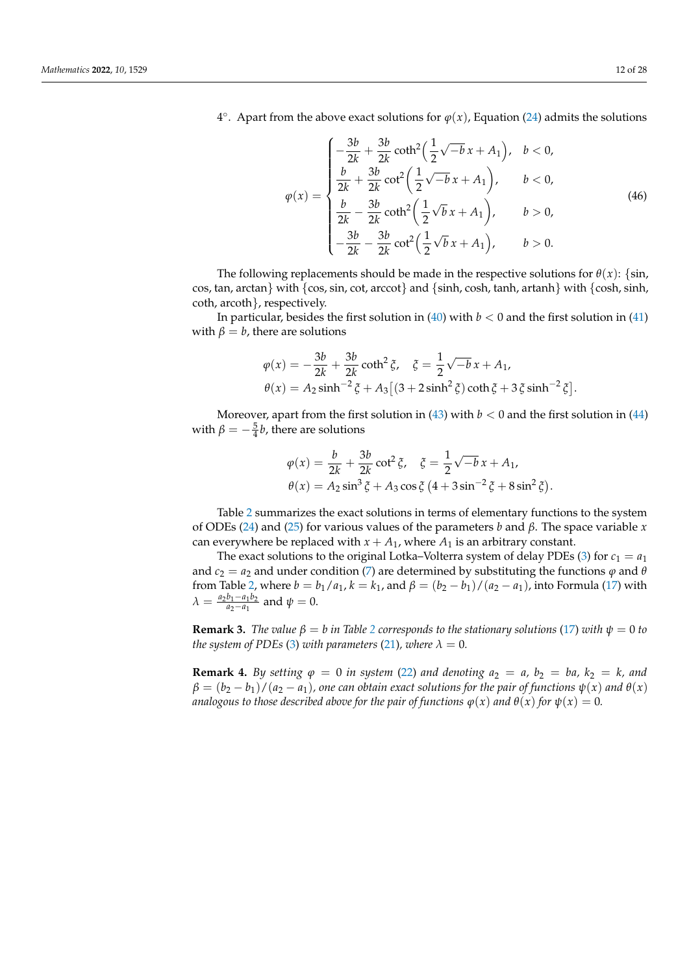4°. Apart from the above exact solutions for  $\varphi(x)$ , Equation [\(24\)](#page-6-2) admits the solutions

$$
\varphi(x) = \begin{cases}\n-\frac{3b}{2k} + \frac{3b}{2k} \coth^2\left(\frac{1}{2}\sqrt{-b} x + A_1\right), & b < 0, \\
\frac{b}{2k} + \frac{3b}{2k} \cot^2\left(\frac{1}{2}\sqrt{-b} x + A_1\right), & b < 0, \\
\frac{b}{2k} - \frac{3b}{2k} \coth^2\left(\frac{1}{2}\sqrt{b} x + A_1\right), & b > 0, \\
-\frac{3b}{2k} - \frac{3b}{2k} \cot^2\left(\frac{1}{2}\sqrt{b} x + A_1\right), & b > 0.\n\end{cases}
$$
\n(46)

The following replacements should be made in the respective solutions for  $\theta(x)$ : {sin, cos, tan, arctan} with {cos, sin, cot, arccot} and {sinh, cosh, tanh, artanh} with {cosh, sinh, coth, arcoth}, respectively.

In particular, besides the first solution in  $(40)$  with  $b < 0$  and the first solution in  $(41)$ with  $\beta = b$ , there are solutions

$$
\varphi(x) = -\frac{3b}{2k} + \frac{3b}{2k} \coth^2 \xi, \quad \xi = \frac{1}{2} \sqrt{-b} x + A_1,
$$
  

$$
\theta(x) = A_2 \sinh^{-2} \xi + A_3 \left[ (3 + 2 \sinh^2 \xi) \coth \xi + 3 \xi \sinh^{-2} \xi \right].
$$

Moreover, apart from the first solution in  $(43)$  with  $b < 0$  and the first solution in  $(44)$ with  $\beta = -\frac{5}{4}b$ , there are solutions

$$
\varphi(x) = \frac{b}{2k} + \frac{3b}{2k} \cot^2 \xi, \quad \xi = \frac{1}{2} \sqrt{-b} x + A_1, \n\theta(x) = A_2 \sin^3 \xi + A_3 \cos \xi (4 + 3 \sin^{-2} \xi + 8 \sin^2 \xi).
$$

Table [2](#page-12-1) summarizes the exact solutions in terms of elementary functions to the system of ODEs [\(24\)](#page-6-2) and [\(25\)](#page-6-3) for various values of the parameters *b* and *β*. The space variable *x* can everywhere be replaced with  $x + A_1$ , where  $A_1$  is an arbitrary constant.

The exact solutions to the original Lotka–Volterra system of delay PDEs [\(3\)](#page-3-1) for  $c_1 = a_1$ and  $c_2 = a_2$  and under condition [\(7\)](#page-4-2) are determined by substituting the functions  $\varphi$  and  $\theta$ from Table [2,](#page-12-1) where  $b = b_1/a_1$ ,  $k = k_1$ , and  $\beta = (b_2 - b_1)/(a_2 - a_1)$ , into Formula [\(17\)](#page-5-2) with  $\lambda = \frac{a_2b_1 - a_1b_2}{a_2 - a_1}$  $\frac{a_1 - a_1 b_2}{a_2 - a_1}$  and  $\psi = 0$ .

**Remark 3.** *The value*  $\beta = b$  *in Table [2](#page-12-1) corresponds to the stationary solutions* [\(17\)](#page-5-2) *with*  $\psi = 0$  *to the system of PDEs* [\(3\)](#page-3-1) *with parameters* [\(21\)](#page-6-0)*, where*  $\lambda = 0$ *.* 

**Remark 4.** By setting  $\varphi = 0$  in system [\(22\)](#page-6-1) and denoting  $a_2 = a$ ,  $b_2 = ba$ ,  $k_2 = k$ , and  $\beta = (b_2 - b_1)/(a_2 - a_1)$ , one can obtain exact solutions for the pair of functions  $\psi(x)$  and  $\theta(x)$ *analogous to those described above for the pair of functions*  $\varphi(x)$  *and*  $\theta(x)$  *for*  $\psi(x) = 0$ *.*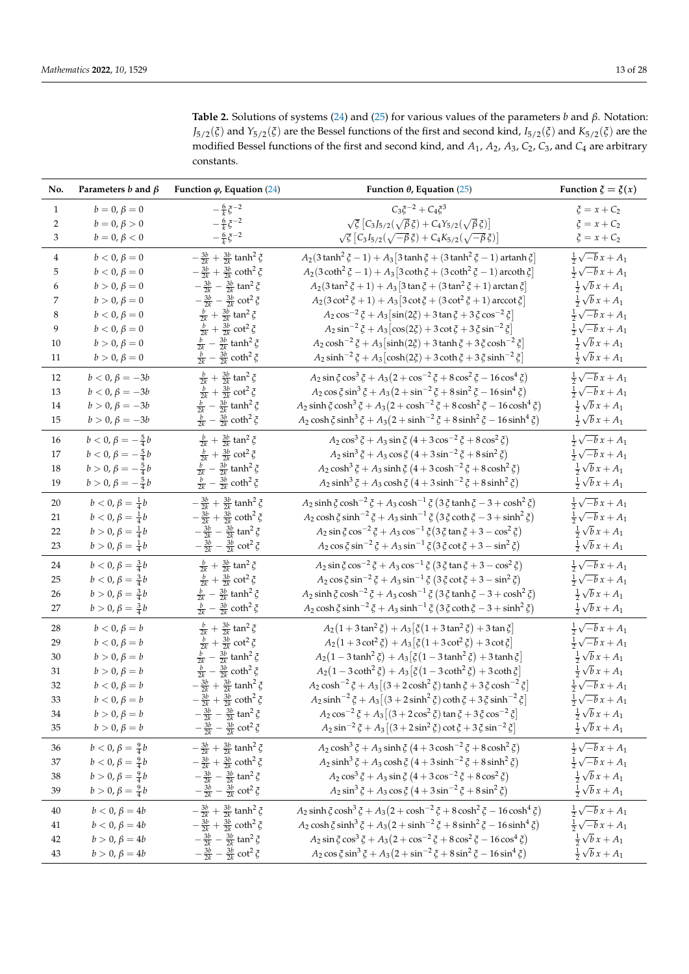<span id="page-12-1"></span>**Table 2.** Solutions of systems [\(24\)](#page-6-2) and [\(25\)](#page-6-3) for various values of the parameters *b* and *β*. Notation: *J*5/2(*ξ*) and *Y*5/2(*ξ*) are the Bessel functions of the first and second kind, *I*5/2(*ξ*) and *K*5/2(*ξ*) are the modified Bessel functions of the first and second kind, and *A*<sup>1</sup> , *A*2, *A*3, *C*2, *C*3, and *C*<sup>4</sup> are arbitrary constants.

<span id="page-12-0"></span>

| No.            | Parameters $b$ and $\beta$     | Function $\varphi$ , Equation (24)                       | Function $\theta$ , Equation (25)                                                              | Function $\xi = \xi(x)$     |
|----------------|--------------------------------|----------------------------------------------------------|------------------------------------------------------------------------------------------------|-----------------------------|
| $\mathbf{1}$   | $b = 0, \beta = 0$             | $-\frac{6}{k}\zeta^{-2}$                                 | $C_3 \xi^{-2} + C_4 \xi^3$                                                                     | $\xi = x + C_2$             |
| $\overline{2}$ | $b = 0, \beta > 0$             | $-\frac{6}{k}\zeta^{-2}$                                 | $\sqrt{\xi}\left[C_3J_{5/2}(\sqrt{\beta}\xi)+C_4Y_{5/2}(\sqrt{\beta}\xi)\right]$               | $\xi = x + C_2$             |
| 3              | $b = 0, \beta < 0$             | $-\frac{6}{k}\zeta^{-2}$                                 | $\sqrt{\xi} \left[ C_3 I_{5/2}(\sqrt{-\beta} \xi) + C_4 K_{5/2}(\sqrt{-\beta} \xi) \right]$    | $\xi = x + C_2$             |
| 4              | $b < 0, \beta = 0$             | $-\frac{3b}{2k}+\frac{3b}{2k}$ tanh <sup>2</sup> $\xi$   | $A_2(3\tanh^2 \xi - 1) + A_3[3\tanh \xi + (3\tanh^2 \xi - 1)$ artanh $\xi$                     | $\frac{1}{2}\sqrt{-b}x+A_1$ |
| 5              | $b < 0, \beta = 0$             | $-\frac{3b}{2k}+\frac{3b}{2k}\coth^2 \xi$                | $A_2(3 \coth^2 \xi - 1) + A_3[3 \coth \xi + (3 \coth^2 \xi - 1)$ arcoth $\xi$                  | $\frac{1}{2}\sqrt{-b}x+A_1$ |
| 6              | $b > 0, \beta = 0$             | $-\frac{3b}{2k} - \frac{3b}{2k} \tan^2 \xi$              | $A_2(3 \tan^2 \xi + 1) + A_3[3 \tan \xi + (3 \tan^2 \xi + 1) \arctan \xi]$                     | $\frac{1}{2}\sqrt{b}x+A_1$  |
| 7              | $b > 0, \beta = 0$             | $-\frac{3b}{2k} - \frac{3b}{2k} \cot^2 \xi$              | $A_2(3 \cot^2 \xi + 1) + A_3 [3 \cot \xi + (3 \cot^2 \xi + 1)$ arccot $\xi$                    | $\frac{1}{2}\sqrt{b}x+A_1$  |
| 8              | $b < 0, \beta = 0$             | $\frac{b}{2k}$ + $\frac{3b}{2k}$ tan <sup>2</sup> $\xi$  | $A_2 \cos^{-2} \xi + A_3 [\sin(2\xi) + 3 \tan \xi + 3 \xi \cos^{-2} \xi]$                      | $\frac{1}{2}\sqrt{-b}x+A_1$ |
| 9              | $b < 0, \beta = 0$             | $\frac{b}{2k} + \frac{3b}{2k} \cot^2 \xi$                | $A_2 \sin^{-2} \xi + A_3 [\cos(2\xi) + 3 \cot \xi + 3 \xi \sin^{-2} \xi]$                      | $\frac{1}{2}\sqrt{-b}x+A_1$ |
| 10             | $b > 0, \beta = 0$             | $\frac{b}{2k} - \frac{3b}{2k}$ tanh <sup>2</sup> $\xi$   | $A_2 \cosh^{-2} \xi + A_3 \left[\sinh(2\xi) + 3 \tanh \xi + 3 \xi \cosh^{-2} \xi\right]$       | $\frac{1}{2}\sqrt{b}x+A_1$  |
| 11             | $b > 0, \beta = 0$             | $\frac{b}{2k} - \frac{3b}{2k}$ coth <sup>2</sup> $\xi$   | $A_2 \sinh^{-2} \xi + A_3 \left[ \cosh(2\xi) + 3 \coth \xi + 3 \xi \sinh^{-2} \xi \right]$     | $\frac{1}{2}\sqrt{b}x+A_1$  |
| 12             | $b < 0, \beta = -3b$           | $\frac{b}{2k}$ + $\frac{3b}{2k}$ tan <sup>2</sup> $\xi$  | $A_2 \sin \xi \cos^3 \xi + A_3 (2 + \cos^{-2} \xi + 8 \cos^2 \xi - 16 \cos^4 \xi)$             | $\frac{1}{2}\sqrt{-b}x+A_1$ |
| 13             | $b < 0, \beta = -3b$           | $\frac{b}{2k} + \frac{3b}{2k} \cot^2 \xi$                | $A_2 \cos \xi \sin^3 \xi + A_3 (2 + \sin^{-2} \xi + 8 \sin^2 \xi - 16 \sin^4 \xi)$             | $\frac{1}{2}\sqrt{-b}x+A_1$ |
| 14             | $b > 0, \beta = -3b$           | $\frac{b}{2k}-\frac{3b}{2k}$ tanh<br>² $\xi$             | $A_2 \sinh \xi \cosh^3 \xi + A_3 (2 + \cosh^{-2} \xi + 8 \cosh^2 \xi - 16 \cosh^4 \xi)$        | $\frac{1}{2}\sqrt{b}x+A_1$  |
| 15             | $b > 0, \beta = -3b$           | $\frac{b}{2k} - \frac{3b}{2k}$ coth <sup>2</sup> $\xi$   | $A_2 \cosh \xi \sinh^3 \xi + A_3 (2 + \sinh^{-2} \xi + 8 \sinh^2 \xi - 16 \sinh^4 \xi)$        | $\frac{1}{2}\sqrt{b}x+A_1$  |
| 16             | $b < 0, \beta = -\frac{5}{4}b$ | $\frac{b}{2k}$ + $\frac{3b}{2k}$ tan <sup>2</sup> $\xi$  | $A_2 \cos^3 \xi + A_3 \sin \xi (4 + 3 \cos^{-2} \xi + 8 \cos^2 \xi)$                           | $\frac{1}{2}\sqrt{-b}x+A_1$ |
| 17             | $b < 0, \beta = -\frac{5}{4}b$ | $\frac{b}{2k} + \frac{3b}{2k} \cot^2 \xi$                | $A_2 \sin^3 \xi + A_3 \cos \xi (4 + 3 \sin^{-2} \xi + 8 \sin^2 \xi)$                           | $\frac{1}{2}\sqrt{-b}x+A_1$ |
| 18             | $b > 0, \beta = -\frac{5}{4}b$ | $\frac{b}{2k}$ – $\frac{3b}{2k}$ tanh <sup>2</sup> $\xi$ | $A_2 \cosh^3 \xi + A_3 \sinh \xi (4 + 3 \cosh^{-2} \xi + 8 \cosh^2 \xi)$                       | $\frac{1}{2}\sqrt{b}x+A_1$  |
| 19             | $b > 0, \beta = -\frac{5}{4}b$ | $\frac{b}{2k} - \frac{3b}{2k} \coth^2 \xi$               | $A_2 \sinh^3 \xi + A_3 \cosh \xi (4 + 3 \sinh^{-2} \xi + 8 \sinh^2 \xi)$                       | $\frac{1}{2}\sqrt{b}x+A_1$  |
| 20             | $b < 0, \beta = \frac{1}{4}b$  | $-\frac{3b}{2k}+\frac{3b}{2k}$ tanh <sup>2</sup> $\xi$   | $A_2 \sinh \xi \cosh^{-2} \xi + A_3 \cosh^{-1} \xi (3 \xi \tanh \xi - 3 + \cosh^2 \xi)$        | $\frac{1}{2}\sqrt{-b}x+A_1$ |
| 21             | $b < 0, \beta = \frac{1}{4}b$  | $-\frac{3b}{2k}+\frac{3b}{2k}\coth^2 \xi$                | $A_2 \cosh \xi \sinh^{-2} \xi + A_3 \sinh^{-1} \xi (3 \xi \coth \xi - 3 + \sinh^2 \xi)$        | $\frac{1}{2}\sqrt{-b}x+A_1$ |
| 22             | $b > 0, \beta = \frac{1}{4}b$  | $-\frac{3b}{2k} - \frac{3b}{2k} \tan^2 \xi$              | $A_2 \sin \xi \cos^{-2} \xi + A_3 \cos^{-1} \xi (3 \xi \tan \xi + 3 - \cos^2 \xi)$             | $\frac{1}{2}\sqrt{b}x+A_1$  |
| 23             | $b > 0, \beta = \frac{1}{4}b$  | $-\frac{3b}{2k} - \frac{3b}{2k} \cot^2 \xi$              | $A_2 \cos \xi \sin^{-2} \xi + A_3 \sin^{-1} \xi (3 \xi \cot \xi + 3 - \sin^2 \xi)$             | $\frac{1}{2}\sqrt{b}x+A_1$  |
| 24             | $b < 0, \beta = \frac{3}{4}b$  | $\frac{b}{2k}$ + $\frac{3b}{2k}$ tan <sup>2</sup> $\xi$  | $A_2 \sin \xi \cos^{-2} \xi + A_3 \cos^{-1} \xi (3 \xi \tan \xi + 3 - \cos^2 \xi)$             | $\frac{1}{2}\sqrt{-b}x+A_1$ |
| 25             | $b < 0, \beta = \frac{3}{4}b$  | $rac{b}{2k} + \frac{3b}{2k} \cot^2 \xi$                  | $A_2 \cos \xi \sin^{-2} \xi + A_3 \sin^{-1} \xi (3 \xi \cot \xi + 3 - \sin^2 \xi)$             | $\frac{1}{2}\sqrt{-b}x+A_1$ |
| 26             | $b > 0, \beta = \frac{3}{4}b$  | $\frac{b}{2k}$ – $\frac{3b}{2k}$ tanh <sup>2</sup> $\xi$ | $A_2 \sinh \xi \cosh^{-2} \xi + A_3 \cosh^{-1} \xi (3 \xi \tanh \xi - 3 + \cosh^2 \xi)$        | $\frac{1}{2}\sqrt{b}x+A_1$  |
| 27             | $b > 0, \beta = \frac{3}{4}b$  | $\frac{b}{2k}$ – $\frac{3b}{2k}$ coth <sup>2</sup> $\xi$ | $A_2 \cosh \xi \sinh^{-2} \xi + A_3 \sinh^{-1} \xi (3 \xi \coth \xi - 3 + \sinh^2 \xi)$        | $\frac{1}{2}\sqrt{b}x+A_1$  |
| 28             | $b < 0, \beta = b$             | $\frac{b}{2k}+\frac{3b}{2k}\tan^2\zeta$                  | $A_2(1+3\tan^2 \xi) + A_3[\xi(1+3\tan^2 \xi) + 3\tan \xi]$                                     | $\frac{1}{2}\sqrt{-b}x+A_1$ |
| 29             | $b < 0, \beta = b$             | $\frac{b}{2k} + \frac{3b}{2k} \cot^2 \xi$                | $A_2(1+3\cot^2 \xi) + A_3[\xi(1+3\cot^2 \xi) + 3\cot \xi]$                                     | $\frac{1}{2}\sqrt{-b}x+A_1$ |
| 30             | $b > 0, \beta = b$             | $\frac{b}{2k} - \frac{3b}{2k}$ tanh <sup>2</sup> $\xi$   | $A_2(1-3\tanh^2 \xi) + A_3[\xi(1-3\tanh^2 \xi) + 3\tanh \xi]$                                  | $\frac{1}{2}\sqrt{b}x+A_1$  |
| 31             | $b > 0, \beta = b$             | $\frac{b}{2k} - \frac{3b}{2k} \coth^2 \xi$               | $A_2(1-3\coth^2 \xi) + A_3[\xi(1-3\coth^2 \xi) + 3\coth \xi]$                                  | $\frac{1}{2}\sqrt{b}x+A_1$  |
| 32             | $b < 0, \beta = b$             | $-\frac{3b}{2k}+\frac{3b}{2k}$ tanh <sup>2</sup> $\xi$   | $A_2 \cosh^{-2} \xi + A_3 \left[ (3 + 2 \cosh^2 \xi) \tanh \xi + 3 \xi \cosh^{-2} \xi \right]$ | $\frac{1}{2}\sqrt{-b}x+A_1$ |
| 33             | $b < 0, \beta = b$             | $-\frac{3b}{2k}+\frac{3b}{2k}$ coth <sup>2</sup> $\xi$   | $A_2 \sinh^{-2} \xi + A_3 \left[ (3 + 2 \sinh^2 \xi) \coth \xi + 3 \xi \sinh^{-2} \xi \right]$ | $\frac{1}{2}\sqrt{-b}x+A_1$ |
| 34             | $b > 0, \beta = b$             | $-\frac{3b}{2k} - \frac{3b}{2k} \tan^2 \xi$              | $A_2 \cos^{-2} \xi + A_3 [(3 + 2 \cos^2 \xi) \tan \xi + 3 \xi \cos^{-2} \xi]$                  | $\frac{1}{2}\sqrt{b}x+A_1$  |
| 35             | $b > 0, \beta = b$             | $-\frac{3b}{2k} - \frac{3b}{2k} \cot^2 \xi$              | $A_2 \sin^{-2} \xi + A_3 [(3 + 2 \sin^2 \xi) \cot \xi + 3 \xi \sin^{-2} \xi]$                  | $\frac{1}{2}\sqrt{b}x+A_1$  |
| 36             | $b < 0, \beta = \frac{9}{4}b$  | $-\frac{3b}{2k}+\frac{3b}{2k}$ tanh <sup>2</sup> $\xi$   | $A_2 \cosh^3 \xi + A_3 \sinh \xi (4 + 3 \cosh^{-2} \xi + 8 \cosh^2 \xi)$                       | $\frac{1}{2}\sqrt{-b}x+A_1$ |
| 37             | $b < 0, \beta = \frac{9}{4}b$  | $-\frac{3b}{2k}+\frac{3b}{2k}\coth^2 \xi$                | $A_2 \sinh^3 \xi + A_3 \cosh \xi (4 + 3 \sinh^{-2} \xi + 8 \sinh^2 \xi)$                       | $\frac{1}{2}\sqrt{-b}x+A_1$ |
| 38             | $b > 0, \beta = \frac{9}{4}b$  | $-\frac{3b}{2k} - \frac{3b}{2k} \tan^2 \xi$              | $A_2 \cos^3 \xi + A_3 \sin \xi (4 + 3 \cos^{-2} \xi + 8 \cos^2 \xi)$                           | $\frac{1}{2}\sqrt{b}x+A_1$  |
| 39             | $b > 0, \beta = \frac{9}{4}b$  | $-\frac{3b}{2k} - \frac{3b}{2k} \cot^2 \xi$              | $A_2 \sin^3 \xi + A_3 \cos \xi (4 + 3 \sin^{-2} \xi + 8 \sin^2 \xi)$                           | $\frac{1}{2}\sqrt{b}x+A_1$  |
| 40             | $b < 0, \beta = 4b$            | $-\frac{3b}{2k}+\frac{3b}{2k}$ tanh <sup>2</sup> $\xi$   | $A_2 \sinh \xi \cosh^3 \xi + A_3 (2 + \cosh^{-2} \xi + 8 \cosh^2 \xi - 16 \cosh^4 \xi)$        | $\frac{1}{2}\sqrt{-b}x+A_1$ |
| 41             | $b < 0, \beta = 4b$            | $-\frac{3b}{2k}+\frac{3b}{2k}\coth^2 \xi$                | $A_2 \cosh \xi \sinh^3 \xi + A_3 (2 + \sinh^{-2} \xi + 8 \sinh^2 \xi - 16 \sinh^4 \xi)$        | $\frac{1}{2}\sqrt{-b}x+A_1$ |
| 42             | $b > 0, \beta = 4b$            | $-\frac{3b}{2k} - \frac{3b}{2k} \tan^2 \xi$              | $A_2 \sin \xi \cos^3 \xi + A_3 (2 + \cos^{-2} \xi + 8 \cos^2 \xi - 16 \cos^4 \xi)$             | $\frac{1}{2}\sqrt{b}x+A_1$  |
| 43             | $b > 0, \beta = 4b$            | $-\frac{3b}{2k} - \frac{3b}{2k} \cot^2 \xi$              | $A_2 \cos \xi \sin^3 \xi + A_3 (2 + \sin^{-2} \xi + 8 \sin^2 \xi - 16 \sin^4 \xi)$             | $\frac{1}{2}\sqrt{b}x+A_1$  |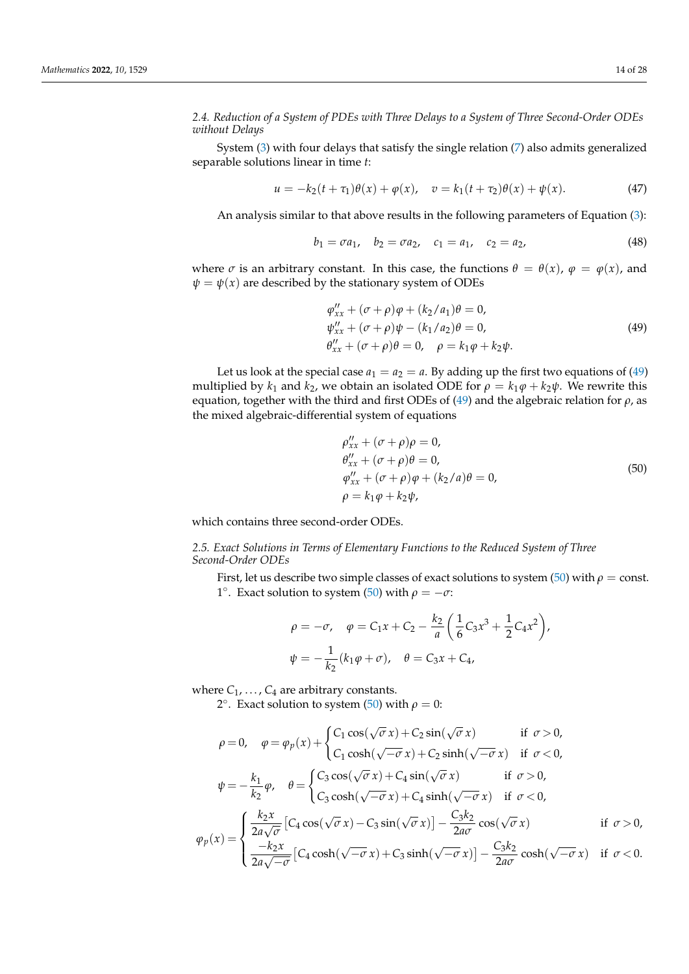*2.4. Reduction of a System of PDEs with Three Delays to a System of Three Second-Order ODEs without Delays*

System [\(3\)](#page-3-1) with four delays that satisfy the single relation [\(7\)](#page-4-2) also admits generalized separable solutions linear in time *t*:

$$
u = -k_2(t + \tau_1)\theta(x) + \varphi(x), \quad v = k_1(t + \tau_2)\theta(x) + \psi(x).
$$
 (47)

An analysis similar to that above results in the following parameters of Equation [\(3\)](#page-3-1):

$$
b_1 = \sigma a_1, \quad b_2 = \sigma a_2, \quad c_1 = a_1, \quad c_2 = a_2,\tag{48}
$$

where  $\sigma$  is an arbitrary constant. In this case, the functions  $\theta = \theta(x)$ ,  $\varphi = \varphi(x)$ , and  $\psi = \psi(x)$  are described by the stationary system of ODEs

<span id="page-13-1"></span>
$$
\varphi_{xx}'' + (\sigma + \rho)\varphi + (k_2/a_1)\theta = 0,
$$
  
\n
$$
\psi_{xx}'' + (\sigma + \rho)\psi - (k_1/a_2)\theta = 0,
$$
  
\n
$$
\theta_{xx}'' + (\sigma + \rho)\theta = 0, \quad \rho = k_1\varphi + k_2\psi.
$$
\n(49)

Let us look at the special case  $a_1 = a_2 = a$ . By adding up the first two equations of [\(49\)](#page-13-1) multiplied by  $k_1$  and  $k_2$ , we obtain an isolated ODE for  $\rho = k_1 \varphi + k_2 \psi$ . We rewrite this equation, together with the third and first ODEs of [\(49\)](#page-13-1) and the algebraic relation for *ρ*, as the mixed algebraic-differential system of equations

<span id="page-13-2"></span>
$$
\rho_{xx}^{\prime\prime} + (\sigma + \rho)\rho = 0,\n\theta_{xx}^{\prime\prime} + (\sigma + \rho)\theta = 0,\n\varphi_{xx}^{\prime\prime} + (\sigma + \rho)\varphi + (k_2/a)\theta = 0,\n\rho = k_1\varphi + k_2\psi,
$$
\n(50)

<span id="page-13-0"></span>which contains three second-order ODEs.

*2.5. Exact Solutions in Terms of Elementary Functions to the Reduced System of Three Second-Order ODEs*

First, let us describe two simple classes of exact solutions to system [\(50\)](#page-13-2) with  $\rho = \text{const.}$ 1°. Exact solution to system [\(50\)](#page-13-2) with *ρ* = −*σ*:

$$
\rho = -\sigma, \quad \varphi = C_1 x + C_2 - \frac{k_2}{a} \left( \frac{1}{6} C_3 x^3 + \frac{1}{2} C_4 x^2 \right),
$$

$$
\psi = -\frac{1}{k_2} (k_1 \varphi + \sigma), \quad \theta = C_3 x + C_4,
$$

where  $C_1, \ldots, C_4$  are arbitrary constants.

2°. Exact solution to system [\(50\)](#page-13-2) with  $\rho = 0$ :

$$
\rho = 0, \quad \varphi = \varphi_p(x) + \begin{cases} C_1 \cos(\sqrt{\sigma} x) + C_2 \sin(\sqrt{\sigma} x) & \text{if } \sigma > 0, \\ C_1 \cosh(\sqrt{-\sigma} x) + C_2 \sinh(\sqrt{-\sigma} x) & \text{if } \sigma < 0, \end{cases}
$$
\n
$$
\psi = -\frac{k_1}{k_2} \varphi, \quad \theta = \begin{cases} C_3 \cos(\sqrt{\sigma} x) + C_4 \sin(\sqrt{\sigma} x) & \text{if } \sigma > 0, \\ C_3 \cosh(\sqrt{-\sigma} x) + C_4 \sinh(\sqrt{-\sigma} x) & \text{if } \sigma < 0, \end{cases}
$$
\n
$$
\varphi_p(x) = \begin{cases} \frac{k_2 x}{2a\sqrt{\sigma}} \left[ C_4 \cos(\sqrt{\sigma} x) - C_3 \sin(\sqrt{\sigma} x) \right] - \frac{C_3 k_2}{2a\sigma} \cos(\sqrt{\sigma} x) & \text{if } \sigma > 0, \\ \frac{-k_2 x}{2a\sqrt{-\sigma}} \left[ C_4 \cosh(\sqrt{-\sigma} x) + C_3 \sinh(\sqrt{-\sigma} x) \right] - \frac{C_3 k_2}{2a\sigma} \cosh(\sqrt{-\sigma} x) & \text{if } \sigma < 0. \end{cases}
$$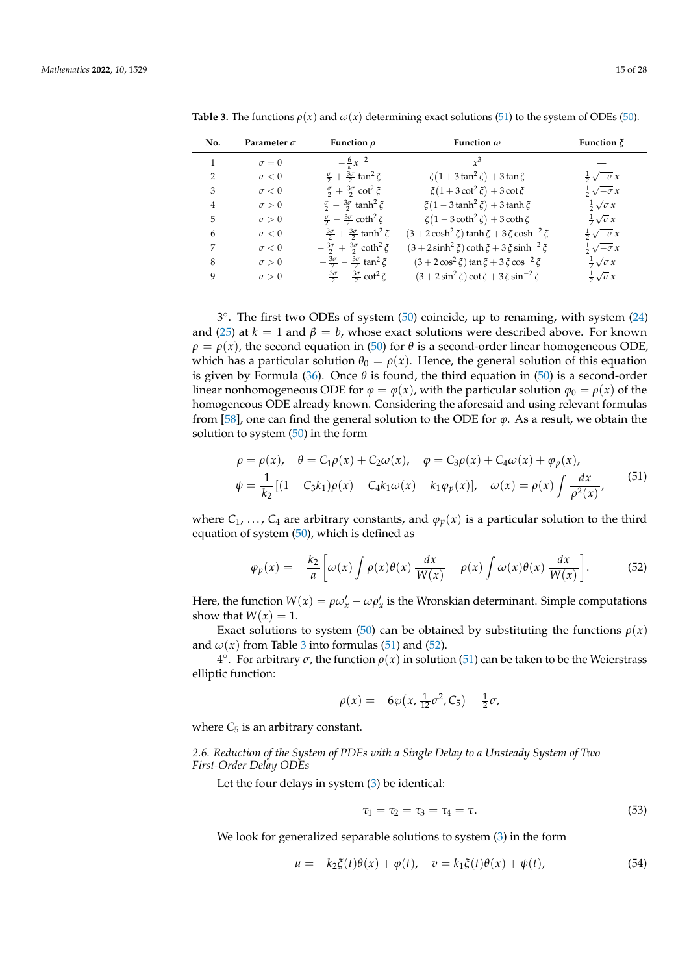| No.           | Parameter $\sigma$ | Function $\rho$                                                  | Function $\omega$                                      | Function $\zeta$             |
|---------------|--------------------|------------------------------------------------------------------|--------------------------------------------------------|------------------------------|
| 1             | $\sigma = 0$       | $-\frac{6}{k}x^{-2}$                                             | $r^3$                                                  |                              |
| $\mathcal{P}$ | $\sigma < 0$       | $\frac{\sigma}{2} + \frac{3\sigma}{2}$ tan <sup>2</sup> $\zeta$  | $\xi(1+3\tan^2 \xi) + 3\tan \xi$                       | $rac{1}{2}\sqrt{-\sigma} x$  |
| 3             | $\sigma < 0$       | $\frac{\sigma}{2} + \frac{3\sigma}{2} \cot^2 \zeta$              | $\xi(1+3\cot^2 \xi)+3\cot \xi$                         | $rac{1}{2}\sqrt{-\sigma} x$  |
| 4             | $\sigma > 0$       | $\frac{\sigma}{2} - \frac{3\sigma}{2}$ tanh <sup>2</sup> $\zeta$ | $\xi(1-3\tanh^2 \xi) + 3\tanh \xi$                     | $rac{1}{2}\sqrt{\sigma} x$   |
| 5             | $\sigma > 0$       | $\frac{\sigma}{2} - \frac{3\sigma}{2}$ coth <sup>2</sup> $\zeta$ | $\xi(1-3\coth^2 \xi) + 3\coth \xi$                     | $\frac{1}{2}\sqrt{\sigma} x$ |
| 6             | $\sigma < 0$       | $-\frac{3\sigma}{2}+\frac{3\sigma}{2}$ tanh <sup>2</sup> $\zeta$ | $(3 + 2\cosh^2 \xi)$ tanh $\xi + 3\xi \cosh^{-2} \xi$  | $rac{1}{2}\sqrt{-\sigma}x$   |
| 7             | $\sigma < 0$       | $-\frac{3\sigma}{2}+\frac{3\sigma}{2}\coth^2 \xi$                | $(3 + 2 \sinh^2 \xi) \coth \xi + 3 \xi \sinh^{-2} \xi$ | $rac{1}{2}\sqrt{-\sigma} x$  |
| 8             | $\sigma > 0$       | $-\frac{3\sigma}{2}-\frac{3\sigma}{2}$ tan <sup>2</sup> $\xi$    | $(3 + 2\cos^2 \xi)$ tan $\xi + 3\xi \cos^{-2} \xi$     | $rac{1}{2}\sqrt{\sigma} x$   |
| 9             | $\sigma > 0$       | $-\frac{3\sigma}{2}-\frac{3\sigma}{2}$ cot <sup>2</sup> $\xi$    | $(3 + 2\sin^2 \xi)\cot \xi + 3\zeta\sin^{-2} \xi$      | $rac{1}{2}\sqrt{\sigma} x$   |

<span id="page-14-2"></span>**Table 3.** The functions  $\rho(x)$  and  $\omega(x)$  determining exact solutions [\(51\)](#page-14-1) to the system of ODEs [\(50\)](#page-13-2).

3 ◦ . The first two ODEs of system [\(50\)](#page-13-2) coincide, up to renaming, with system [\(24\)](#page-6-2) and [\(25\)](#page-6-3) at  $k = 1$  and  $\beta = b$ , whose exact solutions were described above. For known  $\rho = \rho(x)$ , the second equation in [\(50\)](#page-13-2) for  $\theta$  is a second-order linear homogeneous ODE, which has a particular solution  $\theta_0 = \rho(x)$ . Hence, the general solution of this equation is given by Formula [\(36\)](#page-8-1). Once  $\theta$  is found, the third equation in [\(50\)](#page-13-2) is a second-order linear nonhomogeneous ODE for  $\varphi = \varphi(x)$ , with the particular solution  $\varphi_0 = \rho(x)$  of the homogeneous ODE already known. Considering the aforesaid and using relevant formulas from [\[58\]](#page-27-0), one can find the general solution to the ODE for  $\varphi$ . As a result, we obtain the solution to system  $(50)$  in the form

<span id="page-14-1"></span>
$$
\rho = \rho(x), \quad \theta = C_1 \rho(x) + C_2 \omega(x), \quad \varphi = C_3 \rho(x) + C_4 \omega(x) + \varphi_p(x),
$$
  

$$
\psi = \frac{1}{k_2} [(1 - C_3 k_1) \rho(x) - C_4 k_1 \omega(x) - k_1 \varphi_p(x)], \quad \omega(x) = \rho(x) \int \frac{dx}{\rho^2(x)},
$$
(51)

where  $C_1, \ldots, C_4$  are arbitrary constants, and  $\varphi_p(x)$  is a particular solution to the third equation of system [\(50\)](#page-13-2), which is defined as

$$
\varphi_p(x) = -\frac{k_2}{a} \left[ \omega(x) \int \rho(x) \theta(x) \frac{dx}{W(x)} - \rho(x) \int \omega(x) \theta(x) \frac{dx}{W(x)} \right].
$$
 (52)

Here, the function  $W(x) = \rho \omega'_x - \omega \rho'_x$  is the Wronskian determinant. Simple computations show that  $W(x) = 1$ .

Exact solutions to system [\(50\)](#page-13-2) can be obtained by substituting the functions  $\rho(x)$ and  $\omega(x)$  from Table [3](#page-14-2) into formulas [\(51\)](#page-14-1) and [\(52\)](#page-14-3).

4 ◦ . For arbitrary *σ*, the function *ρ*(*x*) in solution [\(51\)](#page-14-1) can be taken to be the Weierstrass elliptic function:

<span id="page-14-3"></span>
$$
\rho(x) = -6\wp(x, \frac{1}{12}\sigma^2, C_5) - \frac{1}{2}\sigma,
$$

<span id="page-14-0"></span>where  $C_5$  is an arbitrary constant.

*2.6. Reduction of the System of PDEs with a Single Delay to a Unsteady System of Two First-Order Delay ODEs*

Let the four delays in system [\(3\)](#page-3-1) be identical:

<span id="page-14-5"></span><span id="page-14-4"></span>
$$
\tau_1 = \tau_2 = \tau_3 = \tau_4 = \tau. \tag{53}
$$

We look for generalized separable solutions to system [\(3\)](#page-3-1) in the form

$$
u = -k_2 \xi(t)\theta(x) + \varphi(t), \quad v = k_1 \xi(t)\theta(x) + \psi(t), \tag{54}
$$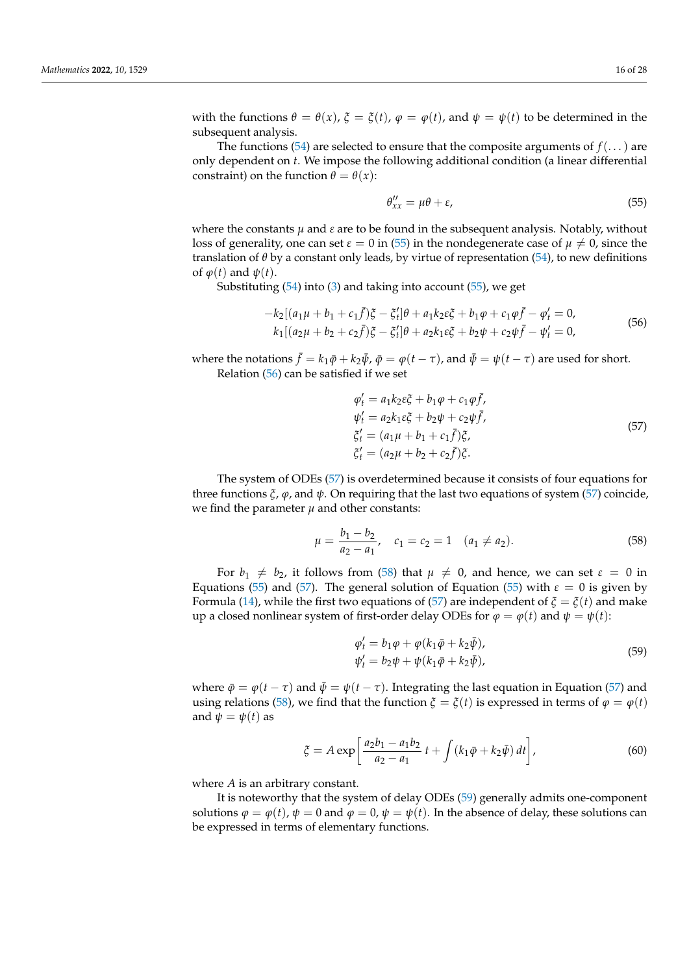with the functions  $\theta = \theta(x)$ ,  $\xi = \xi(t)$ ,  $\varphi = \varphi(t)$ , and  $\psi = \psi(t)$  to be determined in the subsequent analysis.

The functions [\(54\)](#page-14-4) are selected to ensure that the composite arguments of  $f(\ldots)$  are only dependent on *t*. We impose the following additional condition (a linear differential constraint) on the function  $\theta = \theta(x)$ :

<span id="page-15-1"></span>
$$
\theta_{xx}^{\prime\prime} = \mu\theta + \varepsilon,\tag{55}
$$

where the constants  $\mu$  and  $\varepsilon$  are to be found in the subsequent analysis. Notably, without loss of generality, one can set  $\varepsilon = 0$  in [\(55\)](#page-15-1) in the nondegenerate case of  $\mu \neq 0$ , since the translation of *θ* by a constant only leads, by virtue of representation [\(54\)](#page-14-4), to new definitions of  $\varphi(t)$  and  $\psi(t)$ .

Substituting [\(54\)](#page-14-4) into [\(3\)](#page-3-1) and taking into account [\(55\)](#page-15-1), we get

<span id="page-15-2"></span>
$$
-k_2[(a_1\mu + b_1 + c_1\bar{f})\xi - \xi'_t]\theta + a_1k_2\varepsilon\xi + b_1\varphi + c_1\varphi\bar{f} - \varphi'_t = 0,k_1[(a_2\mu + b_2 + c_2\bar{f})\xi - \xi'_t]\theta + a_2k_1\varepsilon\xi + b_2\psi + c_2\psi\bar{f} - \psi'_t = 0,
$$
\n(56)

where the notations  $\bar{f} = k_1 \bar{\varphi} + k_2 \bar{\psi}$ ,  $\bar{\varphi} = \varphi(t-\tau)$ , and  $\bar{\psi} = \psi(t-\tau)$  are used for short. Relation [\(56\)](#page-15-2) can be satisfied if we set

<span id="page-15-3"></span>
$$
\varphi'_{t} = a_{1}k_{2}\varepsilon_{\mathcal{G}}^{x} + b_{1}\varphi + c_{1}\varphi\bar{f}, \n\psi'_{t} = a_{2}k_{1}\varepsilon_{\mathcal{G}}^{x} + b_{2}\psi + c_{2}\psi\bar{f}, \n\zeta'_{t} = (a_{1}\mu + b_{1} + c_{1}\bar{f})\zeta, \n\zeta'_{t} = (a_{2}\mu + b_{2} + c_{2}\bar{f})\zeta.
$$
\n(57)

The system of ODEs [\(57\)](#page-15-3) is overdetermined because it consists of four equations for three functions  $\xi$ ,  $\varphi$ , and  $\psi$ . On requiring that the last two equations of system [\(57\)](#page-15-3) coincide, we find the parameter  $\mu$  and other constants:

<span id="page-15-4"></span>
$$
\mu = \frac{b_1 - b_2}{a_2 - a_1}, \quad c_1 = c_2 = 1 \quad (a_1 \neq a_2). \tag{58}
$$

For  $b_1 \neq b_2$ , it follows from [\(58\)](#page-15-4) that  $\mu \neq 0$ , and hence, we can set  $\varepsilon = 0$  in Equations [\(55\)](#page-15-1) and [\(57\)](#page-15-3). The general solution of Equation [\(55\)](#page-15-1) with *ε* = 0 is given by Formula [\(14\)](#page-5-1), while the first two equations of [\(57\)](#page-15-3) are independent of  $\xi = \xi(t)$  and make up a closed nonlinear system of first-order delay ODEs for  $\varphi = \varphi(t)$  and  $\psi = \psi(t)$ :

<span id="page-15-6"></span><span id="page-15-5"></span>
$$
\varphi'_t = b_1 \varphi + \varphi (k_1 \bar{\varphi} + k_2 \bar{\psi}), \n\psi'_t = b_2 \psi + \psi (k_1 \bar{\varphi} + k_2 \bar{\psi}),
$$
\n(59)

where  $\bar{\varphi} = \varphi(t - \tau)$  and  $\bar{\psi} = \psi(t - \tau)$ . Integrating the last equation in Equation [\(57\)](#page-15-3) and using relations [\(58\)](#page-15-4), we find that the function  $\zeta = \zeta(t)$  is expressed in terms of  $\varphi = \varphi(t)$ and  $\psi = \psi(t)$  as

$$
\xi = A \exp\left[\frac{a_2 b_1 - a_1 b_2}{a_2 - a_1} t + \int (k_1 \bar{\varphi} + k_2 \bar{\psi}) dt\right],
$$
\n(60)

where *A* is an arbitrary constant.

<span id="page-15-0"></span>It is noteworthy that the system of delay ODEs [\(59\)](#page-15-5) generally admits one-component solutions  $\varphi = \varphi(t)$ ,  $\psi = 0$  and  $\varphi = 0$ ,  $\psi = \psi(t)$ . In the absence of delay, these solutions can be expressed in terms of elementary functions.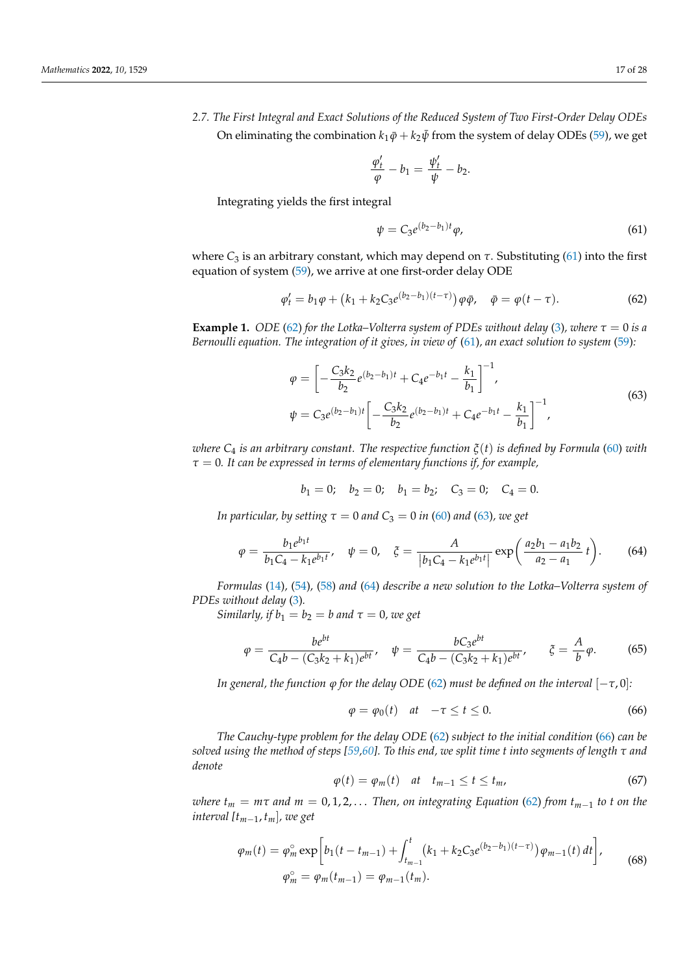<span id="page-16-6"></span>*2.7. The First Integral and Exact Solutions of the Reduced System of Two First-Order Delay ODEs* On eliminating the combination  $k_1\bar{\varphi} + k_2\bar{\psi}$  from the system of delay ODEs [\(59\)](#page-15-5), we get

$$
\frac{\varphi'_t}{\varphi} - b_1 = \frac{\psi'_t}{\psi} - b_2.
$$

Integrating yields the first integral

<span id="page-16-0"></span>
$$
\psi = C_3 e^{(b_2 - b_1)t} \varphi,\tag{61}
$$

where  $C_3$  is an arbitrary constant, which may depend on  $\tau$ . Substituting [\(61\)](#page-16-0) into the first equation of system [\(59\)](#page-15-5), we arrive at one first-order delay ODE

<span id="page-16-1"></span>
$$
\varphi'_t = b_1 \varphi + (k_1 + k_2 C_3 e^{(b_2 - b_1)(t - \tau)}) \varphi \bar{\varphi}, \quad \bar{\varphi} = \varphi(t - \tau).
$$
 (62)

**Example 1.** *ODE* [\(62\)](#page-16-1) *for the Lotka–Volterra system of PDEs without delay* [\(3\)](#page-3-1)*, where*  $\tau = 0$  *is a Bernoulli equation. The integration of it gives, in view of* [\(61\)](#page-16-0)*, an exact solution to system* [\(59\)](#page-15-5)*:*

<span id="page-16-2"></span>
$$
\varphi = \left[ -\frac{C_3 k_2}{b_2} e^{(b_2 - b_1)t} + C_4 e^{-b_1 t} - \frac{k_1}{b_1} \right]^{-1},
$$
  
\n
$$
\psi = C_3 e^{(b_2 - b_1)t} \left[ -\frac{C_3 k_2}{b_2} e^{(b_2 - b_1)t} + C_4 e^{-b_1 t} - \frac{k_1}{b_1} \right]^{-1},
$$
\n(63)

*where C*<sup>4</sup> *is an arbitrary constant. The respective function ξ*(*t*) *is defined by Formula* [\(60\)](#page-15-6) *with τ* = 0*. It can be expressed in terms of elementary functions if, for example,*

$$
b_1 = 0;
$$
  $b_2 = 0;$   $b_1 = b_2;$   $C_3 = 0;$   $C_4 = 0.$ 

*In particular, by setting*  $\tau = 0$  *and*  $C_3 = 0$  *in* [\(60\)](#page-15-6) *and* [\(63\)](#page-16-2)*, we get* 

$$
\varphi = \frac{b_1 e^{b_1 t}}{b_1 C_4 - k_1 e^{b_1 t}}, \quad \psi = 0, \quad \xi = \frac{A}{|b_1 C_4 - k_1 e^{b_1 t}|} \exp\left(\frac{a_2 b_1 - a_1 b_2}{a_2 - a_1} t\right).
$$
 (64)

*Formulas* [\(14\)](#page-5-1)*,* [\(54\)](#page-14-4)*,* [\(58\)](#page-15-4) *and* [\(64\)](#page-16-3) *describe a new solution to the Lotka–Volterra system of PDEs without delay* [\(3\)](#page-3-1)*.*

*Similarly, if*  $b_1 = b_2 = b$  and  $\tau = 0$ , we get

$$
\varphi = \frac{be^{bt}}{C_4b - (C_3k_2 + k_1)e^{bt}}, \quad \psi = \frac{bC_3e^{bt}}{C_4b - (C_3k_2 + k_1)e^{bt}}, \quad \xi = \frac{A}{b}\varphi.
$$
 (65)

*In general, the function*  $\varphi$  *for the delay ODE* [\(62\)](#page-16-1) *must be defined on the interval*  $[-\tau, 0]$ *:* 

<span id="page-16-4"></span><span id="page-16-3"></span>
$$
\varphi = \varphi_0(t) \quad at \quad -\tau \le t \le 0. \tag{66}
$$

*The Cauchy-type problem for the delay ODE* [\(62\)](#page-16-1) *subject to the initial condition* [\(66\)](#page-16-4) *can be solved using the method of steps [\[59,](#page-27-1)[60\]](#page-27-2). To this end, we split time t into segments of length τ and denote*

$$
\varphi(t) = \varphi_m(t) \quad at \quad t_{m-1} \le t \le t_m,\tag{67}
$$

*where*  $t_m = m\tau$  *and*  $m = 0, 1, 2, \ldots$  *Then, on integrating Equation* [\(62\)](#page-16-1) *from*  $t_{m-1}$  *to t on the interval [tm*−1, *tm*]*, we get*

<span id="page-16-5"></span>
$$
\varphi_m(t) = \varphi_m^{\circ} \exp\bigg[b_1(t - t_{m-1}) + \int_{t_{m-1}}^t (k_1 + k_2 C_3 e^{(b_2 - b_1)(t - \tau)}) \varphi_{m-1}(t) dt\bigg],
$$
\n
$$
\varphi_m^{\circ} = \varphi_m(t_{m-1}) = \varphi_{m-1}(t_m).
$$
\n(68)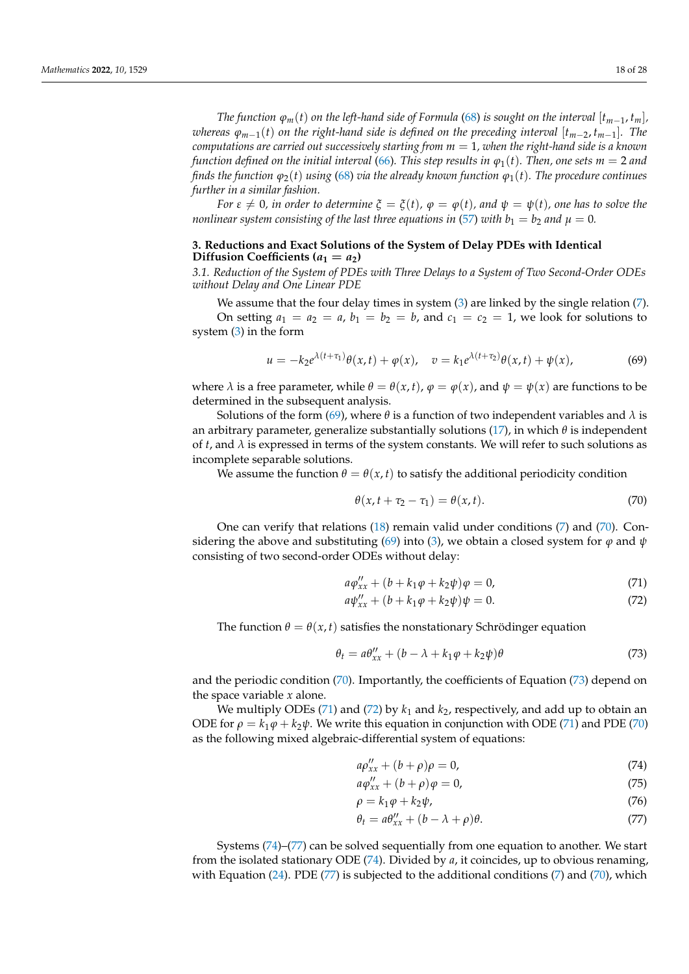*The function*  $\varphi_m(t)$  *on the left-hand side of Formula* [\(68\)](#page-16-5) *is sought on the interval*  $[t_{m-1}, t_m]$ *, whereas*  $\varphi_{m-1}(t)$  *on the right-hand side is defined on the preceding interval* [ $t_{m-2}, t_{m-1}$ ]*. The computations are carried out successively starting from m* = 1*, when the right-hand side is a known function defined on the initial interval* [\(66\)](#page-16-4). This step results in  $\varphi_1(t)$ . Then, one sets  $m = 2$  and *finds the function*  $\varphi_2(t)$  *using* [\(68\)](#page-16-5) *via the already known function*  $\varphi_1(t)$ *. The procedure continues further in a similar fashion.*

*For*  $\varepsilon \neq 0$ *, in order to determine*  $\xi = \xi(t)$ *,*  $\varphi = \varphi(t)$ *, and*  $\psi = \psi(t)$ *, one has to solve the nonlinear system consisting of the last three equations in [\(57\)](#page-15-3) with*  $b_1 = b_2$  *and*  $\mu = 0$ *.* 

# <span id="page-17-0"></span>**3. Reductions and Exact Solutions of the System of Delay PDEs with Identical Diffusion Coefficients (** $a_1 = a_2$ **)**

<span id="page-17-1"></span>*3.1. Reduction of the System of PDEs with Three Delays to a System of Two Second-Order ODEs without Delay and One Linear PDE*

We assume that the four delay times in system  $(3)$  are linked by the single relation  $(7)$ . On setting  $a_1 = a_2 = a$ ,  $b_1 = b_2 = b$ , and  $c_1 = c_2 = 1$ , we look for solutions to system [\(3\)](#page-3-1) in the form

$$
u = -k_2 e^{\lambda(t+\tau_1)} \theta(x,t) + \varphi(x), \quad v = k_1 e^{\lambda(t+\tau_2)} \theta(x,t) + \psi(x), \tag{69}
$$

where  $\lambda$  is a free parameter, while  $\theta = \theta(x, t)$ ,  $\varphi = \varphi(x)$ , and  $\psi = \psi(x)$  are functions to be determined in the subsequent analysis.

Solutions of the form [\(69\)](#page-17-2), where  $\theta$  is a function of two independent variables and  $\lambda$  is an arbitrary parameter, generalize substantially solutions [\(17\)](#page-5-2), in which *θ* is independent of  $t$ , and  $\lambda$  is expressed in terms of the system constants. We will refer to such solutions as incomplete separable solutions.

We assume the function  $\theta = \theta(x, t)$  to satisfy the additional periodicity condition

<span id="page-17-5"></span><span id="page-17-3"></span><span id="page-17-2"></span>
$$
\theta(x, t + \tau_2 - \tau_1) = \theta(x, t). \tag{70}
$$

One can verify that relations [\(18\)](#page-5-3) remain valid under conditions [\(7\)](#page-4-2) and [\(70\)](#page-17-3). Con-sidering the above and substituting [\(69\)](#page-17-2) into [\(3\)](#page-3-1), we obtain a closed system for  $\varphi$  and  $\psi$ consisting of two second-order ODEs without delay:

$$
a\varphi_{xx}'' + (b + k_1\varphi + k_2\psi)\varphi = 0,
$$
\n(71)

<span id="page-17-6"></span><span id="page-17-4"></span>
$$
a\psi_{xx}'' + (b + k_1\varphi + k_2\psi)\psi = 0.
$$
 (72)

The function  $\theta = \theta(x, t)$  satisfies the nonstationary Schrödinger equation

$$
\theta_t = a\theta_{xx}'' + (b - \lambda + k_1\varphi + k_2\psi)\theta
$$
\n(73)

and the periodic condition [\(70\)](#page-17-3). Importantly, the coefficients of Equation [\(73\)](#page-17-4) depend on the space variable *x* alone.

We multiply ODEs [\(71\)](#page-17-5) and [\(72\)](#page-17-6) by  $k_1$  and  $k_2$ , respectively, and add up to obtain an ODE for  $\rho = k_1 \varphi + k_2 \psi$ . We write this equation in conjunction with ODE [\(71\)](#page-17-5) and PDE [\(70\)](#page-17-3) as the following mixed algebraic-differential system of equations:

<span id="page-17-7"></span>
$$
a\rho_{xx}'' + (b+\rho)\rho = 0,\tag{74}
$$

<span id="page-17-10"></span><span id="page-17-9"></span>
$$
a\varphi_{xx}'' + (b+\rho)\varphi = 0,\tag{75}
$$

$$
\rho = k_1 \varphi + k_2 \psi, \tag{76}
$$

<span id="page-17-8"></span>
$$
\theta_t = a\theta_{xx}'' + (b - \lambda + \rho)\theta. \tag{77}
$$

Systems [\(74\)](#page-17-7)–[\(77\)](#page-17-8) can be solved sequentially from one equation to another. We start from the isolated stationary ODE [\(74\)](#page-17-7). Divided by *a*, it coincides, up to obvious renaming, with Equation  $(24)$ . PDE  $(77)$  is subjected to the additional conditions  $(7)$  and  $(70)$ , which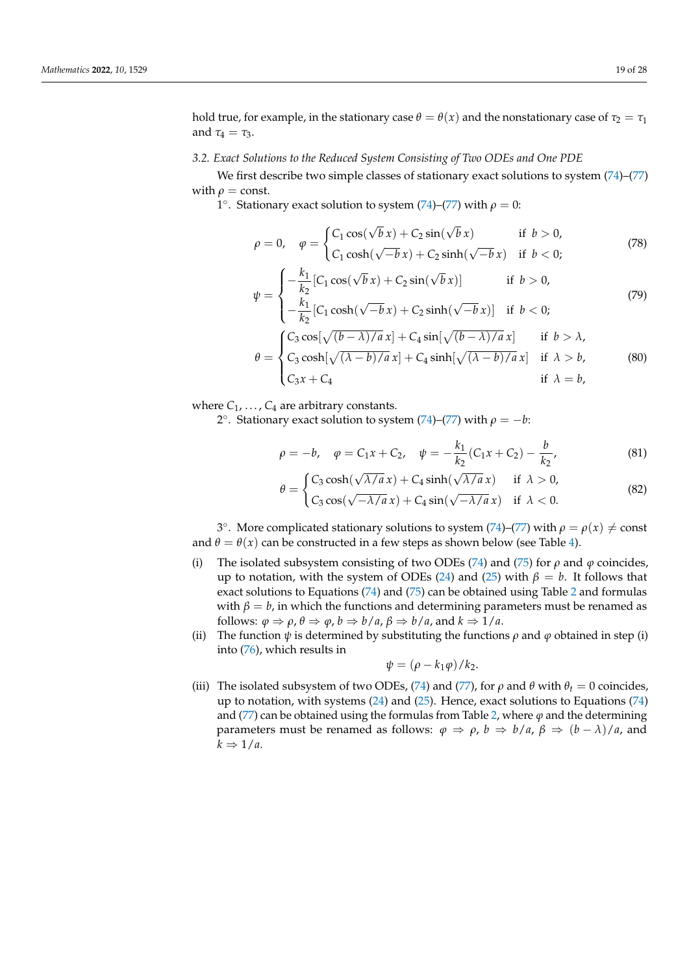hold true, for example, in the stationary case  $\theta = \theta(x)$  and the nonstationary case of  $\tau_2 = \tau_1$ and  $\tau_4 = \tau_3$ .

### <span id="page-18-0"></span>*3.2. Exact Solutions to the Reduced System Consisting of Two ODEs and One PDE*

We first describe two simple classes of stationary exact solutions to system [\(74\)](#page-17-7)–[\(77\)](#page-17-8) with  $\rho$  = const.

1°. Stationary exact solution to system [\(74\)](#page-17-7)–[\(77\)](#page-17-8) with  $\rho = 0$ :

<span id="page-18-1"></span>
$$
\rho = 0, \quad \varphi = \begin{cases} C_1 \cos(\sqrt{b}x) + C_2 \sin(\sqrt{b}x) & \text{if } b > 0, \\ C_1 \cosh(\sqrt{-b}x) + C_2 \sinh(\sqrt{-b}x) & \text{if } b < 0; \end{cases} \tag{78}
$$

<span id="page-18-2"></span>
$$
\psi = \begin{cases}\n-\frac{k_1}{k_2} [C_1 \cos(\sqrt{b} x) + C_2 \sin(\sqrt{b} x)] & \text{if } b > 0, \\
-\frac{k_1}{k_2} [C_1 \cosh(\sqrt{-b} x) + C_2 \sinh(\sqrt{-b} x)] & \text{if } b < 0; \n\end{cases}
$$
\n(79)  
\n
$$
\theta = \begin{cases}\nC_3 \cos[\sqrt{(b - \lambda)/a} x] + C_4 \sin[\sqrt{(b - \lambda)/a} x] & \text{if } b > \lambda, \\
C_3 \cosh[\sqrt{(\lambda - b)/a} x] + C_4 \sinh[\sqrt{(\lambda - b)/a} x] & \text{if } \lambda > b, \\
C_3 x + C_4 & \text{if } \lambda = b,\n\end{cases}
$$

where  $C_1, \ldots, C_4$  are arbitrary constants.

2°. Stationary exact solution to system [\(74\)](#page-17-7)–[\(77\)](#page-17-8) with  $\rho = -b$ :

$$
\rho = -b, \quad \varphi = C_1 x + C_2, \quad \psi = -\frac{k_1}{k_2} (C_1 x + C_2) - \frac{b}{k_2},
$$
\n(81)

$$
= \begin{cases} C_3 \cosh(\sqrt{\lambda/a} x) + C_4 \sinh(\sqrt{\lambda/a} x) & \text{if } \lambda > 0, \\ C_4 \sinh(\sqrt{\lambda/a} x) & \text{if } \lambda > 0, \end{cases}
$$
 (82)

$$
\theta = \begin{cases}\n\text{C}_3 \cos((\sqrt{\lambda/\mu} x) + C_4 \sin((\sqrt{\lambda/\mu} x)) & \text{if } \lambda > 0, \\
C_3 \cos((\sqrt{-\lambda/a} x) + C_4 \sin((\sqrt{-\lambda/a} x)) & \text{if } \lambda < 0.\n\end{cases}
$$
\n(82)

<sup>3</sup><sup>o</sup>. More complicated stationary solutions to system [\(74\)](#page-17-7)–[\(77\)](#page-17-8) with *ρ* = *ρ*(*x*) ≠ const and  $\theta = \theta(x)$  can be constructed in a few steps as shown below (see Table [4\)](#page-19-0).

- (i) The isolated subsystem consisting of two ODEs [\(74\)](#page-17-7) and [\(75\)](#page-17-9) for  $\rho$  and  $\varphi$  coincides, up to notation, with the system of ODEs [\(24\)](#page-6-2) and [\(25\)](#page-6-3) with  $\beta = b$ . It follows that exact solutions to Equations [\(74\)](#page-17-7) and [\(75\)](#page-17-9) can be obtained using Table [2](#page-12-1) and formulas with  $\beta = b$ , in which the functions and determining parameters must be renamed as follows:  $\varphi \Rightarrow \rho$ ,  $\theta \Rightarrow \varphi$ ,  $b \Rightarrow b/a$ ,  $\beta \Rightarrow b/a$ , and  $k \Rightarrow 1/a$ .
- (ii) The function  $\psi$  is determined by substituting the functions  $\rho$  and  $\varphi$  obtained in step (i) into [\(76\)](#page-17-10), which results in

<span id="page-18-3"></span>
$$
\psi = (\rho - k_1 \varphi) / k_2.
$$

(iii) The isolated subsystem of two ODEs, [\(74\)](#page-17-7) and [\(77\)](#page-17-8), for  $\rho$  and  $\theta$  with  $\theta_t = 0$  coincides, up to notation, with systems  $(24)$  and  $(25)$ . Hence, exact solutions to Equations  $(74)$ and [\(77\)](#page-17-8) can be obtained using the formulas from Table [2,](#page-12-1) where  $\varphi$  and the determining parameters must be renamed as follows:  $\varphi \Rightarrow \rho$ ,  $b \Rightarrow b/a$ ,  $\beta \Rightarrow (b - \lambda)/a$ , and  $k \Rightarrow 1/a$ .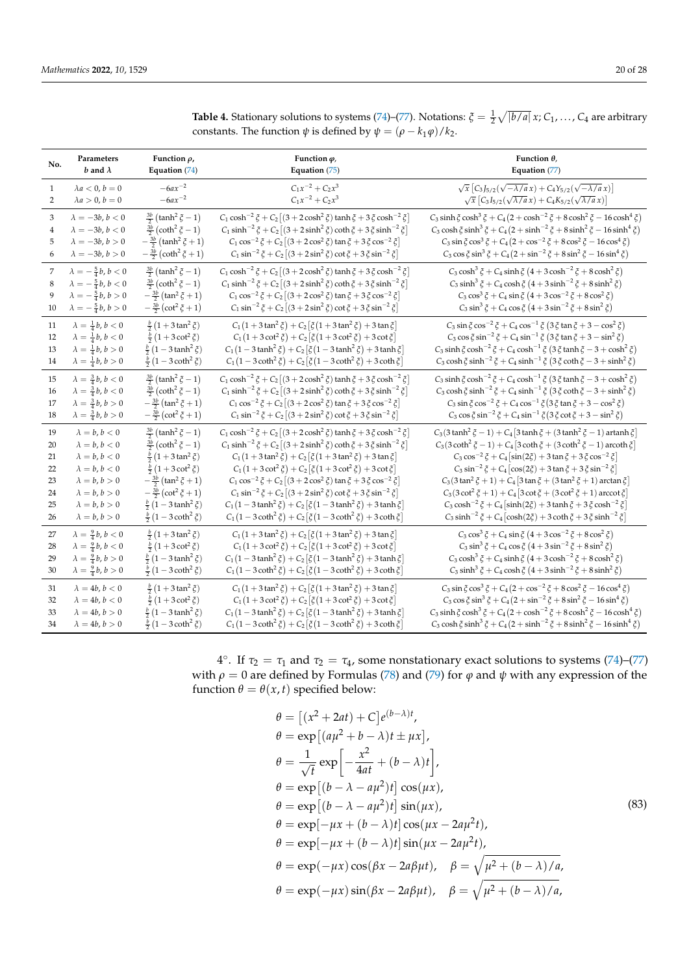| No.            | Parameters                       | Function $\rho$ ,                             | Function $\varphi$ ,                                                                                     | Function $\theta$ ,                                                                                |
|----------------|----------------------------------|-----------------------------------------------|----------------------------------------------------------------------------------------------------------|----------------------------------------------------------------------------------------------------|
|                | b and $\lambda$                  | Equation (74)                                 | Equation (75)                                                                                            | Equation (77)                                                                                      |
| $\mathbf{1}$   | $\lambda a < 0, b = 0$           | $-6ax^{-2}$                                   | $C_1x^{-2} + C_2x^3$                                                                                     | $\sqrt{x}$ $C_3 J_{5/2}(\sqrt{-\lambda/a} x) + C_4 Y_{5/2}(\sqrt{-\lambda/a} x)$                   |
| $\overline{2}$ | $\lambda a > 0, b = 0$           | $-6ax^{-2}$                                   | $C_1x^{-2} + C_2x^3$                                                                                     | $\sqrt{x}$ $[C_3I_{5/2}(\sqrt{\lambda/a}x) + C_4K_{5/2}(\sqrt{\lambda/a}x)]$                       |
| 3              | $\lambda=-3b,\,b<0$              | $\frac{3b}{2}$ (tanh <sup>2</sup> $\xi$ - 1)  | $C_1 \cosh^{-2} \zeta + C_2 \left[ (3 + 2 \cosh^2 \zeta) \tanh \zeta + 3 \zeta \cosh^{-2} \zeta \right]$ | $C_3 \sinh \xi \cosh^3 \xi + C_4 (2 + \cosh^{-2} \xi + 8 \cosh^2 \xi - 16 \cosh^4 \xi)$            |
| $\overline{4}$ | $\lambda = -3b, b < 0$           | $\frac{3b}{2}$ (coth <sup>2</sup> $\xi$ - 1)  | $C_1 \sinh^{-2} \zeta + C_2 \left[ (3 + 2 \sinh^2 \zeta) \coth \zeta + 3 \zeta \sinh^{-2} \zeta \right]$ | $C_3 \cosh \xi \sinh^3 \xi + C_4 (2 + \sinh^{-2} \xi + 8 \sinh^2 \xi - 16 \sinh^4 \xi)$            |
| 5              | $\lambda = -3b, b > 0$           | $-\frac{3b}{2}$ (tanh <sup>2</sup> $\xi$ + 1) | $C_1 \cos^{-2} \xi + C_2 [(3 + 2 \cos^2 \xi) \tan \xi + 3 \xi \cos^{-2} \xi]$                            | $C_3 \sin \xi \cos^3 \xi + C_4 (2 + \cos^{-2} \xi + 8 \cos^2 \xi - 16 \cos^4 \xi)$                 |
| 6              | $\lambda = -3b, b > 0$           | $-\frac{3b}{2}(\coth^2 \xi + 1)$              | $C_1 \sin^{-2} \xi + C_2 [(3 + 2 \sin^2 \xi) \cot \xi + 3 \xi \sin^{-2} \xi]$                            | $C_3 \cos \xi \sin^3 \xi + C_4 (2 + \sin^{-2} \xi + 8 \sin^2 \xi - 16 \sin^4 \xi)$                 |
| 7              | $\lambda = -\frac{5}{4}b, b < 0$ | $\frac{3b}{2}$ (tanh <sup>2</sup> $\xi$ - 1)  | $C_1 \cosh^{-2} \xi + C_2 \left[ (3 + 2 \cosh^2 \xi) \tanh \xi + 3 \xi \cosh^{-2} \xi \right]$           | $C_3 \cosh^3 \xi + C_4 \sinh \xi (4 + 3 \cosh^{-2} \xi + 8 \cosh^2 \xi)$                           |
| 8              | $\lambda = -\frac{5}{4}b, b < 0$ | $\frac{3b}{2}$ (coth <sup>2</sup> $\xi$ - 1)  | $C_1 \sinh^{-2} \zeta + C_2 [(3 + 2 \sinh^2 \zeta) \coth \zeta + 3 \zeta \sinh^{-2} \zeta]$              | $C_3 \sinh^3 \xi + C_4 \cosh \xi (4 + 3 \sinh^{-2} \xi + 8 \sinh^2 \xi)$                           |
| 9              | $\lambda = -\frac{5}{4}b, b > 0$ | $-\frac{3b}{2}(\tan^2 \xi + 1)$               | $C_1 \cos^{-2} \xi + C_2 [(3 + 2 \cos^2 \xi) \tan \xi + 3 \xi \cos^{-2} \xi]$                            | $C_3 \cos^3 \xi + C_4 \sin \xi (4 + 3 \cos^{-2} \xi + 8 \cos^2 \xi)$                               |
| 10             | $\lambda = -\frac{5}{4}b, b > 0$ | $-\frac{3b}{2}(\cot^2 \zeta + 1)$             | $C_1 \sin^{-2} \xi + C_2 [(3 + 2 \sin^2 \xi) \cot \xi + 3 \xi \sin^{-2} \xi]$                            | $C_3 \sin^3 \xi + C_4 \cos \xi (4 + 3 \sin^{-2} \xi + 8 \sin^2 \xi)$                               |
| 11             | $\lambda = \frac{1}{4}b, b < 0$  | $\frac{b}{2}(1+3\tan^2 \xi)$                  | $C_1(1+3\tan^2 \xi) + C_2[\xi(1+3\tan^2 \xi) + 3\tan \xi]$                                               | $C_3 \sin \xi \cos^{-2} \xi + C_4 \cos^{-1} \xi (3 \xi \tan \xi + 3 - \cos^2 \xi)$                 |
| 12             | $\lambda = \frac{1}{4}b, b < 0$  | $\frac{b}{2}(1+3\cot^2 \xi)$                  | $C_1(1+3\cot^2 \xi) + C_2[\xi(1+3\cot^2 \xi) + 3\cot \xi]$                                               | $C_3 \cos \xi \sin^{-2} \xi + C_4 \sin^{-1} \xi (3 \xi \tan \xi + 3 - \sin^2 \xi)$                 |
| 13             | $\lambda = \frac{1}{4}b, b > 0$  | $\frac{b}{2}(1-3\tanh^2 \xi)$                 | $C_1(1-3 \tanh^2 \xi) + C_2[\xi(1-3 \tanh^2 \xi) + 3 \tanh \xi]$                                         | $C_3 \sinh \xi \cosh^{-2} \xi + C_4 \cosh^{-1} \xi (3 \xi \tanh \xi - 3 + \cosh^2 \xi)$            |
| 14             | $\lambda = \frac{1}{4} b, b > 0$ | $\frac{b}{2}(1-3 \coth^2 \xi)$                | $C_1(1-3 \coth^2 \xi) + C_2[\xi(1-3 \coth^2 \xi) + 3 \coth \xi]$                                         | $C_3 \cosh \xi \sinh^{-2} \xi + C_4 \sinh^{-1} \xi (3 \xi \coth \xi - 3 + \sinh^2 \xi)$            |
| 15             | $\lambda = \frac{3}{4}b, b < 0$  | $\frac{3b}{2}$ (tanh <sup>2</sup> $\xi$ - 1)  | $C_1 \cosh^{-2} \zeta + C_2 \left[ (3 + 2 \cosh^2 \zeta) \tanh \zeta + 3 \zeta \cosh^{-2} \zeta \right]$ | $C_3 \sinh \xi \cosh^{-2} \xi + C_4 \cosh^{-1} \xi (3 \xi \tanh \xi - 3 + \cosh^2 \xi)$            |
| 16             | $\lambda = \frac{3}{4}b, b < 0$  | $\frac{3b}{2}$ (coth <sup>2</sup> $\xi$ - 1)  | $C_1 \sinh^{-2} \zeta + C_2 [(3 + 2 \sinh^2 \zeta) \coth \zeta + 3 \zeta \sinh^{-2} \zeta]$              | $C_3 \cosh \xi \sinh^{-2} \xi + C_4 \sinh^{-1} \xi (3 \xi \coth \xi - 3 + \sinh^2 \xi)$            |
| 17             | $\lambda = \frac{3}{4}b, b > 0$  | $-\frac{3b}{2}(\tan^2 \xi + 1)$               | $C_1 \cos^{-2} \xi + C_2 [(3 + 2 \cos^2 \xi) \tan \xi + 3 \xi \cos^{-2} \xi]$                            | $C_3 \sin \xi \cos^{-2} \xi + C_4 \cos^{-1} \xi (3 \xi \tan \xi + 3 - \cos^2 \xi)$                 |
| 18             | $\lambda = \frac{3}{4}b, b > 0$  | $-\frac{3b}{2}(\cot^2 \zeta + 1)$             | $C_1 \sin^{-2} \xi + C_2 [(3 + 2 \sin^2 \xi) \cot \xi + 3 \xi \sin^{-2} \xi]$                            | $C_3 \cos \xi \sin^{-2} \xi + C_4 \sin^{-1} \xi (3 \xi \cot \xi + 3 - \sin^2 \xi)$                 |
| 19             | $\lambda = b, b < 0$             | $\frac{3b}{2}$ (tanh <sup>2</sup> $\xi$ - 1)  | $C_1 \cosh^{-2} \zeta + C_2 \left[ (3 + 2 \cosh^2 \zeta) \tanh \zeta + 3 \zeta \cosh^{-2} \zeta \right]$ | $C_3(3\tanh^2 \xi - 1) + C_4[3\tanh \xi + (3\tanh^2 \xi - 1)$ artanh $\xi$ ]                       |
| 20             | $\lambda = b, b < 0$             | $\frac{3b}{2}$ (coth <sup>2</sup> $\xi$ - 1)  | $C_1 \sinh^{-2} \zeta + C_2 [(3 + 2 \sinh^2 \zeta) \coth \zeta + 3 \zeta \sinh^{-2} \zeta]$              | $C_3(3 \coth^2 \xi - 1) + C_4[3 \coth \xi + (3 \coth^2 \xi - 1)$ arcoth $\xi$                      |
| 21             | $\lambda = b, b < 0$             | $\frac{b}{2}(1+3\tan^2 \xi)$                  | $C_1(1+3\tan^2 \xi) + C_2[\xi(1+3\tan^2 \xi) + 3\tan \xi]$                                               | $C_3 \cos^{-2} \xi + C_4 \left[ \sin(2\xi) + 3 \tan \xi + 3 \xi \cos^{-2} \xi \right]$             |
| 22             | $\lambda = b, b < 0$             | $\frac{b}{2}(1+3 \cot^2 \xi)$                 | $C_1(1+3\cot^2 \xi) + C_2[\xi(1+3\cot^2 \xi) + 3\cot \xi]$                                               | $C_3 \sin^{-2} \xi + C_4 [\cos(2\xi) + 3 \tan \xi + 3 \xi \sin^{-2} \xi]$                          |
| 23             | $\lambda = b, b > 0$             | $-\frac{3b}{2}(\tan^2 \xi + 1)$               | $C_1 \cos^{-2} \xi + C_2 [(3 + 2 \cos^2 \xi) \tan \xi + 3 \xi \cos^{-2} \xi]$                            | $C_3(3\tan^2 \xi + 1) + C_4[3\tan \xi + (3\tan^2 \xi + 1) \arctan \xi]$                            |
| 24             | $\lambda = b, b > 0$             | $-\frac{3b}{2}(\cot^2 \zeta + 1)$             | $C_1 \sin^{-2} \xi + C_2 [(3 + 2 \sin^2 \xi) \cot \xi + 3 \xi \sin^{-2} \xi]$                            | $C_3(3 \cot^2 \xi + 1) + C_4[3 \cot \xi + (3 \cot^2 \xi + 1)$ arccot $\xi$                         |
| 25             | $\lambda = b, b > 0$             | $\frac{b}{2}(1-3\tanh^2 \zeta)$               | $C_1(1-3 \tanh^2 \xi) + C_2 [\xi(1-3 \tanh^2 \xi) + 3 \tanh \xi]$                                        | $C_3 \cosh^{-2} \zeta + C_4 \left[\sinh(2\zeta) + 3 \tanh \zeta + 3 \zeta \cosh^{-2} \zeta\right]$ |
| 26             | $\lambda = b, b > 0$             | $\frac{b}{2}(1-3 \coth^2 \xi)$                | $C_1(1-3 \coth^2 \xi) + C_2[\xi(1-3 \coth^2 \xi) + 3 \coth \xi]$                                         | $C_3 \sinh^{-2} \xi + C_4 \left[ \cosh(2\xi) + 3 \coth \xi + 3 \xi \sinh^{-2} \xi \right]$         |
| 27             | $\lambda = \frac{9}{4} b, b < 0$ | $\frac{b}{2}(1+3\tan^2 \xi)$                  | $C_1(1+3\tan^2 \xi) + C_2[\xi(1+3\tan^2 \xi) + 3\tan \xi]$                                               | $C_3 \cos^3 \xi + C_4 \sin \xi (4 + 3 \cos^{-2} \xi + 8 \cos^2 \xi)$                               |
| 28             | $\lambda = \frac{9}{4}b, b < 0$  | $\frac{b}{2}(1+3\cot^2 \xi)$                  | $C_1(1+3\cot^2 \xi) + C_2[\xi(1+3\cot^2 \xi) + 3\cot \xi]$                                               | $C_3 \sin^3 \xi + C_4 \cos \xi (4 + 3 \sin^{-2} \xi + 8 \sin^2 \xi)$                               |
| 29             | $\lambda = \frac{9}{4}b, b > 0$  | $\frac{b}{2}(1-3\tanh^2 \xi)$                 | $C_1(1-3 \tanh^2 \xi) + C_2[\xi(1-3 \tanh^2 \xi) + 3 \tanh \xi]$                                         | $C_3 \cosh^3 \xi + C_4 \sinh \xi (4 + 3 \cosh^{-2} \xi + 8 \cosh^2 \xi)$                           |
| 30             | $\lambda = \frac{9}{4}b, b > 0$  | $\frac{b}{2}(1-3 \coth^2 \xi)$                | $C_1(1-3 \coth^2 \xi) + C_2[\xi(1-3 \coth^2 \xi) + 3 \coth \xi]$                                         | $C_3 \sinh^3 \xi + C_4 \cosh \xi (4 + 3 \sinh^{-2} \xi + 8 \sinh^2 \xi)$                           |
| 31             | $\lambda = 4b, b < 0$            | $\frac{b}{2}(1+3\tan^2 \xi)$                  | $C_1(1+3\tan^2 \xi) + C_2[\xi(1+3\tan^2 \xi) + 3\tan \xi]$                                               | $C_3 \sin \xi \cos^3 \xi + C_4 (2 + \cos^{-2} \xi + 8 \cos^2 \xi - 16 \cos^4 \xi)$                 |
| 32             | $\lambda = 4b, b < 0$            | $\frac{b}{2}(1+3\cot^2 \xi)$                  | $C_1(1+3\cot^2 \xi) + C_2[\xi(1+3\cot^2 \xi) + 3\cot \xi]$                                               | $C_3 \cos \xi \sin^3 \xi + C_4 (2 + \sin^{-2} \xi + 8 \sin^2 \xi - 16 \sin^4 \xi)$                 |
| 33             | $\lambda = 4b, b > 0$            | $\frac{b}{2}(1-3\tanh^2 \xi)$                 | $C_1(1-3 \tanh^2 \xi) + C_2 [\xi(1-3 \tanh^2 \xi) + 3 \tanh \xi]$                                        | $C_3 \sinh \xi \cosh^3 \xi + C_4 (2 + \cosh^{-2} \xi + 8 \cosh^2 \xi - 16 \cosh^4 \xi)$            |
| 34             | $\lambda = 4b, b > 0$            | $\frac{b}{2}(1-3\coth^2 \xi)$                 | $C_1(1-3 \coth^2 \xi) + C_2[\xi(1-3 \coth^2 \xi) + 3 \coth \xi]$                                         | $C_3 \cosh \xi \sinh^3 \xi + C_4 (2 + \sinh^{-2} \xi + 8 \sinh^2 \xi - 16 \sinh^4 \xi)$            |

<span id="page-19-0"></span>**Table 4.** Stationary solutions to systems [\(74\)](#page-17-7)–[\(77\)](#page-17-8). Notations:  $\zeta = \frac{1}{2} \sqrt{|b/a|} x$ ;  $C_1, \ldots, C_4$  are arbitrary constants. The function  $\psi$  is defined by  $\psi = (\rho - k_1 \varphi)/k_2$ .

4°. If  $τ_2 = τ_1$  and  $τ_2 = τ_4$ , some nonstationary exact solutions to systems [\(74\)](#page-17-7)–[\(77\)](#page-17-8) with  $\rho = 0$  are defined by Formulas [\(78\)](#page-18-1) and [\(79\)](#page-18-2) for  $\varphi$  and  $\psi$  with any expression of the function  $\theta = \theta(x, t)$  specified below:

<span id="page-19-1"></span>
$$
\theta = [(x^2 + 2at) + C]e^{(b-\lambda)t},
$$
  
\n
$$
\theta = \exp[(a\mu^2 + b - \lambda)t \pm \mu x],
$$
  
\n
$$
\theta = \frac{1}{\sqrt{t}} \exp\left[-\frac{x^2}{4at} + (b - \lambda)t\right],
$$
  
\n
$$
\theta = \exp[(b - \lambda - a\mu^2)t] \cos(\mu x),
$$
  
\n
$$
\theta = \exp[(b - \lambda - a\mu^2)t] \sin(\mu x),
$$
  
\n
$$
\theta = \exp[-\mu x + (b - \lambda)t] \cos(\mu x - 2a\mu^2 t),
$$
  
\n
$$
\theta = \exp[-\mu x + (b - \lambda)t] \sin(\mu x - 2a\mu^2 t),
$$
  
\n
$$
\theta = \exp(-\mu x) \cos(\beta x - 2a\beta\mu t), \quad \beta = \sqrt{\mu^2 + (b - \lambda)/a},
$$
  
\n
$$
\theta = \exp(-\mu x) \sin(\beta x - 2a\beta\mu t), \quad \beta = \sqrt{\mu^2 + (b - \lambda)/a},
$$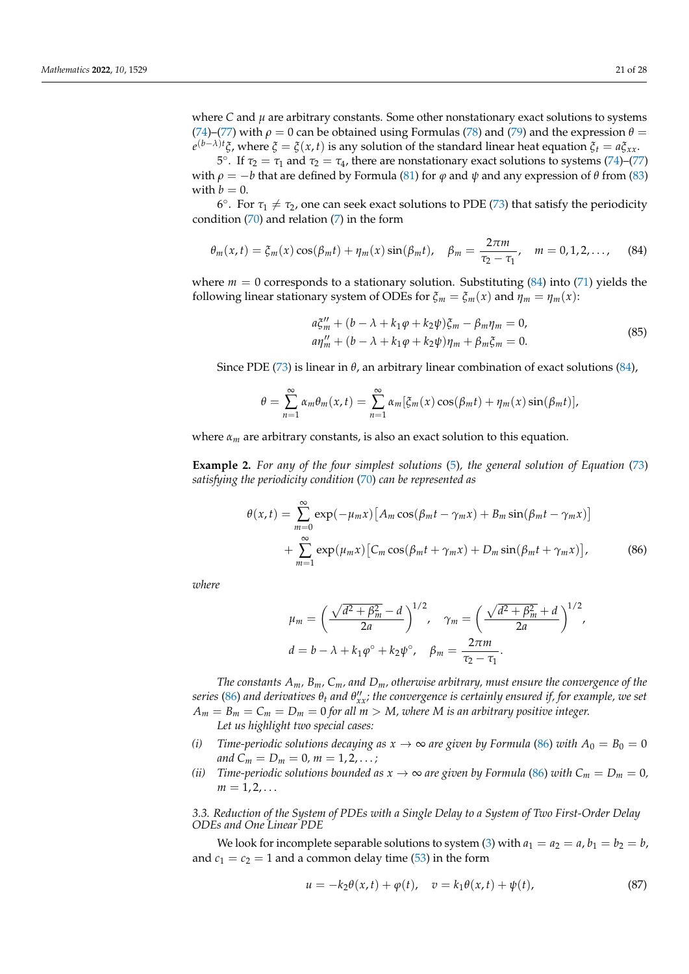where  $C$  and  $\mu$  are arbitrary constants. Some other nonstationary exact solutions to systems [\(74\)](#page-17-7)–[\(77\)](#page-17-8) with  $\rho = 0$  can be obtained using Formulas [\(78\)](#page-18-1) and [\(79\)](#page-18-2) and the expression  $\theta =$  $e^{(b-λ)t}$ ζ, where *ξ* = *ξ*(*x*, *t*) is any solution of the standard linear heat equation  $\zeta$ *t* = *a*ξ*xx*.

<sup>5°</sup>. If  $τ_2 = τ_1$  and  $τ_2 = τ_4$ , there are nonstationary exact solutions to systems [\(74\)](#page-17-7)–[\(77\)](#page-17-8) with  $\rho = -b$  that are defined by Formula [\(81\)](#page-18-3) for  $\varphi$  and  $\psi$  and any expression of  $\theta$  from [\(83\)](#page-19-1) with  $b = 0$ .

 $6^\circ$ . For  $τ_1 \neq τ_2$ , one can seek exact solutions to PDE [\(73\)](#page-17-4) that satisfy the periodicity condition  $(70)$  and relation  $(7)$  in the form

$$
\theta_m(x,t) = \xi_m(x) \cos(\beta_m t) + \eta_m(x) \sin(\beta_m t), \quad \beta_m = \frac{2\pi m}{\tau_2 - \tau_1}, \quad m = 0, 1, 2, \dots,
$$
 (84)

where  $m = 0$  corresponds to a stationary solution. Substituting  $(84)$  into  $(71)$  yields the following linear stationary system of ODEs for  $\zeta_m = \zeta_m(x)$  and  $\eta_m = \eta_m(x)$ :

<span id="page-20-1"></span>
$$
a\xi_m^{\prime\prime} + (b - \lambda + k_1\varphi + k_2\psi)\xi_m - \beta_m\eta_m = 0,
$$
  
\n
$$
a\eta_m^{\prime\prime} + (b - \lambda + k_1\varphi + k_2\psi)\eta_m + \beta_m\xi_m = 0.
$$
\n(85)

Since PDE [\(73\)](#page-17-4) is linear in *θ*, an arbitrary linear combination of exact solutions [\(84\)](#page-20-1),

$$
\theta = \sum_{n=1}^{\infty} \alpha_m \theta_m(x, t) = \sum_{n=1}^{\infty} \alpha_m [\xi_m(x) \cos(\beta_m t) + \eta_m(x) \sin(\beta_m t)],
$$

where  $\alpha_m$  are arbitrary constants, is also an exact solution to this equation.

**Example 2.** *For any of the four simplest solutions* [\(5\)](#page-3-4)*, the general solution of Equation* [\(73\)](#page-17-4) *satisfying the periodicity condition* [\(70\)](#page-17-3) *can be represented as*

$$
\theta(x,t) = \sum_{m=0}^{\infty} \exp(-\mu_m x) \left[ A_m \cos(\beta_m t - \gamma_m x) + B_m \sin(\beta_m t - \gamma_m x) \right]
$$

$$
+ \sum_{m=1}^{\infty} \exp(\mu_m x) \left[ C_m \cos(\beta_m t + \gamma_m x) + D_m \sin(\beta_m t + \gamma_m x) \right],
$$
(86)

*where*

<span id="page-20-2"></span>
$$
\mu_m = \left(\frac{\sqrt{d^2 + \beta_m^2} - d}{2a}\right)^{1/2}, \quad \gamma_m = \left(\frac{\sqrt{d^2 + \beta_m^2} + d}{2a}\right)^{1/2},
$$

$$
d = b - \lambda + k_1 \varphi^{\circ} + k_2 \psi^{\circ}, \quad \beta_m = \frac{2\pi m}{\tau_2 - \tau_1}.
$$

*The constants Am, Bm, Cm, and Dm, otherwise arbitrary, must ensure the convergence of the*  $s$ eries [\(86\)](#page-20-2) and derivatives  $\theta_t$  and  $\theta''_{xx}$ ; the convergence is certainly ensured if, for example, we set  $A_m = B_m = C_m = D_m = 0$  for all  $m > M$ , where M is an arbitrary positive integer.

*Let us highlight two special cases:*

- *(i) Time-periodic solutions decaying as*  $x \to \infty$  *are given by Formula* [\(86\)](#page-20-2) *with*  $A_0 = B_0 = 0$ *and*  $C_m = D_m = 0, m = 1, 2, ...;$
- *(ii) Time-periodic solutions bounded as*  $x \to \infty$  *are given by Formula* [\(86\)](#page-20-2) *with*  $C_m = D_m = 0$ *,*  $m = 1, 2, \ldots$

<span id="page-20-0"></span>*3.3. Reduction of the System of PDEs with a Single Delay to a System of Two First-Order Delay ODEs and One Linear PDE*

We look for incomplete separable solutions to system [\(3\)](#page-3-1) with  $a_1 = a_2 = a$ ,  $b_1 = b_2 = b$ , and  $c_1 = c_2 = 1$  and a common delay time [\(53\)](#page-14-5) in the form

<span id="page-20-3"></span>
$$
u = -k_2 \theta(x, t) + \varphi(t), \quad v = k_1 \theta(x, t) + \psi(t), \tag{87}
$$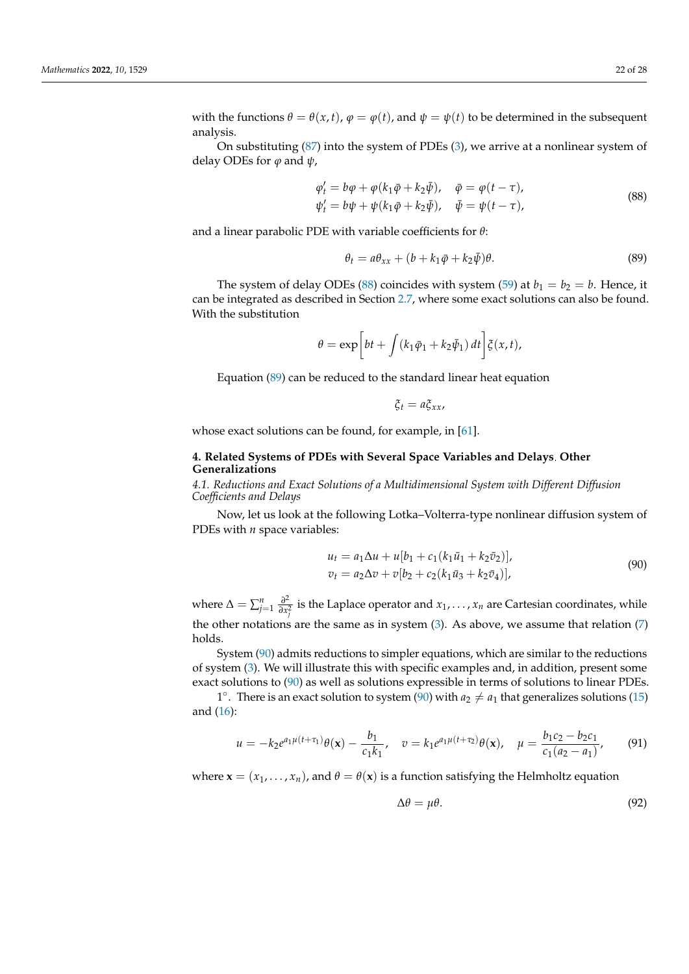analysis.

On substituting [\(87\)](#page-20-3) into the system of PDEs [\(3\)](#page-3-1), we arrive at a nonlinear system of delay ODEs for *ϕ* and *ψ*,

<span id="page-21-2"></span>
$$
\varphi'_t = b\varphi + \varphi(k_1\bar{\varphi} + k_2\bar{\psi}), \quad \bar{\varphi} = \varphi(t-\tau), \n\psi'_t = b\psi + \psi(k_1\bar{\varphi} + k_2\bar{\psi}), \quad \bar{\psi} = \psi(t-\tau),
$$
\n(88)

and a linear parabolic PDE with variable coefficients for *θ*:

<span id="page-21-3"></span>
$$
\theta_t = a\theta_{xx} + (b + k_1\bar{\varphi} + k_2\bar{\psi})\theta.
$$
\n(89)

The system of delay ODEs [\(88\)](#page-21-2) coincides with system [\(59\)](#page-15-5) at  $b_1 = b_2 = b$ . Hence, it can be integrated as described in Section [2.7,](#page-16-6) where some exact solutions can also be found. With the substitution

$$
\theta = \exp\bigg[bt + \int (k_1\bar{\varphi}_1 + k_2\bar{\psi}_1) dt\bigg]\xi(x,t),
$$

Equation [\(89\)](#page-21-3) can be reduced to the standard linear heat equation

$$
\xi_t = a \xi_{xx},
$$

<span id="page-21-0"></span>whose exact solutions can be found, for example, in [\[61\]](#page-27-3).

#### **4. Related Systems of PDEs with Several Space Variables and Delays Other Generalizations**

<span id="page-21-1"></span>*4.1. Reductions and Exact Solutions of a Multidimensional System with Different Diffusion Coefficients and Delays*

Now, let us look at the following Lotka–Volterra-type nonlinear diffusion system of PDEs with *n* space variables:

<span id="page-21-4"></span>
$$
u_t = a_1 \Delta u + u[b_1 + c_1(k_1 \bar{u}_1 + k_2 \bar{v}_2)],
$$
  
\n
$$
v_t = a_2 \Delta v + v[b_2 + c_2(k_1 \bar{u}_3 + k_2 \bar{v}_4)],
$$
\n(90)

where  $\Delta = \sum_{j=1}^{n} \frac{\partial^2}{\partial x^2}$ *∂*<sup>2</sup> is the Laplace operator and *x*<sub>1</sub>, . . . *, x*<sub>*n*</sub> are Cartesian coordinates, while the other notations are the same as in system  $(3)$ . As above, we assume that relation  $(7)$ holds.

System [\(90\)](#page-21-4) admits reductions to simpler equations, which are similar to the reductions of system [\(3\)](#page-3-1). We will illustrate this with specific examples and, in addition, present some exact solutions to [\(90\)](#page-21-4) as well as solutions expressible in terms of solutions to linear PDEs.

1°. There is an exact solution to system [\(90\)](#page-21-4) with  $a_2 \neq a_1$  that generalizes solutions [\(15\)](#page-5-6) and [\(16\)](#page-5-7):

$$
u = -k_2 e^{a_1 \mu (t + \tau_1)} \theta(\mathbf{x}) - \frac{b_1}{c_1 k_1}, \quad v = k_1 e^{a_1 \mu (t + \tau_2)} \theta(\mathbf{x}), \quad \mu = \frac{b_1 c_2 - b_2 c_1}{c_1 (a_2 - a_1)}, \tag{91}
$$

where  $\mathbf{x} = (x_1, \dots, x_n)$ , and  $\theta = \theta(\mathbf{x})$  is a function satisfying the Helmholtz equation

<span id="page-21-5"></span>
$$
\Delta \theta = \mu \theta. \tag{92}
$$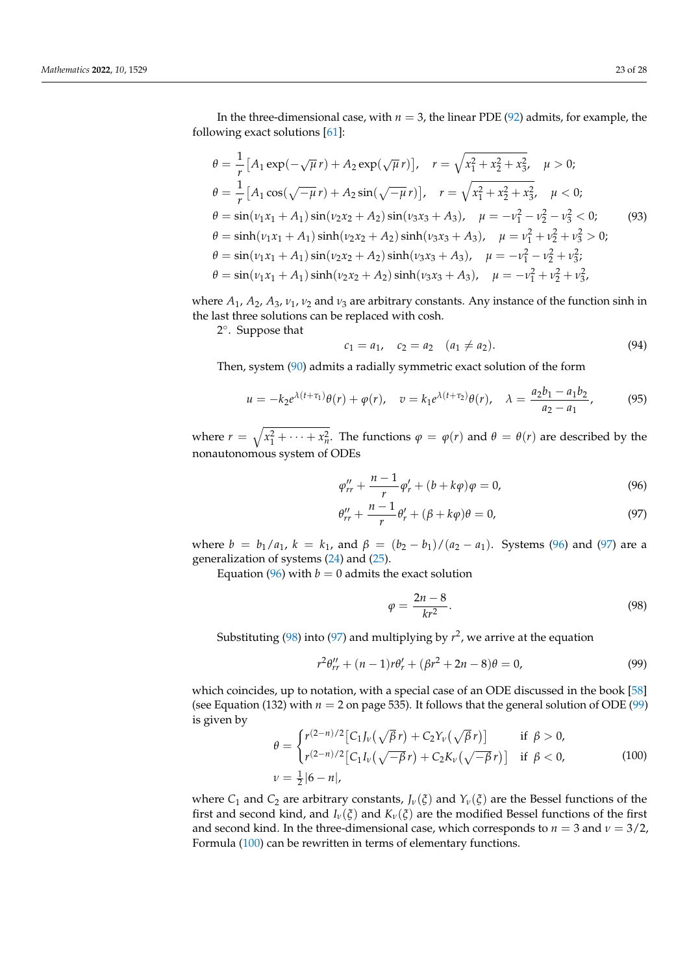In the three-dimensional case, with  $n = 3$ , the linear PDE [\(92\)](#page-21-5) admits, for example, the following exact solutions [\[61\]](#page-27-3):

<span id="page-22-6"></span>
$$
\theta = \frac{1}{r} \left[ A_1 \exp(-\sqrt{\mu} r) + A_2 \exp(\sqrt{\mu} r) \right], \quad r = \sqrt{x_1^2 + x_2^2 + x_3^2}, \quad \mu > 0;
$$
  
\n
$$
\theta = \frac{1}{r} \left[ A_1 \cos(\sqrt{-\mu} r) + A_2 \sin(\sqrt{-\mu} r) \right], \quad r = \sqrt{x_1^2 + x_2^2 + x_3^2}, \quad \mu < 0;
$$
  
\n
$$
\theta = \sin(\nu_1 x_1 + A_1) \sin(\nu_2 x_2 + A_2) \sin(\nu_3 x_3 + A_3), \quad \mu = -\nu_1^2 - \nu_2^2 - \nu_3^2 < 0;
$$
  
\n
$$
\theta = \sinh(\nu_1 x_1 + A_1) \sinh(\nu_2 x_2 + A_2) \sinh(\nu_3 x_3 + A_3), \quad \mu = \nu_1^2 + \nu_2^2 + \nu_3^2 > 0;
$$
  
\n
$$
\theta = \sin(\nu_1 x_1 + A_1) \sin(\nu_2 x_2 + A_2) \sinh(\nu_3 x_3 + A_3), \quad \mu = -\nu_1^2 - \nu_2^2 + \nu_3^2;
$$
  
\n
$$
\theta = \sin(\nu_1 x_1 + A_1) \sinh(\nu_2 x_2 + A_2) \sinh(\nu_3 x_3 + A_3), \quad \mu = -\nu_1^2 + \nu_2^2 + \nu_3^2,
$$

where  $A_1$ ,  $A_2$ ,  $A_3$ ,  $v_1$ ,  $v_2$  and  $v_3$  are arbitrary constants. Any instance of the function sinh in the last three solutions can be replaced with cosh.

2 ◦ . Suppose that

$$
c_1 = a_1, \quad c_2 = a_2 \quad (a_1 \neq a_2). \tag{94}
$$

Then, system [\(90\)](#page-21-4) admits a radially symmetric exact solution of the form

$$
u = -k_2 e^{\lambda(t+\tau_1)} \theta(r) + \varphi(r), \quad v = k_1 e^{\lambda(t+\tau_2)} \theta(r), \quad \lambda = \frac{a_2 b_1 - a_1 b_2}{a_2 - a_1}, \tag{95}
$$

where  $r = \sqrt{x_1^2 + \cdots + x_n^2}$ . The functions  $\varphi = \varphi(r)$  and  $\theta = \theta(r)$  are described by the nonautonomous system of ODEs

$$
\varphi_{rr}'' + \frac{n-1}{r} \varphi_r' + (b + k\varphi)\varphi = 0,
$$
\n(96)

$$
\theta_{rr}^{\prime\prime} + \frac{n-1}{r} \theta_r^{\prime} + (\beta + k\varphi)\theta = 0, \qquad (97)
$$

where  $b = b_1/a_1$ ,  $k = k_1$ , and  $\beta = (b_2 - b_1)/(a_2 - a_1)$ . Systems [\(96\)](#page-22-1) and [\(97\)](#page-22-2) are a generalization of systems [\(24\)](#page-6-2) and [\(25\)](#page-6-3).

Equation [\(96\)](#page-22-1) with  $b = 0$  admits the exact solution

<span id="page-22-4"></span><span id="page-22-3"></span><span id="page-22-2"></span><span id="page-22-1"></span>
$$
\varphi = \frac{2n - 8}{kr^2}.\tag{98}
$$

Substituting  $(98)$  into  $(97)$  and multiplying by  $r^2$ , we arrive at the equation

$$
r^{2}\theta_{rr}'' + (n-1)r\theta_{r}' + (\beta r^{2} + 2n - 8)\theta = 0,
$$
\n(99)

which coincides, up to notation, with a special case of an ODE discussed in the book [\[58\]](#page-27-0) (see Equation (132) with  $n = 2$  on page 535). It follows that the general solution of ODE [\(99\)](#page-22-4) is given by

<span id="page-22-5"></span>
$$
\theta = \begin{cases} r^{(2-n)/2} \left[ C_1 J_{\nu}(\sqrt{\beta}r) + C_2 Y_{\nu}(\sqrt{\beta}r) \right] & \text{if } \beta > 0, \\ r^{(2-n)/2} \left[ C_1 I_{\nu}(\sqrt{-\beta}r) + C_2 K_{\nu}(\sqrt{-\beta}r) \right] & \text{if } \beta < 0, \end{cases}
$$
(100)  

$$
\nu = \frac{1}{2} |\delta - n|,
$$

<span id="page-22-0"></span>where  $C_1$  and  $C_2$  are arbitrary constants,  $J_\nu(\xi)$  and  $Y_\nu(\xi)$  are the Bessel functions of the first and second kind, and  $I_v(\xi)$  and  $K_v(\xi)$  are the modified Bessel functions of the first and second kind. In the three-dimensional case, which corresponds to  $n = 3$  and  $\nu = 3/2$ , Formula [\(100\)](#page-22-5) can be rewritten in terms of elementary functions.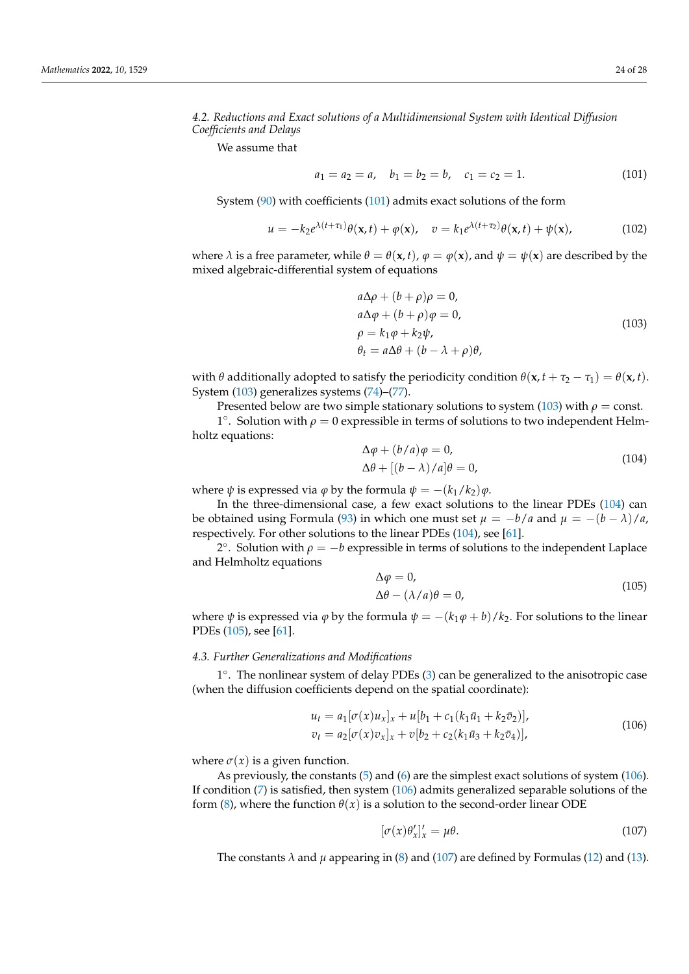# *4.2. Reductions and Exact solutions of a Multidimensional System with Identical Diffusion Coefficients and Delays*

We assume that

<span id="page-23-1"></span>
$$
a_1 = a_2 = a, \quad b_1 = b_2 = b, \quad c_1 = c_2 = 1. \tag{101}
$$

System [\(90\)](#page-21-4) with coefficients [\(101\)](#page-23-1) admits exact solutions of the form

$$
u = -k_2 e^{\lambda(t+\tau_1)} \theta(\mathbf{x},t) + \varphi(\mathbf{x}), \quad v = k_1 e^{\lambda(t+\tau_2)} \theta(\mathbf{x},t) + \psi(\mathbf{x}), \tag{102}
$$

where  $\lambda$  is a free parameter, while  $\theta = \theta(\mathbf{x}, t)$ ,  $\varphi = \varphi(\mathbf{x})$ , and  $\psi = \psi(\mathbf{x})$  are described by the mixed algebraic-differential system of equations

<span id="page-23-2"></span>
$$
a\Delta \rho + (b + \rho)\rho = 0,a\Delta \varphi + (b + \rho)\varphi = 0,\rho = k_1 \varphi + k_2 \psi,\theta_t = a\Delta \theta + (b - \lambda + \rho)\theta,
$$
\n(103)

with *θ* additionally adopted to satisfy the periodicity condition  $\theta$ (**x**,  $t + \tau_2 - \tau_1$ ) =  $\theta$ (**x**, *t*). System [\(103\)](#page-23-2) generalizes systems [\(74\)](#page-17-7)–[\(77\)](#page-17-8).

Presented below are two simple stationary solutions to system [\(103\)](#page-23-2) with  $\rho = \text{const.}$ 

<sup>1</sup>°. Solution with  $ρ = 0$  expressible in terms of solutions to two independent Helmholtz equations: ∆*ϕ* + (*b*/*a*)*ϕ* = 0,

<span id="page-23-3"></span>
$$
\Delta \varphi + (b/a)\varphi = 0,
$$
  
\n
$$
\Delta \theta + [(b - \lambda)/a]\theta = 0,
$$
\n(104)

where  $\psi$  is expressed via  $\varphi$  by the formula  $\psi = -(k_1/k_2)\varphi$ .

In the three-dimensional case, a few exact solutions to the linear PDEs [\(104\)](#page-23-3) can be obtained using Formula [\(93\)](#page-22-6) in which one must set  $\mu = -b/a$  and  $\mu = -(b - \lambda)/a$ , respectively. For other solutions to the linear PDEs [\(104\)](#page-23-3), see [\[61\]](#page-27-3).

2°. Solution with  $\rho = -b$  expressible in terms of solutions to the independent Laplace and Helmholtz equations

<span id="page-23-4"></span>
$$
\Delta \varphi = 0,
$$
  
\n
$$
\Delta \theta - (\lambda/a)\theta = 0,
$$
\n(105)

where  $\psi$  is expressed via  $\varphi$  by the formula  $\psi = -(k_1\varphi + b)/k_2$ . For solutions to the linear PDEs [\(105\)](#page-23-4), see [\[61\]](#page-27-3).

#### <span id="page-23-0"></span>*4.3. Further Generalizations and Modifications*

1 ◦ . The nonlinear system of delay PDEs [\(3\)](#page-3-1) can be generalized to the anisotropic case (when the diffusion coefficients depend on the spatial coordinate):

<span id="page-23-5"></span>
$$
u_t = a_1 [\sigma(x) u_x]_x + u[b_1 + c_1(k_1 \bar{u}_1 + k_2 \bar{v}_2)],
$$
  
\n
$$
v_t = a_2 [\sigma(x) v_x]_x + v[b_2 + c_2(k_1 \bar{u}_3 + k_2 \bar{v}_4)],
$$
\n(106)

where  $\sigma(x)$  is a given function.

As previously, the constants [\(5\)](#page-3-4) and [\(6\)](#page-3-3) are the simplest exact solutions of system [\(106\)](#page-23-5). If condition [\(7\)](#page-4-2) is satisfied, then system [\(106\)](#page-23-5) admits generalized separable solutions of the form [\(8\)](#page-4-3), where the function  $\theta(x)$  is a solution to the second-order linear ODE

<span id="page-23-6"></span>
$$
[\sigma(x)\theta_x']_x' = \mu\theta. \tag{107}
$$

The constants  $\lambda$  and  $\mu$  appearing in [\(8\)](#page-4-3) and [\(107\)](#page-23-6) are defined by Formulas [\(12\)](#page-4-7) and [\(13\)](#page-4-8).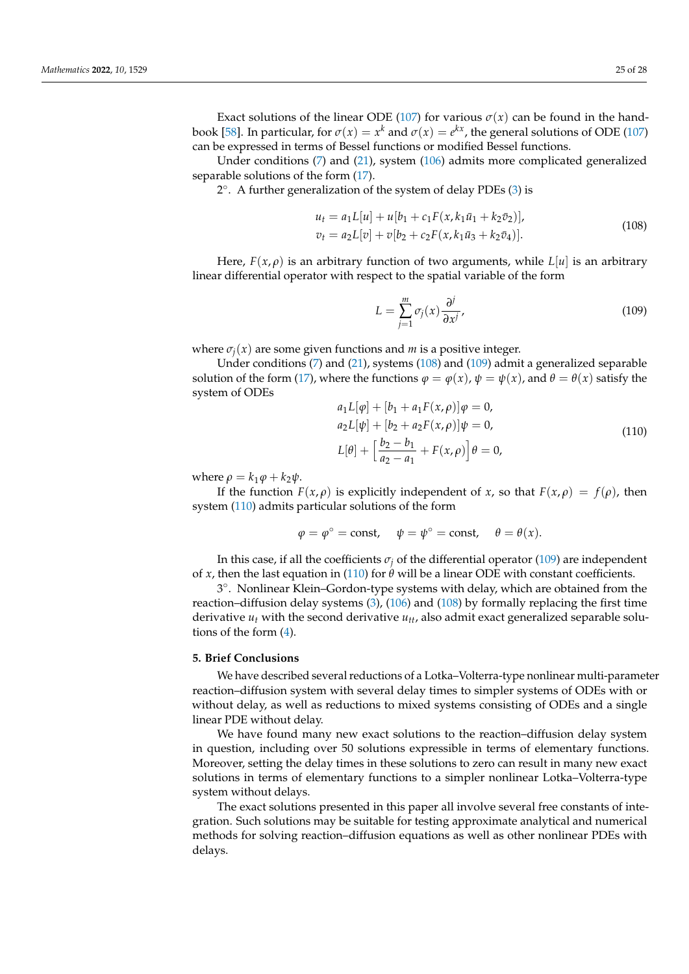Exact solutions of the linear ODE [\(107\)](#page-23-6) for various  $\sigma(x)$  can be found in the hand-book [\[58\]](#page-27-0). In particular, for  $\sigma(x) = x^k$  and  $\sigma(x) = e^{kx}$ , the general solutions of ODE [\(107\)](#page-23-6) can be expressed in terms of Bessel functions or modified Bessel functions.

Under conditions  $(7)$  and  $(21)$ , system  $(106)$  admits more complicated generalized separable solutions of the form [\(17\)](#page-5-2).

2 ◦ . A further generalization of the system of delay PDEs [\(3\)](#page-3-1) is

<span id="page-24-1"></span>
$$
u_t = a_1 L[u] + u[b_1 + c_1 F(x, k_1 \bar{u}_1 + k_2 \bar{v}_2)],
$$
  
\n
$$
v_t = a_2 L[v] + v[b_2 + c_2 F(x, k_1 \bar{u}_3 + k_2 \bar{v}_4)].
$$
\n(108)

Here,  $F(x, \rho)$  is an arbitrary function of two arguments, while  $L[u]$  is an arbitrary linear differential operator with respect to the spatial variable of the form

<span id="page-24-2"></span>
$$
L = \sum_{j=1}^{m} \sigma_j(x) \frac{\partial^j}{\partial x^j},
$$
\n(109)

where  $\sigma_i(x)$  are some given functions and *m* is a positive integer.

Under conditions [\(7\)](#page-4-2) and [\(21\)](#page-6-0), systems [\(108\)](#page-24-1) and [\(109\)](#page-24-2) admit a generalized separable solution of the form [\(17\)](#page-5-2), where the functions  $\varphi = \varphi(x)$ ,  $\psi = \psi(x)$ , and  $\theta = \theta(x)$  satisfy the system of ODEs *a*1*L*[*ϕ*] + [*b*<sup>1</sup> + *a*1*F*(*x*, *ρ*)]*ϕ* = 0,

<span id="page-24-3"></span>
$$
a_1L[\varphi] + [b_1 + a_1F(x, \rho)]\varphi = 0,
$$
  
\n
$$
a_2L[\psi] + [b_2 + a_2F(x, \rho)]\psi = 0,
$$
  
\n
$$
L[\theta] + \left[\frac{b_2 - b_1}{a_2 - a_1} + F(x, \rho)\right]\theta = 0,
$$
\n(110)

where  $\rho = k_1 \varphi + k_2 \psi$ .

If the function  $F(x, \rho)$  is explicitly independent of *x*, so that  $F(x, \rho) = f(\rho)$ , then system [\(110\)](#page-24-3) admits particular solutions of the form

$$
\varphi = \varphi^{\circ} = \text{const}, \quad \psi = \psi^{\circ} = \text{const}, \quad \theta = \theta(x).
$$

In this case, if all the coefficients  $\sigma_j$  of the differential operator [\(109\)](#page-24-2) are independent of *x*, then the last equation in [\(110\)](#page-24-3) for  $\theta$  will be a linear ODE with constant coefficients.

3 ◦ . Nonlinear Klein–Gordon-type systems with delay, which are obtained from the reaction–diffusion delay systems [\(3\)](#page-3-1), [\(106\)](#page-23-5) and [\(108\)](#page-24-1) by formally replacing the first time derivative  $u_t$  with the second derivative  $u_{tt}$ , also admit exact generalized separable solutions of the form [\(4\)](#page-3-2).

#### <span id="page-24-0"></span>**5. Brief Conclusions**

We have described several reductions of a Lotka–Volterra-type nonlinear multi-parameter reaction–diffusion system with several delay times to simpler systems of ODEs with or without delay, as well as reductions to mixed systems consisting of ODEs and a single linear PDE without delay.

We have found many new exact solutions to the reaction–diffusion delay system in question, including over 50 solutions expressible in terms of elementary functions. Moreover, setting the delay times in these solutions to zero can result in many new exact solutions in terms of elementary functions to a simpler nonlinear Lotka–Volterra-type system without delays.

The exact solutions presented in this paper all involve several free constants of integration. Such solutions may be suitable for testing approximate analytical and numerical methods for solving reaction–diffusion equations as well as other nonlinear PDEs with delays.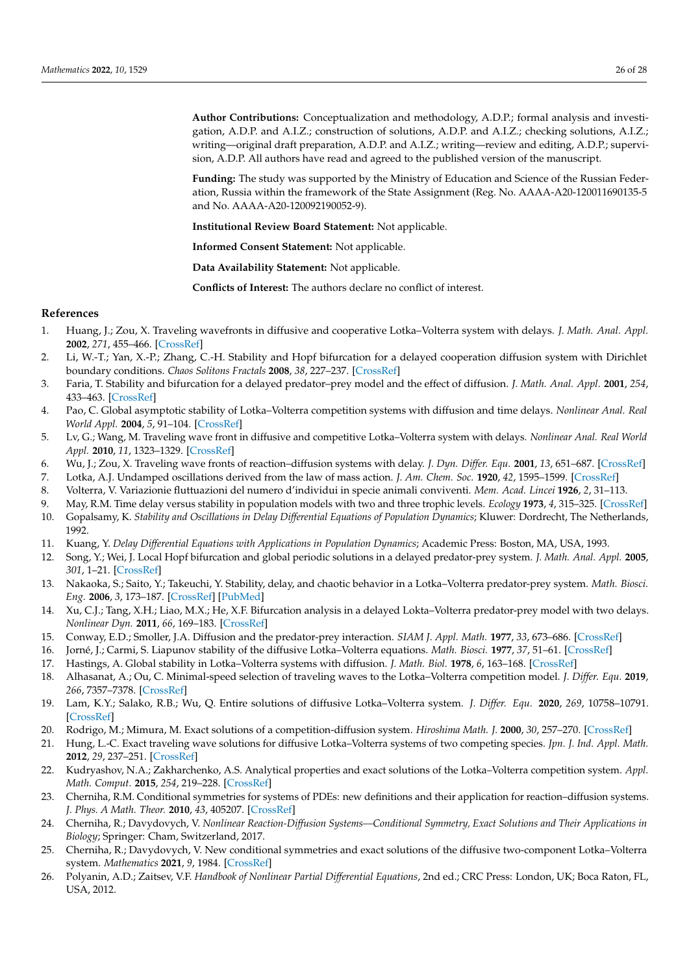**Author Contributions:** Conceptualization and methodology, A.D.P.; formal analysis and investigation, A.D.P. and A.I.Z.; construction of solutions, A.D.P. and A.I.Z.; checking solutions, A.I.Z.; writing—original draft preparation, A.D.P. and A.I.Z.; writing—review and editing, A.D.P.; supervision, A.D.P. All authors have read and agreed to the published version of the manuscript.

**Funding:** The study was supported by the Ministry of Education and Science of the Russian Federation, Russia within the framework of the State Assignment (Reg. No. AAAA-A20-120011690135-5 and No. AAAA-A20-120092190052-9).

**Institutional Review Board Statement:** Not applicable.

**Informed Consent Statement:** Not applicable.

**Data Availability Statement:** Not applicable.

**Conflicts of Interest:** The authors declare no conflict of interest.

#### **References**

- <span id="page-25-0"></span>1. Huang, J.; Zou, X. Traveling wavefronts in diffusive and cooperative Lotka–Volterra system with delays. *J. Math. Anal. Appl.* **2002**, *271*, 455–466. [\[CrossRef\]](http://doi.org/10.1016/S0022-247X(02)00135-X)
- <span id="page-25-1"></span>2. Li, W.-T.; Yan, X.-P.; Zhang, C.-H. Stability and Hopf bifurcation for a delayed cooperation diffusion system with Dirichlet boundary conditions. *Chaos Solitons Fractals* **2008**, *38*, 227–237. [\[CrossRef\]](http://dx.doi.org/10.1016/j.chaos.2006.11.015)
- <span id="page-25-2"></span>3. Faria, T. Stability and bifurcation for a delayed predator–prey model and the effect of diffusion. *J. Math. Anal. Appl.* **2001**, *254*, 433–463. [\[CrossRef\]](http://dx.doi.org/10.1006/jmaa.2000.7182)
- 4. Pao, C. Global asymptotic stability of Lotka–Volterra competition systems with diffusion and time delays. *Nonlinear Anal. Real World Appl.* **2004**, *5*, 91–104. [\[CrossRef\]](http://dx.doi.org/10.1016/S1468-1218(03)00018-X)
- <span id="page-25-3"></span>5. Lv, G.; Wang, M. Traveling wave front in diffusive and competitive Lotka–Volterra system with delays. *Nonlinear Anal. Real World Appl.* **2010**, *11*, 1323–1329. [\[CrossRef\]](http://dx.doi.org/10.1016/j.nonrwa.2009.02.020)
- <span id="page-25-4"></span>6. Wu, J.; Zou, X. Traveling wave fronts of reaction–diffusion systems with delay. *J. Dyn. Differ. Equ.* **2001**, *13*, 651–687. [\[CrossRef\]](http://dx.doi.org/10.1023/A:1016690424892)
- <span id="page-25-5"></span>7. Lotka, A.J. Undamped oscillations derived from the law of mass action. *J. Am. Chem. Soc.* **1920**, *42*, 1595–1599. [\[CrossRef\]](http://dx.doi.org/10.1021/ja01453a010)
- <span id="page-25-6"></span>8. Volterra, V. Variazionie fluttuazioni del numero d'individui in specie animali conviventi. *Mem. Acad. Lincei* **1926**, *2*, 31–113.
- <span id="page-25-7"></span>9. May, R.M. Time delay versus stability in population models with two and three trophic levels. *Ecology* **1973**, *4*, 315–325. [\[CrossRef\]](http://dx.doi.org/10.2307/1934339) 10. Gopalsamy, K. *Stability and Oscillations in Delay Differential Equations of Population Dynamics*; Kluwer: Dordrecht, The Netherlands,
- 1992.
- 11. Kuang, Y. *Delay Differential Equations with Applications in Population Dynamics*; Academic Press: Boston, MA, USA, 1993.
- 12. Song, Y.; Wei, J. Local Hopf bifurcation and global periodic solutions in a delayed predator-prey system. *J. Math. Anal. Appl.* **2005**, *301*, 1–21. [\[CrossRef\]](http://dx.doi.org/10.1016/j.jmaa.2004.06.056)
- 13. Nakaoka, S.; Saito, Y.; Takeuchi, Y. Stability, delay, and chaotic behavior in a Lotka–Volterra predator-prey system. *Math. Biosci. Eng.* **2006**, *3*, 173–187. [\[CrossRef\]](http://dx.doi.org/10.3934/mbe.2006.3.173) [\[PubMed\]](http://www.ncbi.nlm.nih.gov/pubmed/20361817)
- <span id="page-25-8"></span>14. Xu, C.J.; Tang, X.H.; Liao, M.X.; He, X.F. Bifurcation analysis in a delayed Lokta–Volterra predator-prey model with two delays. *Nonlinear Dyn.* **2011**, *66*, 169–183. [\[CrossRef\]](http://dx.doi.org/10.1007/s11071-010-9919-8)
- <span id="page-25-9"></span>15. Conway, E.D.; Smoller, J.A. Diffusion and the predator-prey interaction. *SIAM J. Appl. Math.* **1977**, *33*, 673–686. [\[CrossRef\]](http://dx.doi.org/10.1137/0133047)
- 16. Jorné, J.; Carmi, S. Liapunov stability of the diffusive Lotka–Volterra equations. *Math. Biosci.* **1977**, *37*, 51–61. [\[CrossRef\]](http://dx.doi.org/10.1016/0025-5564(77)90077-3)
- 17. Hastings, A. Global stability in Lotka–Volterra systems with diffusion. *J. Math. Biol.* **1978**, *6*, 163–168. [\[CrossRef\]](http://dx.doi.org/10.1007/BF02450786)
- <span id="page-25-11"></span>18. Alhasanat, A.; Ou, C. Minimal-speed selection of traveling waves to the Lotka–Volterra competition model. *J. Differ. Equ.* **2019**, *266*, 7357–7378. [\[CrossRef\]](http://dx.doi.org/10.1016/j.jde.2018.12.003)
- <span id="page-25-10"></span>19. Lam, K.Y.; Salako, R.B.; Wu, Q. Entire solutions of diffusive Lotka–Volterra system. *J. Differ. Equ.* **2020**, *269*, 10758–10791. [\[CrossRef\]](http://dx.doi.org/10.1016/j.jde.2020.07.006)
- <span id="page-25-12"></span>20. Rodrigo, M.; Mimura, M. Exact solutions of a competition-diffusion system. *Hiroshima Math. J.* **2000**, *30*, 257–270. [\[CrossRef\]](http://dx.doi.org/10.32917/hmj/1206124686)
- 21. Hung, L.-C. Exact traveling wave solutions for diffusive Lotka–Volterra systems of two competing species. *Jpn. J. Ind. Appl. Math.* **2012**, *29*, 237–251. [\[CrossRef\]](http://dx.doi.org/10.1007/s13160-012-0056-2)
- <span id="page-25-13"></span>22. Kudryashov, N.A.; Zakharchenko, A.S. Analytical properties and exact solutions of the Lotka–Volterra competition system. *Appl. Math. Comput.* **2015**, *254*, 219–228. [\[CrossRef\]](http://dx.doi.org/10.1016/j.amc.2014.12.113)
- <span id="page-25-14"></span>23. Cherniha, R.M. Conditional symmetries for systems of PDEs: new definitions and their application for reaction–diffusion systems. *J. Phys. A Math. Theor.* **2010**, *43*, 405207. [\[CrossRef\]](http://dx.doi.org/10.1088/1751-8113/43/40/405207)
- 24. Cherniha, R.; Davydovych, V. *Nonlinear Reaction-Diffusion Systems—Conditional Symmetry, Exact Solutions and Their Applications in Biology*; Springer: Cham, Switzerland, 2017.
- <span id="page-25-15"></span>25. Cherniha, R.; Davydovych, V. New conditional symmetries and exact solutions of the diffusive two-component Lotka–Volterra system. *Mathematics* **2021**, *9*, 1984. [\[CrossRef\]](http://dx.doi.org/10.3390/math9161984)
- <span id="page-25-16"></span>26. Polyanin, A.D.; Zaitsev, V.F. *Handbook of Nonlinear Partial Differential Equations*, 2nd ed.; CRC Press: London, UK; Boca Raton, FL, USA, 2012.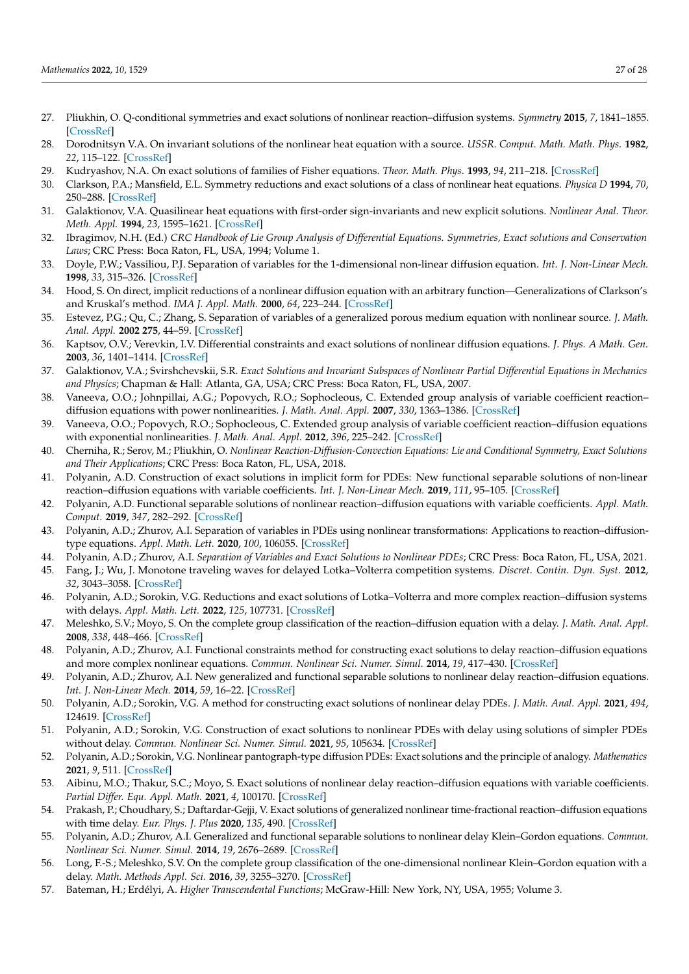- <span id="page-26-0"></span>27. Pliukhin, O. Q-conditional symmetries and exact solutions of nonlinear reaction–diffusion systems. *Symmetry* **2015**, *7*, 1841–1855. [\[CrossRef\]](http://dx.doi.org/10.3390/sym7041841)
- <span id="page-26-1"></span>28. Dorodnitsyn V.A. On invariant solutions of the nonlinear heat equation with a source. *USSR. Comput. Math. Math. Phys.* **1982**, *22*, 115–122. [\[CrossRef\]](http://dx.doi.org/10.1016/0041-5553(82)90102-1)
- 29. Kudryashov, N.A. On exact solutions of families of Fisher equations. *Theor. Math. Phys*. **1993**, *94*, 211–218. [\[CrossRef\]](http://dx.doi.org/10.1007/BF01019332)
- 30. Clarkson, P.A.; Mansfield, E.L. Symmetry reductions and exact solutions of a class of nonlinear heat equations. *Physica D* **1994**, *70*, 250–288. [\[CrossRef\]](http://dx.doi.org/10.1016/0167-2789(94)90017-5)
- 31. Galaktionov, V.A. Quasilinear heat equations with first-order sign-invariants and new explicit solutions. *Nonlinear Anal. Theor. Meth. Appl.* **1994**, *23*, 1595–1621. [\[CrossRef\]](http://dx.doi.org/10.1016/0362-546X(94)90208-9)
- <span id="page-26-3"></span>32. Ibragimov, N.H. (Ed.) *CRC Handbook of Lie Group Analysis of Differential Equations. Symmetries, Exact solutions and Conservation Laws*; CRC Press: Boca Raton, FL, USA, 1994; Volume 1.
- 33. Doyle, P.W.; Vassiliou, P.J. Separation of variables for the 1-dimensional non-linear diffusion equation. *Int. J. Non-Linear Mech.* **1998**, *33*, 315–326. [\[CrossRef\]](http://dx.doi.org/10.1016/S0020-7462(97)00013-9)
- 34. Hood, S. On direct, implicit reductions of a nonlinear diffusion equation with an arbitrary function—Generalizations of Clarkson's and Kruskal's method. *IMA J. Appl. Math.* **2000**, *64*, 223–244. [\[CrossRef\]](http://dx.doi.org/10.1093/imamat/64.3.223)
- 35. Estevez, P.G.; Qu, C.; Zhang, S. Separation of variables of a generalized porous medium equation with nonlinear source. *J. Math. Anal. Appl.* **2002 275**, 44–59. [\[CrossRef\]](http://dx.doi.org/10.1016/S0022-247X(02)00214-7)
- 36. Kaptsov, O.V.; Verevkin, I.V. Differential constraints and exact solutions of nonlinear diffusion equations. *J. Phys. A Math. Gen.* **2003**, *36*, 1401–1414. [\[CrossRef\]](http://dx.doi.org/10.1088/0305-4470/36/5/315)
- <span id="page-26-4"></span>37. Galaktionov, V.A.; Svirshchevskii, S.R. *Exact Solutions and Invariant Subspaces of Nonlinear Partial Differential Equations in Mechanics and Physics*; Chapman & Hall: Atlanta, GA, USA; CRC Press: Boca Raton, FL, USA, 2007.
- 38. Vaneeva, O.O.; Johnpillai, A.G.; Popovych, R.O.; Sophocleous, C. Extended group analysis of variable coefficient reaction– diffusion equations with power nonlinearities. *J. Math. Anal. Appl.* **2007**, *330*, 1363–1386. [\[CrossRef\]](http://dx.doi.org/10.1016/j.jmaa.2006.08.056)
- 39. Vaneeva, O.O.; Popovych, R.O.; Sophocleous, C. Extended group analysis of variable coefficient reaction–diffusion equations with exponential nonlinearities. *J. Math. Anal. Appl.* **2012**, *396*, 225–242. [\[CrossRef\]](http://dx.doi.org/10.1016/j.jmaa.2012.05.084)
- <span id="page-26-5"></span>40. Cherniha, R.; Serov, M.; Pliukhin, O. *Nonlinear Reaction-Diffusion-Convection Equations: Lie and Conditional Symmetry, Exact Solutions and Their Applications*; CRC Press: Boca Raton, FL, USA, 2018.
- 41. Polyanin, A.D. Construction of exact solutions in implicit form for PDEs: New functional separable solutions of non-linear reaction–diffusion equations with variable coefficients. *Int. J. Non-Linear Mech.* **2019**, *111*, 95–105. [\[CrossRef\]](http://dx.doi.org/10.1016/j.ijnonlinmec.2019.02.005)
- 42. Polyanin, A.D. Functional separable solutions of nonlinear reaction–diffusion equations with variable coefficients. *Appl. Math. Comput.* **2019**, *347*, 282–292. [\[CrossRef\]](http://dx.doi.org/10.1016/j.amc.2018.10.092)
- <span id="page-26-6"></span>43. Polyanin, A.D.; Zhurov, A.I. Separation of variables in PDEs using nonlinear transformations: Applications to reaction–diffusiontype equations. *Appl. Math. Lett.* **2020**, *100*, 106055. [\[CrossRef\]](http://dx.doi.org/10.1016/j.aml.2019.106055)
- <span id="page-26-2"></span>44. Polyanin, A.D.; Zhurov, A.I. *Separation of Variables and Exact Solutions to Nonlinear PDEs*; CRC Press: Boca Raton, FL, USA, 2021.
- <span id="page-26-7"></span>45. Fang, J.; Wu, J. Monotone traveling waves for delayed Lotka–Volterra competition systems. *Discret. Contin. Dyn. Syst.* **2012**, *32*, 3043–3058. [\[CrossRef\]](http://dx.doi.org/10.3934/dcds.2012.32.3043)
- <span id="page-26-8"></span>46. Polyanin, A.D.; Sorokin, V.G. Reductions and exact solutions of Lotka–Volterra and more complex reaction–diffusion systems with delays. *Appl. Math. Lett.* **2022**, *125*, 107731. [\[CrossRef\]](http://dx.doi.org/10.1016/j.aml.2021.107731)
- <span id="page-26-9"></span>47. Meleshko, S.V.; Moyo, S. On the complete group classification of the reaction–diffusion equation with a delay. *J. Math. Anal. Appl.* **2008**, *338*, 448–466. [\[CrossRef\]](http://dx.doi.org/10.1016/j.jmaa.2007.04.016)
- 48. Polyanin, A.D.; Zhurov, A.I. Functional constraints method for constructing exact solutions to delay reaction–diffusion equations and more complex nonlinear equations. *Commun. Nonlinear Sci. Numer. Simul.* **2014**, *19*, 417–430. [\[CrossRef\]](http://dx.doi.org/10.1016/j.cnsns.2013.07.017)
- 49. Polyanin, A.D.; Zhurov, A.I. New generalized and functional separable solutions to nonlinear delay reaction–diffusion equations. *Int. J. Non-Linear Mech.* **2014**, *59*, 16–22. [\[CrossRef\]](http://dx.doi.org/10.1016/j.ijnonlinmec.2013.10.008)
- 50. Polyanin, A.D.; Sorokin, V.G. A method for constructing exact solutions of nonlinear delay PDEs. *J. Math. Anal. Appl.* **2021**, *494*, 124619. [\[CrossRef\]](http://dx.doi.org/10.1016/j.jmaa.2020.124619)
- 51. Polyanin, A.D.; Sorokin, V.G. Construction of exact solutions to nonlinear PDEs with delay using solutions of simpler PDEs without delay. *Commun. Nonlinear Sci. Numer. Simul.* **2021**, *95*, 105634. [\[CrossRef\]](http://dx.doi.org/10.1016/j.cnsns.2020.105634)
- 52. Polyanin, A.D.; Sorokin, V.G. Nonlinear pantograph-type diffusion PDEs: Exact solutions and the principle of analogy. *Mathematics* **2021**, *9*, 511. [\[CrossRef\]](http://dx.doi.org/10.3390/math9050511)
- <span id="page-26-10"></span>53. Aibinu, M.O.; Thakur, S.C.; Moyo, S. Exact solutions of nonlinear delay reaction–diffusion equations with variable coefficients. *Partial Differ. Equ. Appl. Math.* **2021**, *4*, 100170. [\[CrossRef\]](http://dx.doi.org/10.1016/j.padiff.2021.100170)
- <span id="page-26-11"></span>54. Prakash, P.; Choudhary, S.; Daftardar-Gejji, V. Exact solutions of generalized nonlinear time-fractional reaction–diffusion equations with time delay. *Eur. Phys. J. Plus* **2020**, *135*, 490. [\[CrossRef\]](http://dx.doi.org/10.1140/epjp/s13360-020-00445-1)
- <span id="page-26-12"></span>55. Polyanin, A.D.; Zhurov, A.I. Generalized and functional separable solutions to nonlinear delay Klein–Gordon equations. *Commun. Nonlinear Sci. Numer. Simul.* **2014**, *19*, 2676–2689. [\[CrossRef\]](http://dx.doi.org/10.1016/j.cnsns.2013.12.021)
- <span id="page-26-13"></span>56. Long, F.-S.; Meleshko, S.V. On the complete group classification of the one-dimensional nonlinear Klein–Gordon equation with a delay. *Math. Methods Appl. Sci.* **2016**, *39*, 3255–3270. [\[CrossRef\]](http://dx.doi.org/10.1002/mma.3769)
- <span id="page-26-14"></span>57. Bateman, H.; Erdélyi, A. *Higher Transcendental Functions*; McGraw-Hill: New York, NY, USA, 1955; Volume 3.